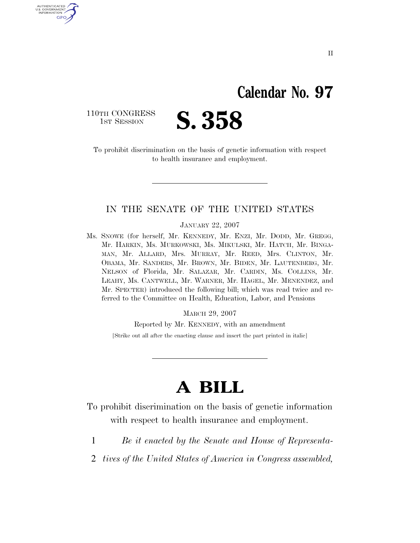### **Calendar No. 97**

110TH CONGRESS<br>1st Session

U.S. GOVERNMENT GPO



To prohibit discrimination on the basis of genetic information with respect to health insurance and employment.

### IN THE SENATE OF THE UNITED STATES

JANUARY 22, 2007

Ms. SNOWE (for herself, Mr. KENNEDY, Mr. ENZI, Mr. DODD, Mr. GREGG, Mr. HARKIN, Ms. MURKOWSKI, Ms. MIKULSKI, Mr. HATCH, Mr. BINGA-MAN, Mr. ALLARD, Mrs. MURRAY, Mr. REED, Mrs. CLINTON, Mr. OBAMA, Mr. SANDERS, Mr. BROWN, Mr. BIDEN, Mr. LAUTENBERG, Mr. NELSON of Florida, Mr. SALAZAR, Mr. CARDIN, Ms. COLLINS, Mr. LEAHY, Ms. CANTWELL, Mr. WARNER, Mr. HAGEL, Mr. MENENDEZ, and Mr. SPECTER) introduced the following bill; which was read twice and referred to the Committee on Health, Education, Labor, and Pensions

MARCH 29, 2007

Reported by Mr. KENNEDY, with an amendment

[Strike out all after the enacting clause and insert the part printed in italic]

# **A BILL**

To prohibit discrimination on the basis of genetic information with respect to health insurance and employment.

- 1 *Be it enacted by the Senate and House of Representa-*
- 2 *tives of the United States of America in Congress assembled,*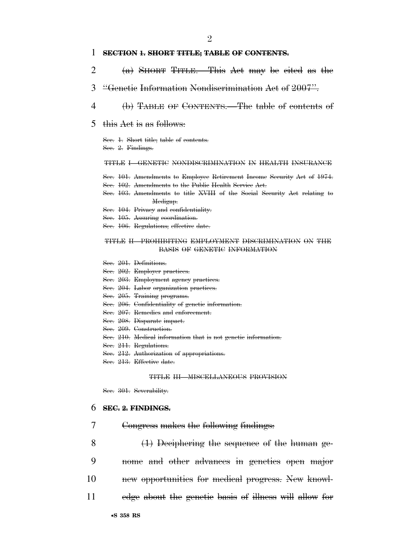#### $\mathfrak{D}$

#### 1 **SECTION 1. SHORT TITLE; TABLE OF CONTENTS.**

- 2 (a) SHORT TITLE.—This Act may be cited as the
- 3 ''Genetic Information Nondiscrimination Act of 2007''.
- 4 (b) TABLE OF CONTENTS.—The table of contents of
- 5 this Act is as follows:

Sec. 1. Short title; table of contents. Sec. 2. Findings.

#### TITLE I—GENETIC NONDISCRIMINATION IN HEALTH INSURANCE

Sec. 101. Amendments to Employee Retirement Income Security Act of 1974. Sec. 102. Amendments to the Public Health Service Act.

- Sec. 103. Amendments to title XVIII of the Social Security Act relating to Medigap.
- Sec. 104. Privacy and confidentiality.
- Sec. 105. Assuring coordination.
- Sec. 106. Regulations; effective date.

#### TITLE II—PROHIBITING EMPLOYMENT DISCRIMINATION ON THE BASIS OF GENETIC INFORMATION

Sec. 201. Definitions.

Sec. 202. Employer practices.

- Sec. 203. Employment agency practices.
- Sec. 204. Labor organization practices.
- Sec. 205. Training programs.
- Sec. 206. Confidentiality of genetic information.
- Sec. 207. Remedies and enforcement.
- Sec. 208. Disparate impact.
- Sec. 209. Construction.
- Sec. 210. Medical information that is not genetic information.
- Sec. 211. Regulations.
- Sec. 212. Authorization of appropriations.
- Sec. 213. Effective date.

#### TITLE III—MISCELLANEOUS PROVISION

Sec. 301. Severability.

#### 6 **SEC. 2. FINDINGS.**

- 7 Congress makes the following findings:
- 8 (1) Deciphering the sequence of the human ge-9 nome and other advances in genetics open major
- 10 new opportunities for medical progress. New knowl-
- 11 edge about the genetic basis of illness will allow for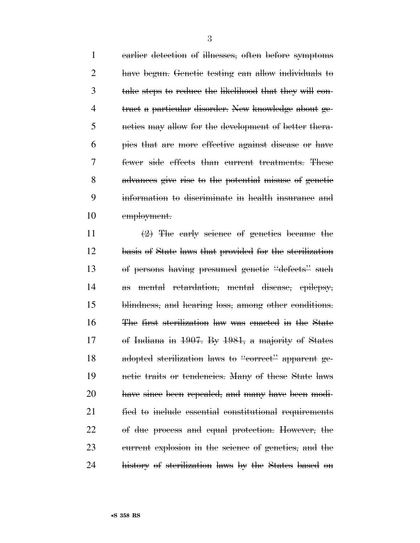earlier detection of illnesses, often before symptoms have begun. Genetic testing can allow individuals to take steps to reduce the likelihood that they will con- tract a particular disorder. New knowledge about ge- netics may allow for the development of better thera- pies that are more effective against disease or have fewer side effects than current treatments. These advances give rise to the potential misuse of genetic information to discriminate in health insurance and employment.

 $\left(2\right)$  The early science of genetics became the basis of State laws that provided for the sterilization of persons having presumed genetic ''defects'' such as mental retardation, mental disease, epilepsy, blindness, and hearing loss, among other conditions. The first sterilization law was enacted in the State of Indiana in 1907. By 1981, a majority of States 18 adopted sterilization laws to "correct" apparent ge- netic traits or tendencies. Many of these State laws have since been repealed, and many have been modi- fied to include essential constitutional requirements of due process and equal protection. However, the current explosion in the science of genetics, and the history of sterilization laws by the States based on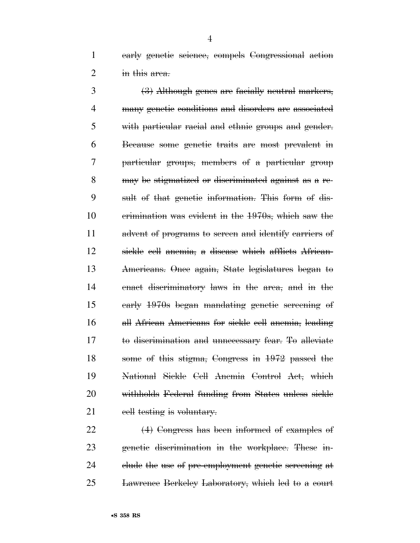early genetic science, compels Congressional action 2 in this area.

 (3) Although genes are facially neutral markers, many genetic conditions and disorders are associated with particular racial and ethnic groups and gender. Because some genetic traits are most prevalent in particular groups, members of a particular group may be stigmatized or discriminated against as a re- sult of that genetic information. This form of dis- crimination was evident in the 1970s, which saw the advent of programs to screen and identify carriers of sickle cell anemia, a disease which afflicts African- Americans. Once again, State legislatures began to enact discriminatory laws in the area, and in the early 1970s began mandating genetic screening of all African Americans for sickle cell anemia, leading to discrimination and unnecessary fear. To alleviate some of this stigma, Congress in 1972 passed the National Sickle Cell Anemia Control Act, which withholds Federal funding from States unless sickle 21 eell testing is voluntary.

 (4) Congress has been informed of examples of genetic discrimination in the workplace. These in-24 clude the use of pre-employment genetic screening at Lawrence Berkeley Laboratory, which led to a court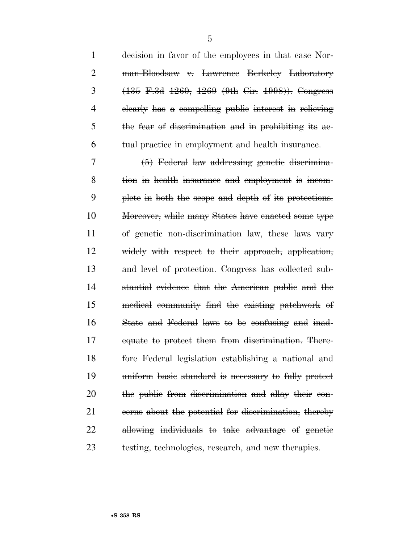| $\mathbf{1}$   | decision in favor of the employees in that case Nor-                                  |
|----------------|---------------------------------------------------------------------------------------|
| $\overline{2}$ | man-Bloodsaw v. Lawrence Berkeley Laboratory                                          |
| 3              | $(135 \text{ F} \cdot 3d \cdot 1260, 1269 \cdot (9th \text{ Cir. } 1998))$ . Congress |
| 4              | elearly has a compelling public interest in relieving                                 |
| 5              | the fear of discrimination and in prohibiting its ae-                                 |
| 6              | tual practice in employment and health insurance.                                     |
| 7              | (5) Federal law addressing genetic discrimina-                                        |
| 8              | tion in health insurance and employment is incom-                                     |
| 9              | plete in both the scope and depth of its protections.                                 |
| 10             | Moreover, while many States have enacted some type                                    |
| 11             | of genetic non-discrimination law, these laws vary                                    |
| 12             | widely with respect to their approach, application,                                   |
| 13             | and level of protection. Congress has collected sub-                                  |
| 14             | stantial evidence that the American public and the                                    |
| 15             | medical community find the existing patchwork of                                      |
| 16             | State and Federal laws to be confusing and inad-                                      |
| 17             | equate to protect them from discrimination. There-                                    |
| 18             | fore Federal legislation establishing a national and                                  |
| 19             | uniform basic standard is necessary to fully protect                                  |
| 20             | the public from discrimination and allay their con-                                   |
| 21             | ecrns about the potential for discrimination, thereby                                 |
| 22             | allowing individuals to take advantage of genetic                                     |
| 23             | testing, technologies, research, and new therapies.                                   |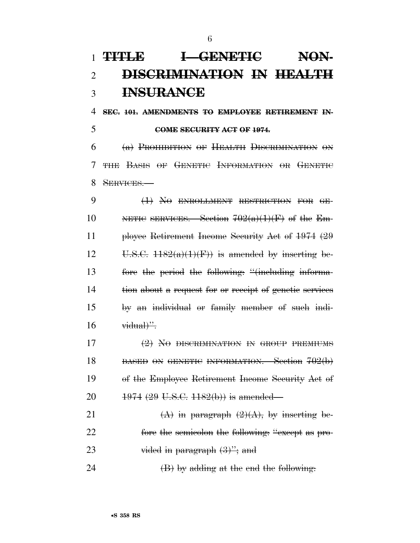## **TITLE I—GENETIC NON- DISCRIMINATION IN HEALTH INSURANCE**

**SEC. 101. AMENDMENTS TO EMPLOYEE RETIREMENT IN-**

### **COME SECURITY ACT OF 1974.**

 (a) PROHIBITION OF HEALTH DISCRIMINATION ON THE BASIS OF GENETIC INFORMATION OR GENETIC 8 SERVICES

 (1) NO ENROLLMENT RESTRICTION FOR GE-10 NETIC SERVICES. Section  $702(a)(1)(F)$  of the Em- ployee Retirement Income Security Act of 1974 (29 12 U.S.C.  $1182(a)(1)(F)$  is amended by inserting be- fore the period the following: ''(including informa- tion about a request for or receipt of genetic services by an individual or family member of such indi-vidual)".

 (2) NO DISCRIMINATION IN GROUP PREMIUMS 18 BASED ON GENETIC INFORMATION. Section 702(b) of the Employee Retirement Income Security Act of 20 1974 (29 U.S.C. 1182(b)) is amended—

21  $(A)$  in paragraph  $(2)(A)$ , by inserting be-22 fore the semicolon the following: "except as pro-23 vided in paragraph  $(3)$ "; and

24  $(B)$  by adding at the end the following: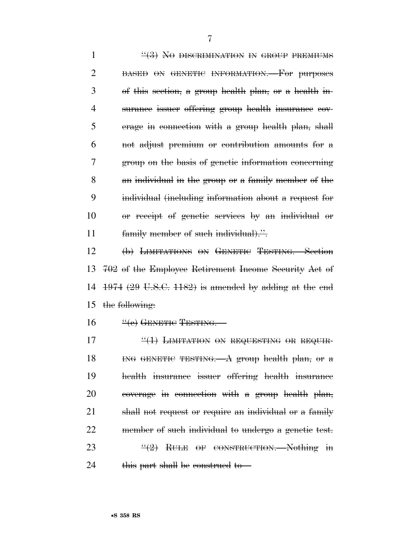1 ''(3) No DISCRIMINATION IN GROUP PREMIUMS 2 BASED ON GENETIC INFORMATION. For purposes of this section, a group health plan, or a health in- surance issuer offering group health insurance cov- erage in connection with a group health plan, shall not adjust premium or contribution amounts for a group on the basis of genetic information concerning an individual in the group or a family member of the individual (including information about a request for or receipt of genetic services by an individual or 11 family member of such individual).".

 (b) LIMITATIONS ON GENETIC TESTING.—Section 702 of the Employee Retirement Income Security Act of 1974 (29 U.S.C. 1182) is amended by adding at the end the following:

 $16 \qquad \frac{4}{6}$  GENETIC TESTING.

 $\frac{4}{1}$  LIMITATION ON REQUESTING OR REQUIR- ING GENETIC TESTING.—A group health plan, or a health insurance issuer offering health insurance coverage in connection with a group health plan, shall not request or require an individual or a family member of such individual to undergo a genetic test.  $\frac{u(2)}{2}$  RULE OF CONSTRUCTION. Nothing in 24 this part shall be construed to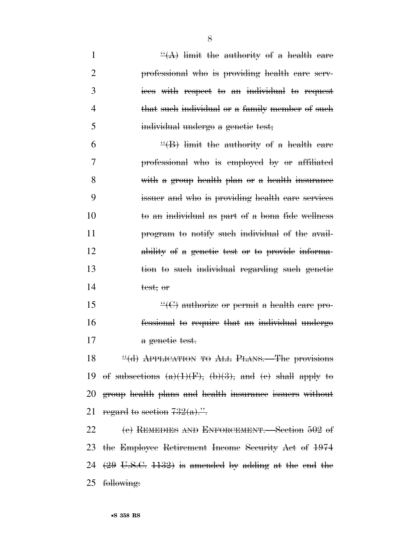| $\mathbf{1}$   | $\frac{H(A)}{H(A)}$ limit the authority of a health care            |
|----------------|---------------------------------------------------------------------|
| 2              | professional who is providing health care serv-                     |
| 3              | ices with respect to an individual to request                       |
| $\overline{4}$ | that such individual or a family member of such                     |
| 5              | individual undergo a genetic test;                                  |
| 6              | $\frac{H}{B}$ limit the authority of a health care                  |
| 7              | professional who is employed by or affiliated                       |
| 8              | with a group health plan or a health insurance                      |
| 9              | issuer and who is providing health care services                    |
| 10             | to an individual as part of a bona fide wellness                    |
| 11             | program to notify such individual of the avail-                     |
| 12             | ability of a genetic test or to provide informa-                    |
| 13             | tion to such individual regarding such genetic                      |
| 14             | test; or                                                            |
| 15             | $\frac{H}{C}$ authorize or permit a health care pro-                |
| 16             | fessional to require that an individual undergo                     |
| 17             | a genetic test.                                                     |
| 18             | "(d) APPLICATION TO ALL PLANS. The provisions                       |
|                | 19 of subsections $(a)(1)(F)$ , $(b)(3)$ , and $(e)$ shall apply to |
| 20             | group health plans and health insurance issuers without             |
| 21             | regard to section $732(a)$ ."                                       |
| 22             | (e) REMEDIES AND ENFORCEMENT. Section $502$ of                      |
|                | 23 the Employee Retirement Income Security Act of 1974              |
|                | 24 $(29 \text{ U.S.C. } 1132)$ is amended by adding at the end the  |
| 25             | following:                                                          |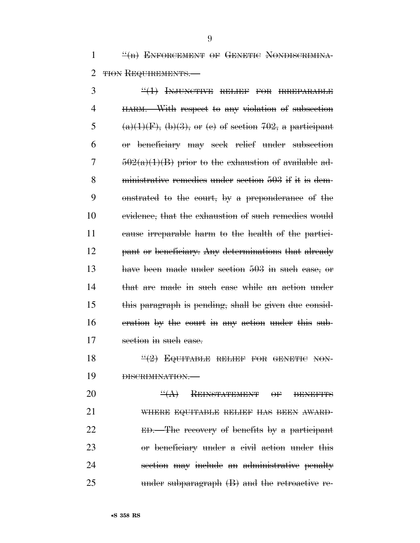1 <sup>"(n)</sup> ENFORCEMENT OF GENETIC NONDISCRIMINA-2 THON REQUIREMENTS.

3 "<del>(1) INJUNCTIVE RELIEF FOR IRREPARABLE</del> HARM.—With respect to any violation of subsection 5 (a)(1)(F), (b)(3), or (e) of section 702, a participant or beneficiary may seek relief under subsection  $7 \frac{502(a)(1)(B)}{B}$  prior to the exhaustion of available ad- ministrative remedies under section 503 if it is dem- onstrated to the court, by a preponderance of the 10 evidence, that the exhaustion of such remedies would cause irreparable harm to the health of the partici-12 pant or beneficiary. Any determinations that already have been made under section 503 in such case, or that are made in such case while an action under this paragraph is pending, shall be given due consid- eration by the court in any action under this sub-17 section in such case.

18  $\frac{12}{2}$  EQUITABLE RELIEF FOR GENETIC NON-DISCRIMINATION.—

**''(A) REINSTATEMENT OF BENEFITS**  WHERE EQUITABLE RELIEF HAS BEEN AWARD- ED.—The recovery of benefits by a participant or beneficiary under a civil action under this section may include an administrative penalty under subparagraph (B) and the retroactive re-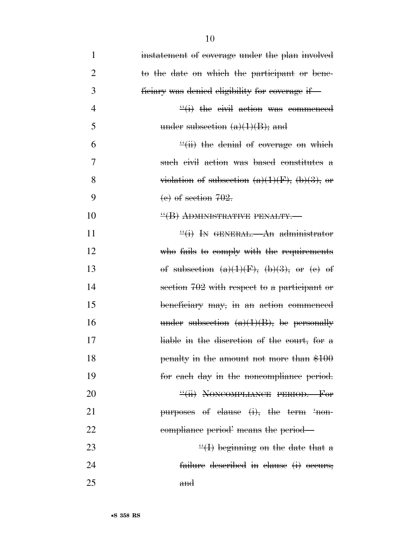| $\mathbf{1}$   | instatement of coverage under the plan involved     |
|----------------|-----------------------------------------------------|
| $\overline{2}$ | to the date on which the participant or bene-       |
| 3              | ficiary was denied eligibility for coverage if—     |
| $\overline{4}$ | $\frac{d}{dx}(i)$ the civil action was commenced    |
| 5              | under subsection $(a)(1)(B)$ ; and                  |
| 6              | $\frac{H}{H}$ the denial of coverage on which       |
| 7              | such civil action was based constitutes a           |
| 8              | violation of subsection $(a)(1)(F)$ , $(b)(3)$ , or |
| 9              | $(e)$ of section $702$ .                            |
| 10             | "(B) ADMINISTRATIVE PENALTY.-                       |
| 11             | $\frac{f'(i)}{i}$ In GENERAL.—An administrator      |
| 12             | who fails to comply with the requirements           |
| 13             | of subsection $(a)(1)(F)$ , $(b)(3)$ , or $(e)$ of  |
| 14             | section 702 with respect to a participant or        |
| 15             | beneficiary may, in an action commenced             |
| 16             | under subsection $(a)(1)(B)$ , be personally        |
| 17             | liable in the discretion of the court, for a        |
| 18             | penalty in the amount not more than \$100           |
| 19             | for each day in the noncompliance period.           |
| 20             | "(ii) NONCOMPLIANCE PERIOD. For                     |
| 21             | purposes of clause (i), the term 'non-              |
| 22             | compliance period means the period—                 |
| 23             | $\frac{d}{dx}(1)$ beginning on the date that a      |
| 24             | failure described in clause (i) occurs;             |
| 25             | and                                                 |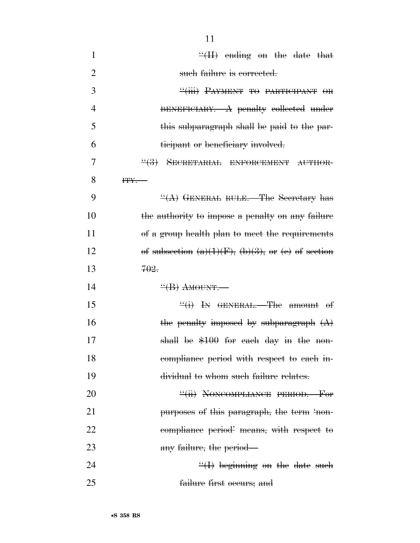| $\mathbf{1}$   | $H(H)$ ending on the date that                             |
|----------------|------------------------------------------------------------|
| $\overline{2}$ | such failure is corrected.                                 |
| 3              | "(iii) PAYMENT TO PARTICIPANT OR                           |
| $\overline{4}$ | BENEFICIARY.—A penalty collected under                     |
| 5              | this subparagraph shall be paid to the par-                |
| 6              | ticipant or beneficiary involved.                          |
| 7              | $\frac{4}{3}$ SECRETARIAL ENFORCEMENT AUTHOR-              |
| 8              | $HY$ .                                                     |
| 9              | $\frac{H(A)}{A}$ GENERAL RULE.—The Secretary has           |
| 10             | the authority to impose a penalty on any failure           |
| 11             | of a group health plan to meet the requirements            |
| 12             | of subsection $(a)(1)(F)$ , $(b)(3)$ , or $(e)$ of section |
|                |                                                            |
| 13             | <del>702.</del>                                            |
| 14             | $\frac{H}{B}$ AMOUNT.                                      |
| 15             | $\frac{f'(1)}{f}$ In GENERAL. The amount of                |
| 16             | the penalty imposed by subparagraph $(A)$                  |
| 17             | shall be \$100 for each day in the non-                    |
| 18             | compliance period with respect to each in-                 |
| 19             | dividual to whom such failure relates.                     |
| 20             | "(ii) NONCOMPLIANCE PERIOD. For                            |
| 21             | purposes of this paragraph, the term 'non-                 |
| 22             | compliance period' means, with respect to                  |
| 23             | any failure, the period—                                   |
| 24             | $\frac{H}{H}$ beginning on the date such                   |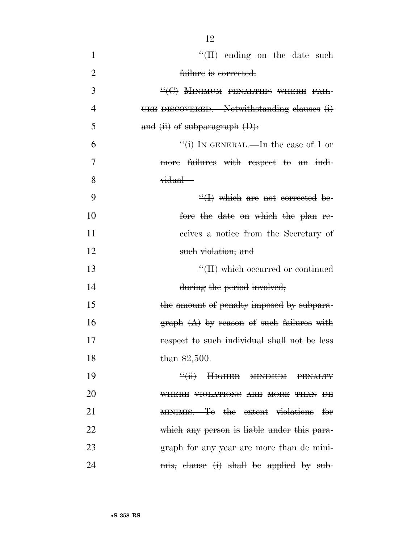| $\mathbf{1}$   | $\frac{H}{H}$ ending on the date such                  |
|----------------|--------------------------------------------------------|
| $\overline{2}$ | failure is corrected.                                  |
| 3              | "(C) MINIMUM PENALTIES WHERE FAIL-                     |
| $\overline{4}$ | URE DISCOVERED. Notwithstanding clauses (i)            |
| 5              | and (ii) of subparagraph (D).                          |
| 6              | $\frac{f'(1)}{f''(1)}$ In GENERAL.—In the case of 1 or |
| 7              | more failures with respect to an indi-                 |
| 8              | vidual—                                                |
| 9              | $\frac{H}{H}$ which are not corrected be-              |
| 10             | fore the date on which the plan re-                    |
| 11             | ecives a notice from the Secretary of                  |
| 12             | such violation; and                                    |
| 13             | $\mathcal{H}(H)$ which occurred or continued           |
| 14             | during the period involved;                            |
| 15             | the amount of penalty imposed by subpara-              |
| 16             | $graph(A)$ by reason of such failures with             |
| 17             | respect to such individual shall not be less           |
| 18             | than $$2,500.$                                         |
| 19             | "(ii) HIGHER MINIMUM PENALTY                           |
| 20             | WHERE VIOLATIONS ARE MORE THAN DE                      |
| 21             | MINIMIS. To the extent violations for                  |
| 22             | which any person is liable under this para-            |
| 23             | graph for any year are more than de mini-              |
| 24             | mis, clause (i) shall be applied by sub-               |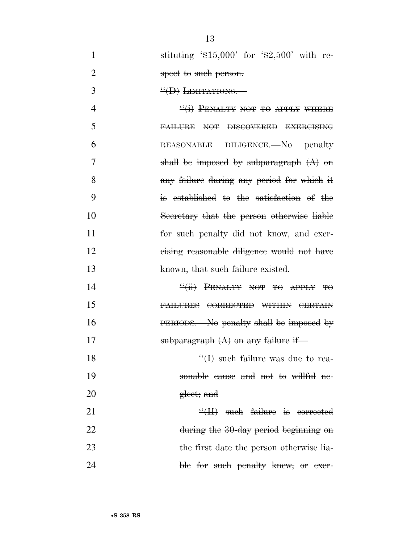1 stituting  $$15,000$  for  $$2,500$  with re-2 spect to such person.

3  $\text{``(D)}$  LIMITATIONS.

 $\frac{4}{1}$  PENALTY NOT TO APPLY WHERE FAILURE NOT DISCOVERED EXERCISING REASONABLE DILIGENCE.—No penalty shall be imposed by subparagraph (A) on any failure during any period for which it is established to the satisfaction of the Secretary that the person otherwise liable **for such penalty did not know, and exer-** cising reasonable diligence would not have 13 known, that such failure existed.

14  $\frac{``(ii)}{--}$  PENALTY NOT TO APPLY TO 15 FAILURES CORRECTED WITHIN CERTAIN 16 PERIODS.—No penalty shall be imposed by 17 subparagraph  $(A)$  on any failure if-

18  $\frac{1}{2}$  such failure was due to rea-19 sonable cause and not to willful ne-20 gleet; and

 $21$   $\frac{4}{11}$  such failure is corrected 22 during the 30-day period beginning on 23 the first date the person otherwise lia-24 ble <del>for such penalty knew, or exer</del>-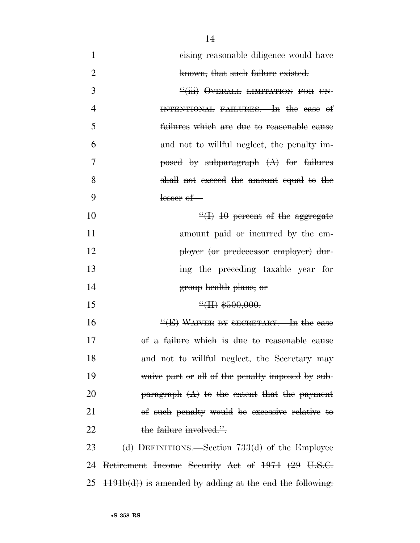| $\mathbf{1}$   | eising reasonable diligence would have                      |
|----------------|-------------------------------------------------------------|
| $\overline{2}$ | known, that such failure existed.                           |
| 3              | "(iii) OVERALL LIMITATION FOR UN-                           |
| 4              | INTENTIONAL FAILURES. In the case of                        |
| 5              | failures which are due to reasonable cause                  |
| 6              | and not to willful neglect, the penalty im-                 |
| 7              | posed by subparagraph $(A)$ for failures                    |
| 8              | shall not exceed the amount equal to the                    |
| 9              | $lesser$ of $-$                                             |
| 10             | $\frac{u}{v}(1)$ 10 percent of the aggregate                |
| 11             | amount paid or incurred by the em-                          |
| 12             | ployer (or predecessor employer) dur-                       |
| 13             | ing the preceding taxable year for                          |
| 14             | <del>group</del> health plans; or                           |
| 15             | $\frac{4}{11}$ \$500,000.                                   |
| 16             | $\frac{H(E)}{H(\text{E})}$ WAIVER BY SECRETARY.—In the case |
| 17             | of a failure which is due to reasonable cause               |
| 18             | and not to willful neglect, the Secretary may               |
| 19             | waive part or all of the penalty imposed by sub-            |
| 20             | $\beta$ paragraph $(A)$ to the extent that the payment      |
| 21             | of such penalty would be excessive relative to              |
| 22             | the failure involved.".                                     |
| 23             | (d) DEFINITIONS. Section $733(d)$ of the Employee           |
| 24             | Retirement Income Security Act of 1974 (29 U.S.C.           |
| 25             | $1191b(d)$ is amended by adding at the end the following.   |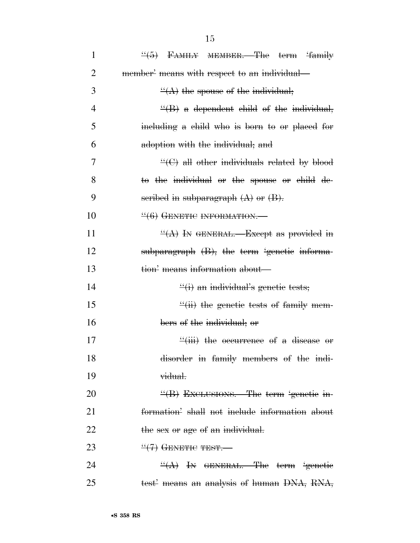| $\mathbf{1}$   | $\frac{4}{5}$ FAMILY MEMBER. The term 'family'        |
|----------------|-------------------------------------------------------|
| 2              | member' means with respect to an individual—          |
| 3              | $\frac{H(A)}{A}$ the spouse of the individual;        |
| $\overline{4}$ | $\frac{H}{B}$ a dependent child of the individual,    |
| 5              | including a child who is born to or placed for        |
| 6              | adoption with the individual; and                     |
| 7              | $\frac{H}{C}$ all other individuals related by blood  |
| 8              | to the individual or the spouse or child de-          |
| 9              | seribed in subparagraph $(A)$ or $(B)$ .              |
| 10             | $\frac{44}{6}$ GENETIC INFORMATION.                   |
| 11             | $\frac{H(A)}{H(A)}$ In GENERAL.—Except as provided in |
| 12             | subparagraph (B), the term 'genetic informa-          |
| 13             | tion' means information about—                        |
| 14             | $\frac{d}{dx}(i)$ an individual's genetic tests;      |
| 15             | $\frac{1}{2}$ (ii) the genetic tests of family mem-   |
| 16             | bers of the individual; or                            |
| 17             | $\frac{1}{1}$ the occurrence of a disease or          |
| 18             | disorder in family members of the indi-               |
| 19             | vidual.                                               |
| 20             | "(B) EXCLUSIONS.—The term 'genetic in-                |
| 21             | formation' shall not include information about        |
| 22             | the sex or age of an individual.                      |
| 23             | $\frac{11}{17}$ GENETIC TEST.                         |
| 24             | $\frac{H(A)}{H(A)}$ In GENERAL. The term 'genetic     |
| 25             | test' means an analysis of human DNA, RNA,            |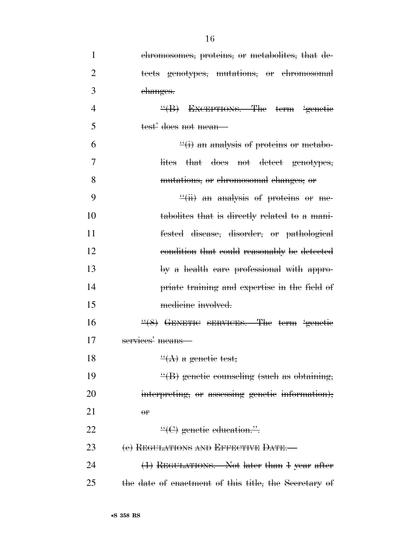| $\mathbf{1}$   | ehromosomes, proteins, or metabolites, that de-       |
|----------------|-------------------------------------------------------|
| $\overline{2}$ | tects genotypes, mutations, or chromosomal            |
| 3              | changes.                                              |
| $\overline{4}$ | $\frac{H}{B}$ Exceptions. The term genetic            |
| 5              | test' does not mean—                                  |
| 6              | $\frac{d}{dx}(i)$ an analysis of proteins or metabo-  |
| 7              | lites that does not detect genotypes,                 |
| 8              | mutations, or chromosomal changes, or                 |
| 9              | $\frac{f'(ii)}{ii}$ an analysis of proteins or me-    |
| 10             | tabolites that is directly related to a mani-         |
| 11             | fested disease, disorder, or pathological             |
| 12             | condition that could reasonably be detected           |
| 13             | by a health care professional with appro-             |
| 14             | priate training and expertise in the field of         |
| 15             | medicine involved.                                    |
| 16             | $\frac{4}{8}$ GENETIC SERVICES.—The term 'genetic     |
| 17             | services' means                                       |
| 18             | $\frac{H(A)}{A}$ a genetic test;                      |
| 19             | $\frac{H}{B}$ genetic counseling (such as obtaining,  |
| 20             | interpreting, or assessing genetic information);      |
| 21             | $\theta$ P                                            |
| 22             | $\frac{H}{C}(\mathbf{C})$ genetic education.".        |
| 23             | (e) REGULATIONS AND EFFECTIVE DATE.                   |
| 24             | (1) REGULATIONS. Not later than 1 year after          |
| 25             | the date of enactment of this title, the Secretary of |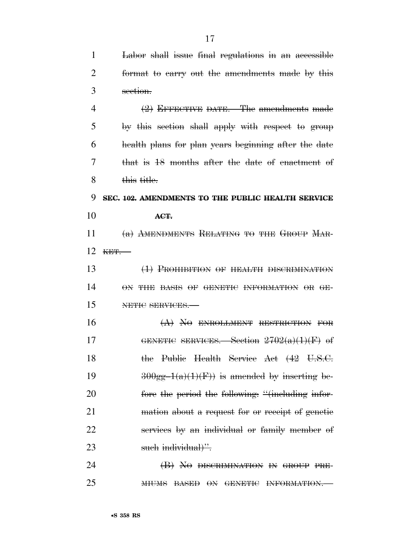| 1              | Labor shall issue final regulations in an accessible |
|----------------|------------------------------------------------------|
| 2              | format to carry out the amendments made by this      |
| 3              | section.                                             |
| $\overline{4}$ | $(2)$ EFFECTIVE DATE.—The amendments made            |
| 5              | by this section shall apply with respect to group    |
| 6              | health plans for plan years beginning after the date |
| 7              | that is 18 months after the date of enactment of     |
| 8              | this title.                                          |
| 9              | SEC. 102. AMENDMENTS TO THE PUBLIC HEALTH SERVICE    |
| 10             | ACT.                                                 |
| 11             | (a) AMENDMENTS RELATING TO THE GROUP MAR-            |
| 12             | KET.                                                 |
| 13             | (1) PROHIBITION OF HEALTH DISCRIMINATION             |
| 14             | ON THE BASIS OF GENETIC INFORMATION OR GE-           |
| 15             | NETIC SERVICES.                                      |
| 16             | $(A)$ NO ENROLLMENT RESTRICTION FOR                  |
| 17             | GENETIC SERVICES. Section $2702(a)(1)(F)$ of         |
| 18             | the Public Health Service Act (42 U.S.C.             |
| 19             | $300gg-1(a)(1)(F)$ is amended by inserting be-       |
| 20             | fore the period the following: "(including infor-    |
| 21             | mation about a request for or receipt of genetic     |
| 22             | services by an individual or family member of        |
| 23             | such individual)".                                   |
| 24             | (B) NO DISCRIMINATION IN GROUP PRE-                  |
| 25             | MIUMS BASED ON GENETIC INFORMATION.                  |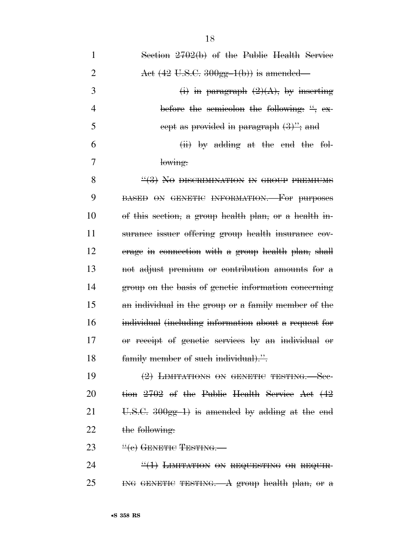| $\mathbf{1}$   | Section 2702(b) of the Public Health Service               |
|----------------|------------------------------------------------------------|
| $\overline{2}$ | Act $(42 \text{ U.S.C. } 300 \text{ gg-1(b)})$ is amended— |
| 3              | (i) in paragraph $(2)(A)$ , by inserting                   |
| 4              | before the semicolon the following: $\frac{u}{v}$ , ex-    |
| 5              | eept as provided in paragraph $(3)$ "; and                 |
| 6              | $(ii)$ by adding at the end the fol-                       |
| 7              | lowing:                                                    |
| 8              | $\frac{14}{3}$ No DISCRIMINATION IN GROUP PREMIUMS         |
| 9              | <b>BASED ON GENETIC INFORMATION.</b> For purposes          |
| 10             | of this section, a group health plan, or a health in-      |
| 11             | surance issuer offering group health insurance cov-        |
| 12             | erage in connection with a group health plan, shall        |
| 13             | not adjust premium or contribution amounts for a           |
| 14             | group on the basis of genetic information concerning       |
| 15             | an individual in the group or a family member of the       |
| 16             | individual (including information about a request for      |
| 17             | or receipt of genetic services by an individual or         |
| 18             | family member of such individual).".                       |
| 19             | $(2)$ LIMITATIONS ON GENETIC TESTING. See-                 |
| 20             | tion 2702 of the Public Health Service Act (42             |
| 21             | U.S.C. $300gg-1$ is amended by adding at the end           |
| 22             | the following:                                             |
| 23             | $\frac{u(e)}{e}$ GENETIC TESTING.                          |
| 24             | $\frac{11}{11}$ LIMITATION ON REQUESTING OR REQUIR-        |
| 25             | ING GENETIC TESTING. A group health plan, or $a$           |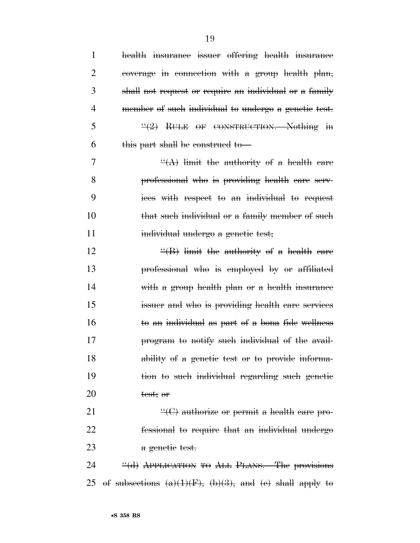| 1              | health insurance issuer offering health insurance                |
|----------------|------------------------------------------------------------------|
| $\overline{2}$ | coverage in connection with a group health plan,                 |
| 3              | shall not request or require an individual or a family           |
| 4              | member of such individual to undergo a genetic test.             |
| 5              | $\frac{H(2)}{B}$ RULE OF CONSTRUCTION. Nothing in                |
| 6              | this part shall be construed to                                  |
| 7              | $\frac{H(A)}{H}$ limit the authority of a health care            |
| 8              | professional who is providing health care serv-                  |
| 9              | ices with respect to an individual to request                    |
| 10             | that such individual or a family member of such                  |
| 11             | individual undergo a genetic test;                               |
| 12             | $\frac{H}{B}$ limit the authority of a health care               |
| 13             | professional who is employed by or affiliated                    |
| 14             | with a group health plan or a health insurance                   |
| 15             | issuer and who is providing health care services                 |
| 16             | to an individual as part of a bona fide wellness                 |
| 17             | program to notify such individual of the avail-                  |
| 18             | ability of a genetic test or to provide informa-                 |
| 19             | tion to such individual regarding such genetic                   |
| 20             | test; or                                                         |
| 21             | $\lq\lq$ authorize or permit a health care pro-                  |
| 22             | fessional to require that an individual undergo                  |
| 23             | a genetic test.                                                  |
| 24             | "(d) APPLICATION TO ALL PLANS.—The provisions                    |
| 25             | of subsections $(a)(1)(F)$ , $(b)(3)$ , and $(e)$ shall apply to |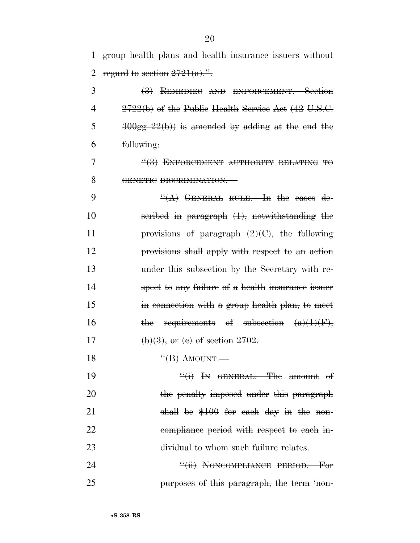1 group health plans and health insurance issuers without 2 regard to section  $2721(a)$ .".

 (3) REMEDIES AND ENFORCEMENT.—Section  $2722(b)$  of the Public Health Service Act  $(42 \text{ U.S.C.})$  $300gg-22(b)$  is amended by adding at the end the following:

 $\frac{17}{7}$   $\frac{17}{3}$  ENFORCEMENT AUTHORITY RELATING TO 8 GENETIC DISCRIMINATION.—

 $\frac{d}{dA}$  GENERAL RULE. In the cases de- scribed in paragraph (1), notwithstanding the **provisions of paragraph**  $(2)(C)$ , the following provisions shall apply with respect to an action under this subsection by the Secretary with re- spect to any failure of a health insurance issuer 15 in connection with a group health plan, to meet 16 the requirements of subsection  $(a)(1)(F)$ , 17 (b)(3), or (e) of section  $2702$ .

18  $\frac{H}{B}$  AMOUNT.

19  $\frac{((i)}{1}$  In GENERAL.—The amount of 20 the penalty imposed under this paragraph 21 shall be \$100 for each day in the non-22 compliance period with respect to each in-23 dividual to whom such failure relates.

24 **The Contract of Contract PERIOD.** For 25 purposes of this paragraph, the term 'non-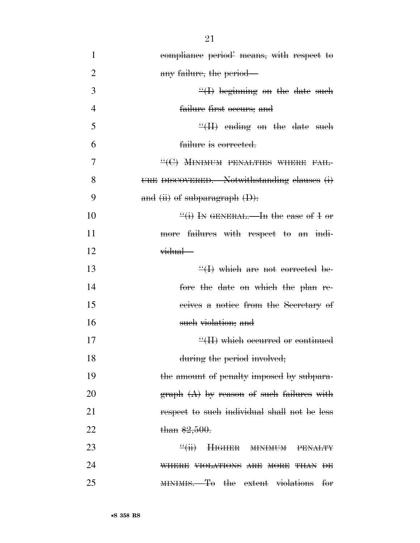| 1              | compliance period means, with respect to                   |
|----------------|------------------------------------------------------------|
| $\overline{2}$ | any failure, the period—                                   |
| 3              | $\frac{H}{H}$ beginning on the date such                   |
| 4              | failure first occurs; and                                  |
| 5              | $\frac{H}{H}$ ending on the date such                      |
| 6              | failure is corrected.                                      |
| 7              | $\lq\lq (C)$ MINIMUM PENALTIES WHERE FAIL-                 |
| 8              | URE DISCOVERED. Notwithstanding clauses (i)                |
| 9              | and $(ii)$ of subparagraph $(D)$ :                         |
| 10             | $\frac{H(t)}{H}$ In GENERAL.—In the case of 1 or           |
| 11             | more failures with respect to an indi-                     |
| 12             | vidual—                                                    |
| 13             | $\frac{H}{H}$ which are not corrected be-                  |
| 14             | fore the date on which the plan re-                        |
| 15             | ecives a notice from the Secretary of                      |
| 16             | such violation; and                                        |
| 17             | $\frac{H}{H}$ which occurred or continued                  |
| 18             | during the period involved;                                |
| 19             | the amount of penalty imposed by subpara-                  |
| 20             | $graph$ $(A)$ by reason of such failures with              |
| 21             | respect to such individual shall not be less               |
| 22             | than $$2,500.$                                             |
| 23             | $\frac{u}{\pm}$<br><b>HIGHER MINIMUM</b><br><b>PENALTY</b> |
| 24             | WHERE VIOLATIONS ARE MORE THAN DE                          |
| 25             | MINIMIS.—To the extent violations<br><del>for</del>        |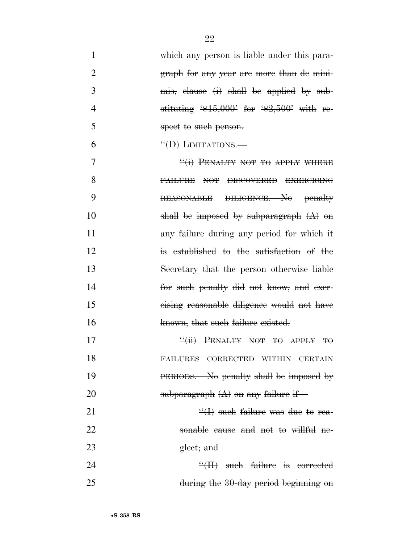- 1 which any person is liable under this para-2 graph for any year are more than de mini-3 mis, clause (i) shall be applied by sub-4 stituting  $\frac{4}{5,000}$  for  $\frac{42,500}{100}$  with re-5 spect to such person. 6  $\text{``(D)}$  LIMITATIONS.  $\frac{1}{1}$  PENALTY NOT TO APPLY WHERE 8 FAILURE NOT DISCOVERED EXERCISING 9 REASONABLE DILIGENCE.—No penalty 10 shall be imposed by subparagraph  $(A)$  on 11 any failure during any period for which it 12 is established to the satisfaction of the
- 13 Secretary that the person otherwise liable 14 for such penalty did not know, and exer-15 cising reasonable diligence would not have 16 known, that such failure existed.
- 17  $\frac{4}{11}$  PENALTY NOT TO APPLY TO 18 FAILURES CORRECTED WITHIN CERTAIN 19 PERIODS.—No penalty shall be imposed by 20 subparagraph  $(A)$  on any failure if

21  $\frac{1}{2}$  such failure was due to rea-22 sonable cause and not to willful ne-23 gleet; and

24 ''(II) such failure is corrected 25 during the 30-day period beginning on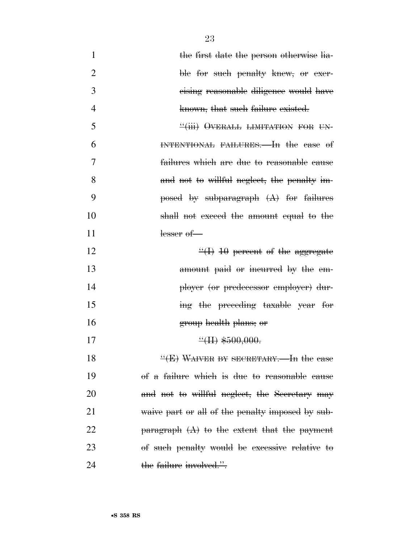| $\mathbf{1}$   | the first date the person otherwise lia-               |
|----------------|--------------------------------------------------------|
| $\overline{2}$ | ble for such penalty knew, or exer-                    |
| 3              | eising reasonable diligence would have                 |
| $\overline{4}$ | known, that such failure existed.                      |
| 5              | "(iii) OVERALL LIMITATION FOR UN-                      |
| 6              | INTENTIONAL FAILURES. In the case of                   |
| 7              | failures which are due to reasonable cause             |
| 8              | and not to willful neglect, the penalty im-            |
| 9              | posed by subparagraph $(A)$ for failures               |
| 10             | shall not exceed the amount equal to the               |
| 11             | $lesser$ of —                                          |
| 12             | $\frac{4}{10}$ + 10 percent of the aggregate           |
| 13             | amount paid or incurred by the em-                     |
| 14             | ployer (or predecessor employer) dur-                  |
| 15             | ing the preceding taxable year for                     |
| 16             | group health plans; or                                 |
| 17             | $H$ \$500,000.                                         |
| 18             | "(E) WAIVER BY SECRETARY.—In the case                  |
| 19             | of a failure which is due to reasonable cause          |
| 20             | and not to willful neglect, the Secretary may          |
| 21             | waive part or all of the penalty imposed by sub-       |
| 22             | $\beta$ paragraph $(A)$ to the extent that the payment |
| 23             | of such penalty would be excessive relative to         |
| 24             | the failure involved.".                                |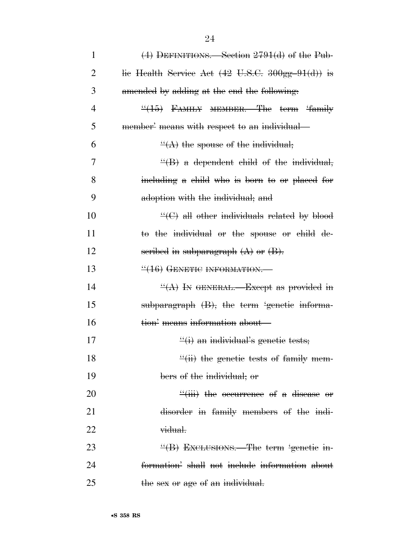| $\mathbf{1}$ | $(4)$ DEFINITIONS.—Section 2791 $(d)$ of the Pub-                                |
|--------------|----------------------------------------------------------------------------------|
| 2            | lie Health Service Act $(42 \text{ U.S.C. } 300 \text{ gg} - 91 \text{ (d)})$ is |
| 3            | amended by adding at the end the following.                                      |
| 4            | "(15) FAMILY MEMBER.—The term 'family                                            |
| 5            | member' means with respect to an individual—                                     |
| 6            | $\frac{H(A)}{A}$ the spouse of the individual;                                   |
| 7            | $\frac{H}{B}$ a dependent child of the individual,                               |
| 8            | including a child who is born to or placed for                                   |
| 9            | adoption with the individual; and                                                |
| 10           | $\mathcal{L}(\Theta)$ all other individuals related by blood                     |
| 11           | to the individual or the spouse or child de-                                     |
| 12           | scribed in subparagraph (A) or (B).                                              |
| 13           | $\frac{116}{16}$ GENETIC INFORMATION.                                            |
| 14           | $\frac{H(A)}{A}$ In GENERAL.—Except as provided in                               |
| 15           | subparagraph (B), the term 'genetic informa-                                     |
| 16           | tion' means information about—                                                   |
| 17           | $\frac{f'(i)}{i}$ an individual's genetic tests;                                 |
| 18           | $\frac{H}{H}$ the genetic tests of family mem-                                   |
| 19           | bers of the individual; or                                                       |
| 20           | $\frac{d}{d}$ iii) the occurrence of a disease or                                |
| 21           | disorder in family members of the indi-                                          |
| 22           | vidual.                                                                          |
| 23           | "(B) EXCLUSIONS.—The term 'genetic in-                                           |
| 24           | formation' shall not include information about                                   |
| 25           | the sex or age of an individual.                                                 |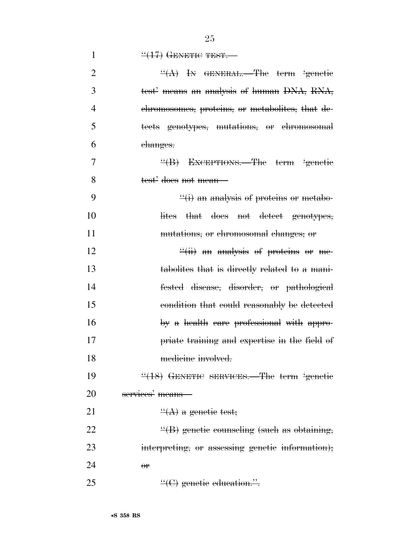|  | $\frac{447}{47}$ GENETIC TEST. |
|--|--------------------------------|
|--|--------------------------------|

| $\overline{2}$ | $\frac{H(A)}{B}$ In GENERAL.—The term 'genetic       |
|----------------|------------------------------------------------------|
| 3              | test' means an analysis of human DNA, RNA,           |
| 4              | chromosomes, proteins, or metabolites, that de-      |
| 5              | tects genotypes, mutations, or chromosomal           |
| 6              | <del>changes.</del>                                  |
| $\overline{7}$ | "(B) EXCEPTIONS.—The term 'genetic                   |
| 8              | test' does not mean—                                 |
| 9              | $\frac{d}{dx}(i)$ an analysis of proteins or metabo- |
| 10             | lites that does not detect genotypes,                |
| 11             | mutations, or chromosomal changes; or                |
| 12             | $\frac{f'(ii)}{ii}$ an analysis of proteins or me-   |
| 13             | tabolites that is directly related to a mani-        |
| 14             | fested disease, disorder, or pathological            |
| 15             | condition that could reasonably be detected          |
| 16             | by a health care professional with appro-            |
| 17             | priate training and expertise in the field of        |
| 18             | medicine involved.                                   |
| 19             | "(18) GENETIC SERVICES.—The term 'genetic            |
| 20             | services' means-                                     |
| 21             | $\frac{d}{dx}(A)$ a genetic test;                    |
| 22             | $\frac{H}{B}$ genetic counseling (such as obtaining, |
| 23             | interpreting, or assessing genetic information);     |
| 24             | $\theta$ <sup>r</sup>                                |
| 25             | $\lq\lq$ genetic education.".                        |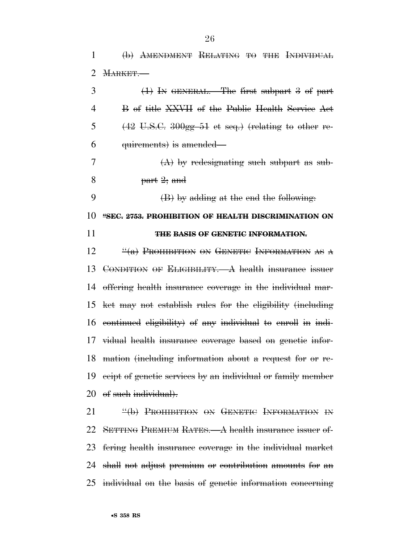(b) AMENDMENT RELATING TO THE INDIVIDUAL MARKET.—

| 3  | $(1)$ In GENERAL.—The first subpart 3 of part                                     |
|----|-----------------------------------------------------------------------------------|
| 4  | B of title XXVII of the Public Health Service Act                                 |
| 5  | $(42 \text{ U.S.C. } 300 \text{ gg} - 51 \text{ et seq.})$ (relating to other re- |
| 6  | quirements) is amended—                                                           |
| 7  | $(A)$ by redesignating such subpart as sub-                                       |
| 8  | $part\ 2; and$                                                                    |
| 9  | (B) by adding at the end the following.                                           |
| 10 | "SEC. 2753. PROHIBITION OF HEALTH DISCRIMINATION ON                               |
| 11 | THE BASIS OF GENETIC INFORMATION.                                                 |
| 12 | $\frac{u}{a}$ Prohibition on Genetic Information as a                             |
| 13 | CONDITION OF ELIGIBILITY.—A health insurance issuer                               |
| 14 | offering health insurance coverage in the individual mar-                         |
| 15 | ket may not establish rules for the eligibility (including                        |
| 16 | eontinued eligibility) of any individual to enroll in indi-                       |
| 17 | vidual health insurance coverage based on genetic infor-                          |
| 18 | mation (including information about a request for or re-                          |
| 19 | ecipt of genetic services by an individual or family member                       |
|    | 20 of such individual).                                                           |
|    |                                                                                   |

**''(b) PROHIBITION ON GENETIC INFORMATION IN**  SETTING PREMIUM RATES.—A health insurance issuer of- fering health insurance coverage in the individual market shall not adjust premium or contribution amounts for an individual on the basis of genetic information concerning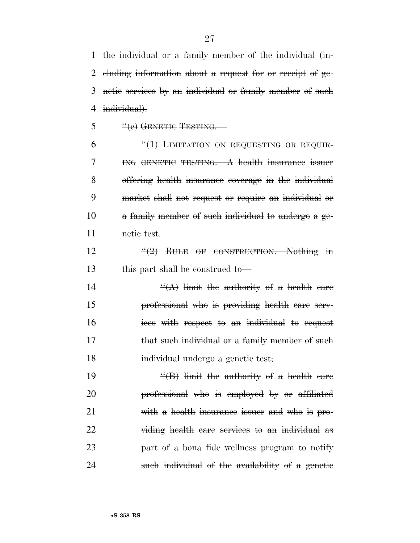the individual or a family member of the individual (in- cluding information about a request for or receipt of ge- netic services by an individual or family member of such 4 individual).

"(e) GENETIC TESTING.

 $6 \frac{4}{1}$  LIMITATION ON REQUESTING OR REQUIR- ING GENETIC TESTING.—A health insurance issuer offering health insurance coverage in the individual market shall not request or require an individual or a family member of such individual to undergo a ge-netic test.

 ''(2) RULE OF CONSTRUCTION.—Nothing in 13 this part shall be construed to

14  $\frac{d}{dx}$  imit the authority of a health care professional who is providing health care serv-16 ices with respect to an individual to request 17 that such individual or a family member of such 18 individual undergo a genetic test;

 $\frac{1}{2}$  imit the authority of a health care professional who is employed by or affiliated with a health insurance issuer and who is pro- viding health care services to an individual as part of a bona fide wellness program to notify 24 such individual of the availability of a genetic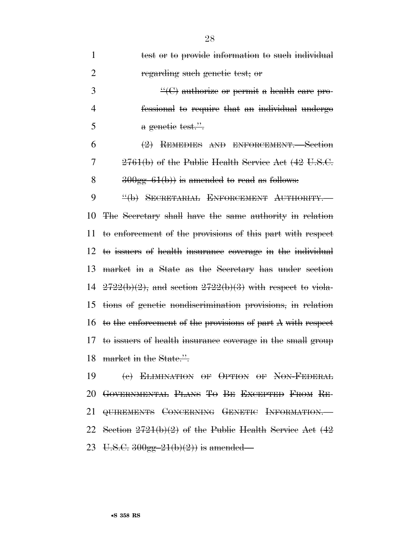| $\mathbf{1}$   | test or to provide information to such individual              |
|----------------|----------------------------------------------------------------|
| $\overline{2}$ | regarding such genetic test; or                                |
| 3              | $\cdot$ (C) authorize or permit a health care pro-             |
| $\overline{4}$ | fessional to require that an individual undergo                |
| 5              | a genetic test."                                               |
| 6              | (2) REMEDIES AND ENFORCEMENT. Section                          |
| 7              | 2761(b) of the Public Health Service Act (42 U.S.C.            |
| 8              | $300gg-61(b)$ is amended to read as follows:                   |
| 9              | "(b) SECRETARIAL ENFORCEMENT AUTHORITY.                        |
| 10             | The Secretary shall have the same authority in relation        |
| 11             | to enforcement of the provisions of this part with respect     |
| 12             | to issuers of health insurance coverage in the individual      |
| 13             | market in a State as the Secretary has under section           |
| 14             | $2722(b)(2)$ , and section $2722(b)(3)$ with respect to viola- |
| 15             | tions of genetic nondiscrimination provisions, in relation     |
| 16             | to the enforcement of the provisions of part A with respect    |
| 17             | to issuers of health insurance coverage in the small group     |
|                | 18 market in the State.".                                      |
| 19             | (e) ELIMINATION OF OPTION OF NON-FEDERAL                       |
|                | 20 GOVERNMENTAL PLANS TO BE EXCEPTED FROM RE-                  |
|                | 21 <del>QUIREMENTS</del> CONCERNING GENETIC INFORMATION.—      |
|                |                                                                |

 Section 2721(b)(2) of the Public Health Service Act (42 23 U.S.C.  $300gg-21(b)(2)$  is amended—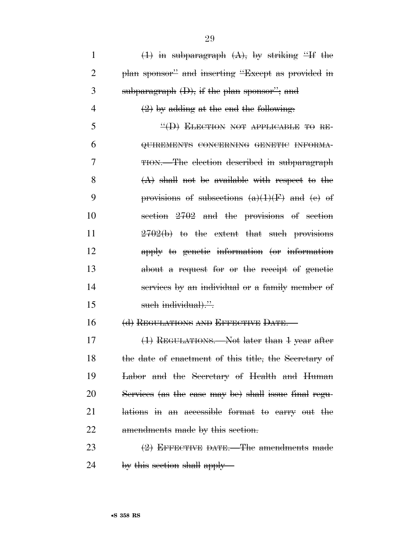$(1)$  in subparagraph  $(A)$ , by striking "If the plan sponsor'' and inserting ''Except as provided in 3 subparagraph  $(D)$ , if the plan sponsor"; and  $(2)$  by adding at the end the following:  $\frac{4}{1}$  ELECTION NOT APPLICABLE TO RE- QUIREMENTS CONCERNING GENETIC INFORMA- TION.—The election described in subparagraph  $(A)$  shall not be available with respect to the **provisions of subsections**  $(a)(1)(F)$  **and**  $(e)$  **of**  section 2702 and the provisions of section 11 2702(b) to the extent that such provisions apply to genetic information (or information about a request for or the receipt of genetic services by an individual or a family member of 15 such individual).". 16 (d) REGULATIONS AND EFFECTIVE DATE. 17 (1) REGULATIONS. Not later than 1 year after 18 the date of enactment of this title, the Secretary of Labor and the Secretary of Health and Human Services (as the case may be) shall issue final regu- lations in an accessible format to carry out the 22 amendments made by this section.  $(2)$  EFFECTIVE DATE.—The amendments made

24 by this section shall apply—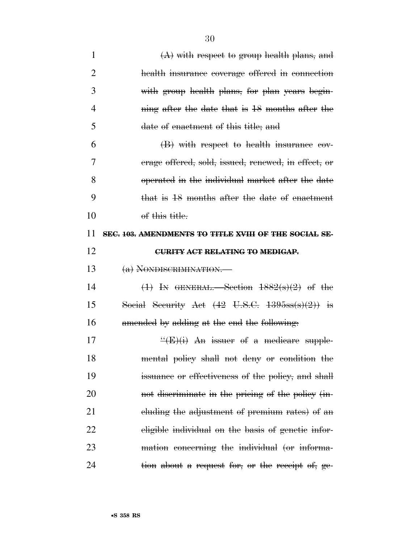| $\mathbf{1}$   | $(A)$ with respect to group health plans, and                     |
|----------------|-------------------------------------------------------------------|
| 2              | health insurance coverage offered in connection                   |
| 3              | with group health plans, for plan years begin-                    |
| $\overline{4}$ | ning after the date that is 18 months after the                   |
| 5              | date of enactment of this title; and                              |
| 6              | (B) with respect to health insurance cov-                         |
| 7              | erage offered, sold, issued, renewed, in effect, or               |
| 8              | operated in the individual market after the date                  |
| 9              | that is 18 months after the date of enactment                     |
| 10             | of this title.                                                    |
| 11             | SEC. 103. AMENDMENTS TO TITLE XVIII OF THE SOCIAL SE-             |
| 12             | <b>CURITY ACT RELATING TO MEDIGAP.</b>                            |
|                |                                                                   |
| 13             | (a) NONDISCRIMINATION.—                                           |
| 14             | $(1)$ In GENERAL.—Section $1882(s)(2)$ of the                     |
| 15             | Social Security Act $(42 \text{ U.S.C. } 1395\text{ss(s)}(2))$ is |
| 16             | amended by adding at the end the following:                       |
| 17             | $\frac{H}{E}(E)(i)$ An issuer of a medicare supple-               |
| 18             | mental policy shall not deny or condition the                     |
| 19             | issuance or effectiveness of the policy, and shall                |
| 20             | not discriminate in the pricing of the policy (in-                |
| 21             | eluding the adjustment of premium rates) of an                    |
| 22             | eligible individual on the basis of genetic infor-                |
| 23             | mation concerning the individual (or informa-                     |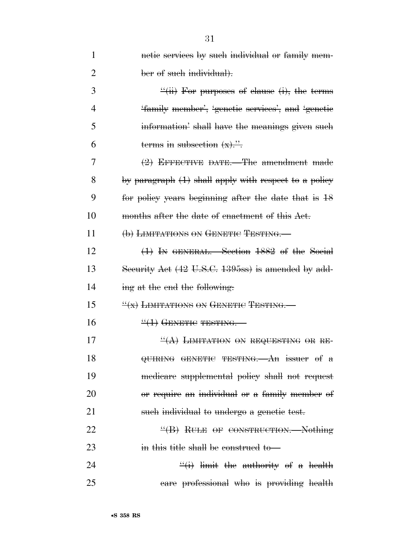| 1              | netic services by such individual or family mem-        |
|----------------|---------------------------------------------------------|
| $\overline{2}$ | ber of such individual).                                |
| 3              | $\frac{H}{H}$ For purposes of elause (i), the terms     |
| 4              | 'family member', 'genetic services', and 'genetic       |
| 5              | information' shall have the meanings given such         |
| 6              | terms in subsection $(x)$ .".                           |
| 7              | $(2)$ EFFECTIVE DATE.—The amendment made                |
| 8              | by paragraph $(1)$ shall apply with respect to a policy |
| 9              | for policy years beginning after the date that is 18    |
| 10             | months after the date of enactment of this Act.         |
| 11             | (b) LIMITATIONS ON GENETIC TESTING.                     |
| 12             | (1) IN GENERAL. Section 1882 of the Social              |
| 13             | Security Act (42 U.S.C. 1395ss) is amended by add-      |
| 14             | ing at the end the following:                           |
| 15             | $\frac{W(x)}{X}$ LIMITATIONS ON GENETIC TESTING.        |
| 16             | $\frac{11}{1}$ GENETIC TESTING.                         |
| 17             | $\frac{H(A)}{H}$ LIMITATION ON REQUESTING OR RE-        |
| 18             | QUIRING GENETIC TESTING. An issuer of $a$               |
| 19             | medicare supplemental policy shall not request          |
| 20             | or require an individual or a family member of          |
| 21             | such individual to undergo a genetic test.              |
| 22             | $\frac{H}{B}$ RULE OF CONSTRUCTION. Nothing             |
| 23             | in this title shall be construed to                     |
| 24             | $\frac{f'(i)}{i}$ limit the authority of a health       |
| 25             | eare professional who is providing health               |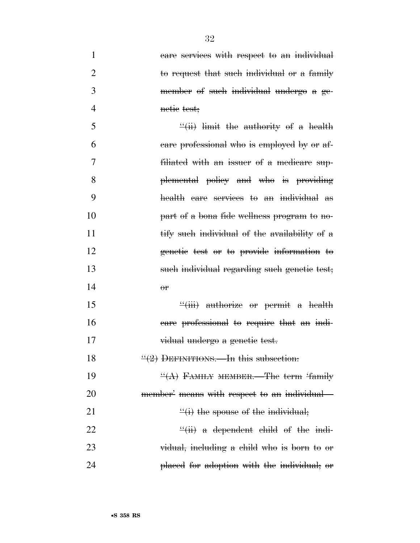| $\mathbf{1}$   | care services with respect to an individual          |
|----------------|------------------------------------------------------|
| $\overline{2}$ | to request that such individual or a family          |
| 3              | member of such individual undergo a ge-              |
| $\overline{4}$ | netie test;                                          |
| 5              | $\frac{H}{H}$ imit the authority of a health         |
| 6              | eare professional who is employed by or af-          |
| 7              | filiated with an issuer of a medicare sup-           |
| 8              | plemental policy and who is providing                |
| 9              | health care services to an individual as             |
| 10             | part of a bona fide wellness program to no-          |
| 11             | tify such individual of the availability of a        |
| 12             | genetic test or to provide information to            |
| 13             | such individual regarding such genetic test;         |
| 14             | $\theta$ <sup>r</sup>                                |
| 15             | $\frac{u}{i}$ authorize or permit a health           |
| 16             | eare professional to require that an indi-           |
| 17             | vidual undergo a genetic test.                       |
| 18             | $\frac{11}{2}$ DEFINITIONS. In this subsection:      |
| 19             | $\frac{H(A)}{H(A)}$ FAMILY MEMBER.—The term 'family' |
| 20             | member' means with respect to an individual—         |
| 21             | $\frac{f'(i)}{i}$ the spouse of the individual;      |
| 22             | $\frac{H}{H}$ a dependent child of the indi-         |
| 23             | vidual, including a child who is born to or          |
| 24             | placed for adoption with the individual; or          |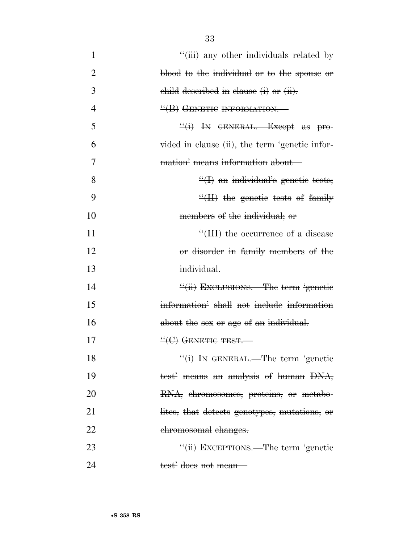| $\mathbf{1}$   | $\frac{d}{dx}$ any other individuals related by   |
|----------------|---------------------------------------------------|
| $\overline{2}$ | blood to the individual or to the spouse or       |
| 3              | child described in clause (i) or (ii).            |
| $\overline{4}$ | $\frac{H}{B}$ GENETIC INFORMATION.                |
| 5              | $\frac{d}{dx}(i)$ In GENERAL. Except as pro-      |
| 6              | vided in clause (ii), the term 'genetic infor-    |
| 7              | mation' means information about-                  |
| 8              | $\mathcal{L}(I)$ an individual's genetic tests;   |
| 9              | $\dddot{\mathcal{H}}$ the genetic tests of family |
| 10             | members of the individual; or                     |
| 11             | $\frac{4}{111}$ the occurrence of a disease       |
| 12             | or disorder in family members of the              |
| 13             | individual.                                       |
| 14             | "(ii) EXCLUSIONS.—The term 'genetic               |
| 15             | information' shall not include information        |
| 16             | about the sex or age of an individual.            |
| 17             | $\rm ^{11}C$ GENETIC TEST.                        |
| 18             | "(i) IN GENERAL.—The term 'genetic                |
| 19             | test' means an analysis of human DNA,             |
| 20             | RNA, ehromosomes, proteins, or metabo-            |
| 21             | lites, that detects genotypes, mutations, or      |
| 22             | chromosomal changes.                              |
| 23             | "(ii) EXCEPTIONS.—The term 'genetic               |
| 24             | <del>test'</del> <del>does not mean—</del>        |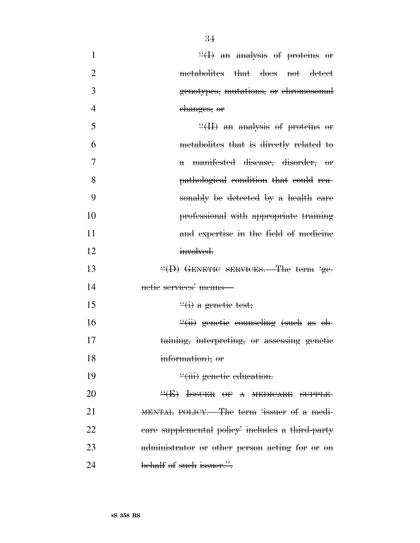| $\mathbf{1}$   | $\frac{H}{H}$ an analysis of proteins or                 |
|----------------|----------------------------------------------------------|
| $\overline{2}$ | metabolites that does not detect                         |
| 3              | genotypes, mutations, or ehromosomal                     |
| $\overline{4}$ | changes; or                                              |
| 5              | $\mathcal{H}(H)$ an analysis of proteins or              |
| 6              | metabolites that is directly related to                  |
| 7              | manifested disease, disorder, or<br>$\mathbf{\hat{\pi}}$ |
| 8              | pathological condition that could rea-                   |
| 9              | sonably be detected by a health care                     |
| 10             | professional with appropriate training                   |
| 11             | and expertise in the field of medicine                   |
| 12             | involved.                                                |
| 13             | $\frac{H}{D}$ GENETIC SERVICES.—The term 'ge-            |
| 14             | netic services' means-                                   |
| 15             | $\frac{d}{dx}$ a genetic test;                           |
| 16             | $\frac{d}{dx}$ genetic counseling (such as ob-           |
| 17             | taining, interpreting, or assessing genetic              |
| 18             | information); or                                         |
| 19             | $\frac{u}{i}$ genetic education.                         |
| 20             | $H(E)$ ISSUER OF A MEDICARE SUPPLE-                      |
| 21             | MENTAL POLICY.—The term 'issuer of a medi-               |
| 22             | eare supplemental policy includes a third-party          |
| 23             | administrator or other person acting for or on           |
| 24             | behalf of such issuer.".                                 |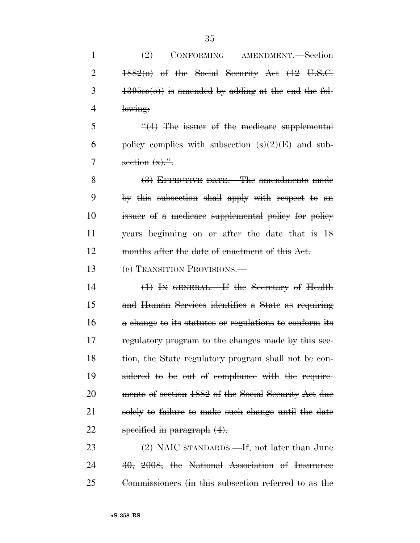| $\mathbf{1}$   | $\left(\frac{9}{2}\right)$<br>AMENDMENT.-Section<br><del>CONFORMING</del>    |
|----------------|------------------------------------------------------------------------------|
| $\overline{2}$ | $1882(0)$ of the Social Security Act $(42 \text{ U.S.C.})$                   |
| 3              | $\left( \frac{1395}{58}(0) \right)$ is amended by adding at the end the fol- |
| 4              | lowing:                                                                      |
| 5              | $\frac{4}{2}$ The issuer of the medicare supplemental                        |
| 6              | policy complies with subsection $(s)(2)(E)$ and sub-                         |
| 7              | section $(x)$                                                                |
| 8              | (3) EFFECTIVE DATE.—The amendments made                                      |
| 9              | by this subsection shall apply with respect to an                            |
| 10             | issuer of a medicare supplemental policy for policy                          |
| 11             | years beginning on or after the date that is 18                              |
| 12             | months after the date of enactment of this Act.                              |
| 13             | (e) TRANSITION PROVISIONS.                                                   |
| 14             | $(1)$ In GENERAL.—If the Secretary of Health                                 |
| 15             | and Human Services identifies a State as requiring                           |
| 16             | a change to its statutes or regulations to conform its                       |
| 17             | regulatory program to the changes made by this see-                          |
| 18             | tion, the State regulatory program shall not be con-                         |
| 19             | sidered to be out of compliance with the require-                            |
| 20             | ments of section 1882 of the Social Security Act due                         |
| 21             | solely to failure to make such change until the date                         |

22 specified in paragraph  $(4)$ .

23 (2) NAIC STANDARDS.—If, not later than June 24 30, 2008, the National Association of Insurance 25 Commissioners (in this subsection referred to as the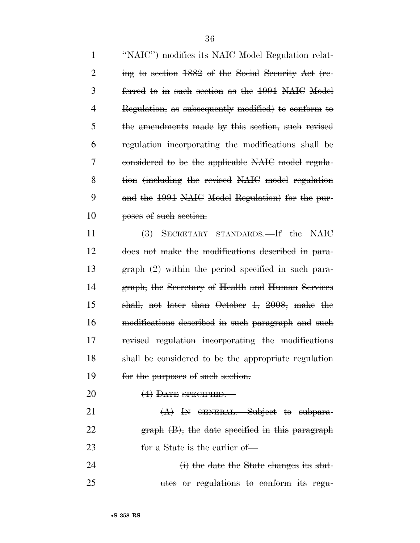''NAIC'') modifies its NAIC Model Regulation relat- ing to section 1882 of the Social Security Act (re- ferred to in such section as the 1991 NAIC Model Regulation, as subsequently modified) to conform to the amendments made by this section, such revised regulation incorporating the modifications shall be considered to be the applicable NAIC model regula- tion (including the revised NAIC model regulation and the 1991 NAIC Model Regulation) for the pur-**poses of such section.** 

 (3) SECRETARY STANDARDS.—If the NAIC does not make the modifications described in para- graph (2) within the period specified in such para- graph, the Secretary of Health and Human Services shall, not later than October 1, 2008, make the modifications described in such paragraph and such revised regulation incorporating the modifications shall be considered to be the appropriate regulation for the purposes of such section.

20  $(4)$  DATE SPECIFIED.

21  $(A)$  In GENERAL. Subject to subpara- graph (B), the date specified in this paragraph 23 for a State is the earlier of

24 (i) the date the State changes its stat-utes or regulations to conform its regu-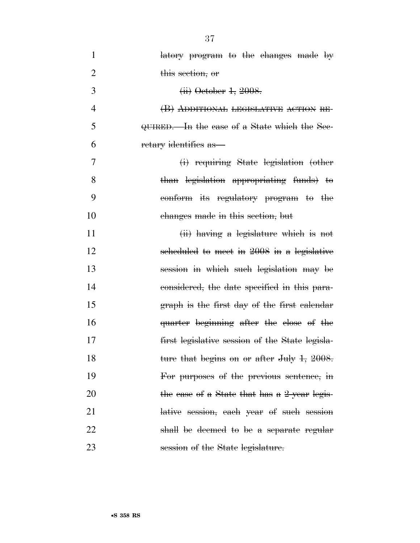| $\mathbf{1}$   | latory program to the changes made by           |
|----------------|-------------------------------------------------|
| $\overline{2}$ | this section, or                                |
| 3              | <del>(ii) October 1, 2008.</del>                |
| $\overline{4}$ | (B) ADDITIONAL LEGISLATIVE ACTION RE-           |
| 5              | QUIRED.—In the case of a State which the Sec-   |
| 6              | retary identifies as                            |
| 7              | (i) requiring State legislation (other          |
| 8              | than legislation appropriating funds) to        |
| 9              | conform its regulatory program to the           |
| 10             | changes made in this section, but               |
| 11             | $(ii)$ having a legislature which is not        |
| 12             | scheduled to meet in 2008 in a legislative      |
| 13             | session in which such legislation may be        |
| 14             | considered, the date specified in this para-    |
| 15             | graph is the first day of the first calendar    |
| 16             | quarter beginning after the close of the        |
| 17             | first legislative session of the State legisla- |
| 18             | ture that begins on or after July 1, 2008.      |
| 19             | For purposes of the previous sentence, in       |
| 20             | the case of a State that has a 2-year legis-    |
| 21             | lative session, each year of such session       |
| 22             | shall be deemed to be a separate regular        |
| 23             | session of the State legislature.               |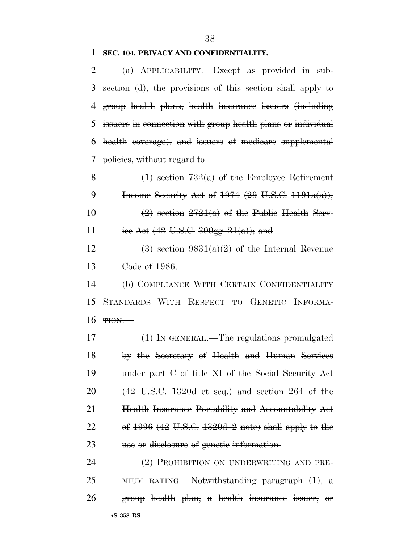## **SEC. 104. PRIVACY AND CONFIDENTIALITY.**

| 2  | $(a)$ APPLICABILITY. Except as provided in sub-                     |
|----|---------------------------------------------------------------------|
| 3  | section (d), the provisions of this section shall apply to          |
| 4  | group health plans, health insurance issuers (including             |
| 5  | issuers in connection with group health plans or individual         |
| 6  | health coverage), and issuers of medicare supplemental              |
| 7  | policies, without regard to                                         |
| 8  | $(1)$ section $732(a)$ of the Employee Retirement                   |
| 9  | Income Security Act of $1974$ (29 U.S.C. $1191a(a)$ );              |
| 10 | $(2)$ section $2721(a)$ of the Public Health Serv-                  |
| 11 | iee Aet $(42 \text{ U.S.C. } 300 \text{gg} - 21(a))$ ; and          |
| 12 | $(3)$ section $9831(a)(2)$ of the Internal Revenue                  |
| 13 | Code of 1986.                                                       |
| 14 | (b) COMPLIANCE WITH CERTAIN CONFIDENTIALITY                         |
| 15 | STANDARDS WITH RESPECT TO GENETIC INFORMA-                          |
| 16 | THON.                                                               |
| 17 | $(1)$ In GENERAL.—The regulations promulgated                       |
| 18 | by the Secretary of Health and Human Services                       |
| 19 | under part $C$ of title $H$ of the Social Security Act              |
| 20 | $(42 \text{ U.S.C. } 1320d \text{ et seq.})$ and section 264 of the |
| 21 | Health Insurance Portability and Accountability Act                 |
| 22 | of $1996$ (42 U.S.C. $1320d-2$ note) shall apply to the             |
| 23 | use or disclosure of genetic information.                           |
| 24 | $(2)$ PROHIBITION ON UNDERWRITING AND PRE-                          |
| 25 | $MUM$ RATING.—Notwithstanding paragraph $(1)$ , a                   |
| 26 | group health plan, a health insurance issuer, or                    |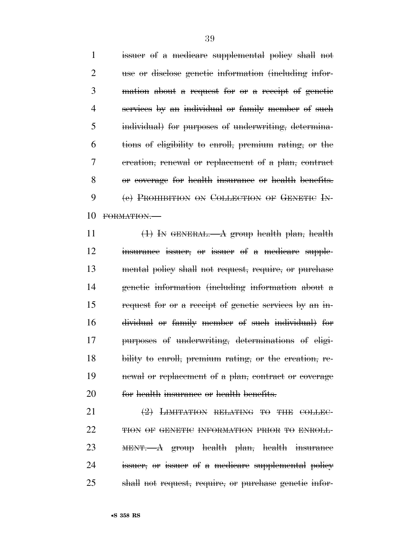issuer of a medicare supplemental policy shall not use or disclose genetic information (including infor- mation about a request for or a receipt of genetic services by an individual or family member of such individual) for purposes of underwriting, determina- tions of eligibility to enroll, premium rating, or the creation, renewal or replacement of a plan, contract or coverage for health insurance or health benefits. 9 (e) PROHIBITION ON COLLECTION OF GENETIC IN-FORMATION.—

 $\left(1\right)$  In GENERAL.—A group health plan, health insurance issuer, or issuer of a medicare supple- mental policy shall not request, require, or purchase genetic information (including information about a request for or a receipt of genetic services by an in- dividual or family member of such individual) for purposes of underwriting, determinations of eligi- bility to enroll, premium rating, or the creation, re- newal or replacement of a plan, contract or coverage 20 for health insurance or health benefits.

21 (2) LIMITATION RELATING TO THE COLLEC-22 THON OF GENETIC INFORMATION PRIOR TO ENROLL- MENT.—A group health plan, health insurance issuer, or issuer of a medicare supplemental policy shall not request, require, or purchase genetic infor-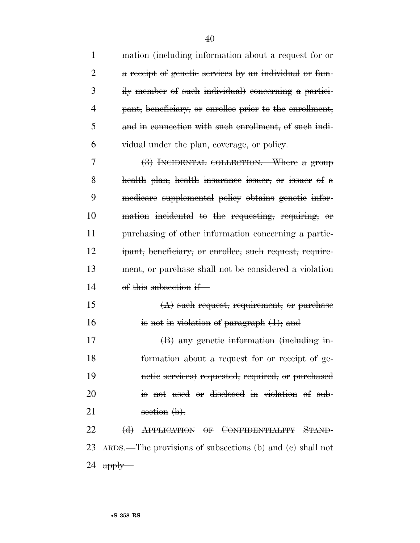| $\mathbf{1}$   | mation (including information about a request for or         |
|----------------|--------------------------------------------------------------|
| $\overline{2}$ | a receipt of genetic services by an individual or fam-       |
| 3              | ily member of such individual) concerning a partici-         |
| 4              | pant, beneficiary, or enrollee prior to the enrollment,      |
| 5              | and in connection with such enrollment, of such indi-        |
| 6              | vidual under the plan, coverage, or policy.                  |
| 7              | (3) INCIDENTAL COLLECTION. Where a group                     |
| 8              | health plan, health insurance issuer, or issuer of a         |
| 9              | medicare supplemental policy obtains genetic infor-          |
| 10             | mation incidental to the requesting, requiring, or           |
| 11             | purchasing of other information concerning a partic-         |
| 12             | ipant, beneficiary, or enrollee, such request, require-      |
| 13             | ment, or purchase shall not be considered a violation        |
| 14             | of this subsection if-                                       |
| 15             | $(A)$ such request, requirement, or purchase                 |
| 16             | is not in violation of paragraph $(1)$ ; and                 |
| 17             | (B) any genetic information (including in-                   |
| 18             | formation about a request for or receipt of ge-              |
| 19             | netic services) requested, required, or purchased            |
| 20             | is not used or disclosed in violation of sub-                |
| 21             | section $(\mathbf{b})$ .                                     |
| 22             | (d) APPLICATION OF CONFIDENTIALITY STAND-                    |
|                | 23 ARDS.—The provisions of subsections (b) and (c) shall not |
|                |                                                              |

apply—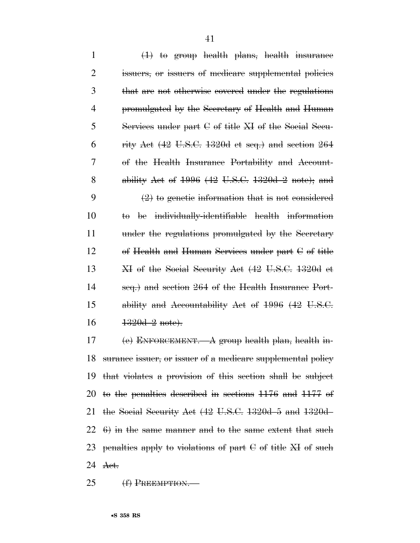| $\mathbf{1}$   | $(1)$ to group health plans, health insurance                           |
|----------------|-------------------------------------------------------------------------|
| $\overline{2}$ | issuers, or issuers of medicare supplemental policies                   |
| 3              | that are not otherwise covered under the regulations                    |
| 4              | promulgated by the Secretary of Health and Human                        |
| 5              | Services under part $C$ of title $XI$ of the Social Secu-               |
| 6              | rity Act $(42 \text{ U.S.C. } 1320d \text{ et seq.})$ and section $264$ |
| 7              | of the Health Insurance Portability and Account-                        |
| 8              | ability Act of $1996$ (42 U.S.C. 1320d-2 note); and                     |
| 9              | $(2)$ to genetic information that is not considered                     |
| 10             | be individually-identifiable health information<br>ŧθ                   |
| 11             | under the regulations promulgated by the Secretary                      |
| 12             | of Health and Human Services under part $C$ of title                    |
| 13             | XI of the Social Security Act (42 U.S.C. 1320d et                       |
| 14             | seq.) and section 264 of the Health Insurance Port-                     |
| 15             | ability and Accountability Act of 1996 (42 U.S.C.                       |
| 16             | $1320d - 2$ note).                                                      |
| 17             | (e) ENFORCEMENT. $-A$ group health plan, health in-                     |
|                |                                                                         |

 surance issuer, or issuer of a medicare supplemental policy that violates a provision of this section shall be subject to the penalties described in sections 1176 and 1177 of the Social Security Act (42 U.S.C. 1320d–5 and 1320d–  $22\quad 6)$  in the same manner and to the same extent that such 23 penalties apply to violations of part  $C$  of title  $XI$  of such Act.

25 (f) PREEMPTION.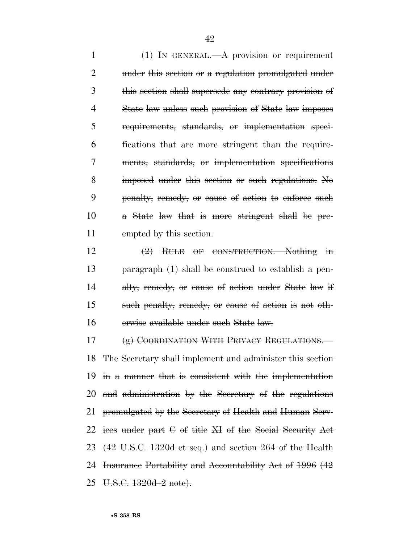(1) IN GENERAL.—A provision or requirement under this section or a regulation promulgated under this section shall supersede any contrary provision of State law unless such provision of State law imposes requirements, standards, or implementation speci- fications that are more stringent than the require- ments, standards, or implementation specifications imposed under this section or such regulations. No penalty, remedy, or cause of action to enforce such a State law that is more stringent shall be pre-11 empted by this section.

 (2) RULE OF CONSTRUCTION.—Nothing in paragraph (1) shall be construed to establish a pen-14 alty, remedy, or cause of action under State law if such penalty, remedy, or cause of action is not oth-erwise available under such State law.

17 (g) COORDINATION WITH PRIVACY REGULATIONS. The Secretary shall implement and administer this section in a manner that is consistent with the implementation and administration by the Secretary of the regulations promulgated by the Secretary of Health and Human Serv- ices under part C of title XI of the Social Security Act (42 U.S.C. 1320d et seq.) and section 264 of the Health 24 Insurance Portability and Accountability Act of 1996 (42 U.S.C. 1320d–2 note).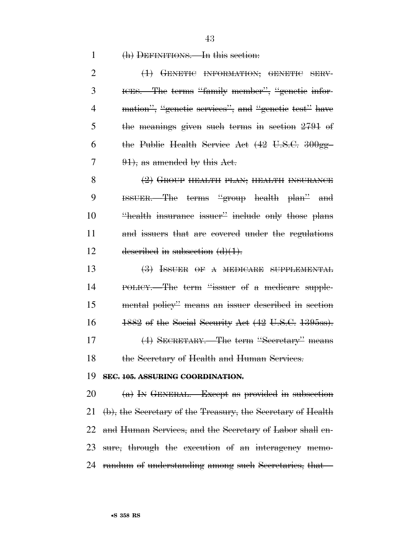43

#### 1 (h) DEFINITIONS.—In this section:

2 <del>(1) GENETIC INFORMATION; GENETIC SERV-</del> 3 ICES.—The terms "family member", "genetic infor-4 mation", "genetic services", and "genetic test" have 5 the meanings given such terms in section 2791 of 6 the Public Health Service Act (42 U.S.C. 300gg–  $7 \qquad 91$ , as amended by this Act.

8 (2) GROUP HEALTH PLAN; HEALTH INSURANCE 9 ISSUER.—The terms ''group health plan'' and 10 ''health insurance issuer'' include only those plans 11 and issuers that are covered under the regulations 12 described in subsection  $(d)(1)$ .

13 (3) ISSUER OF A MEDICARE SUPPLEMENTAL 14 POLICY.—The term "issuer of a medicare supple-15 mental policy'' means an issuer described in section 16 1882 of the Social Security Act (42 U.S.C. 1395ss). 17 (4) SECRETARY.—The term ''Secretary'' means 18 the Secretary of Health and Human Services.

#### 19 **SEC. 105. ASSURING COORDINATION.**

 $20 \text{ (a) }$  In GENERAL.—Except as provided in subsection (b), the Secretary of the Treasury, the Secretary of Health and Human Services, and the Secretary of Labor shall en- sure, through the execution of an interagency memo-randum of understanding among such Secretaries, that—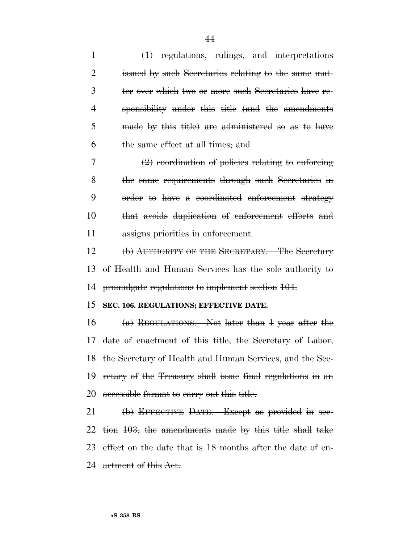(1) regulations, rulings, and interpretations issued by such Secretaries relating to the same mat- ter over which two or more such Secretaries have re- sponsibility under this title (and the amendments made by this title) are administered so as to have the same effect at all times; and (2) coordination of policies relating to enforcing the same requirements through such Secretaries in order to have a coordinated enforcement strategy that avoids duplication of enforcement efforts and 11 assigns priorities in enforcement. (b) AUTHORITY OF THE SECRETARY.—The Secretary of Health and Human Services has the sole authority to promulgate regulations to implement section 104. **SEC. 106. REGULATIONS; EFFECTIVE DATE.**  (a) REGULATIONS.—Not later than 1 year after the date of enactment of this title, the Secretary of Labor, the Secretary of Health and Human Services, and the Sec- retary of the Treasury shall issue final regulations in an 20 accessible format to carry out this title. 21 (b) EFFECTIVE DATE.—Except as provided in sec-tion 103, the amendments made by this title shall take

23 effect on the date that is 18 months after the date of en-

24 actment of this Act.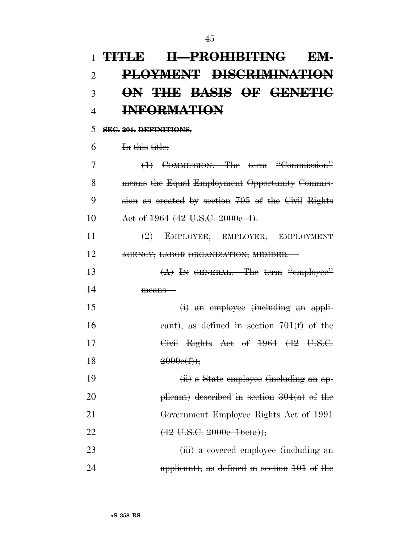# **TITLE II—PROHIBITING EM- PLOYMENT DISCRIMINATION ON THE BASIS OF GENETIC INFORMATION**

### **SEC. 201. DEFINITIONS.**

In this title:

 (1) COMMISSION.—The term ''Commission'' means the Equal Employment Opportunity Commis- sion as created by section 705 of the Civil Rights 10 Act of 1964 (42 U.S.C. 2000e–4).

 (2) EMPLOYEE; EMPLOYER; EMPLOYMENT **AGENCY**; LABOR ORGANIZATION; MEMBER.

13 (A) In GENERAL.—The term "employee" means—

 (i) an employee (including an appli-16 cant), as defined in section 701(f) of the Civil Rights Act of 1964 (42 U.S.C.  $2000e(f)$ ;

19 (ii) a State employee (including an ap-20 plicant) described in section  $304(a)$  of the Government Employee Rights Act of 1991 22  $(42 \text{ U.S.C. } 2000 \text{ e} - 16 \text{ e(a)})$ ;

23 (iii) a covered employee (including an applicant), as defined in section 101 of the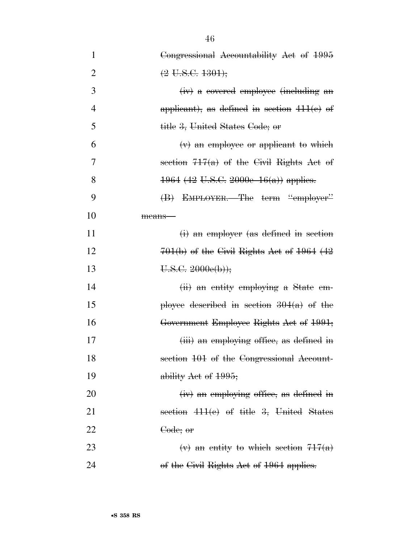| $\mathbf{1}$   | Congressional Accountability Act of 1995      |
|----------------|-----------------------------------------------|
| $\overline{2}$ | $(2 \text{ U.S.C. } 1301);$                   |
| 3              | (iv) a covered employee (including an         |
| $\overline{4}$ | applicant), as defined in section $411(e)$ of |
| 5              | <del>title 3, United States Code; or</del>    |
| 6              | $(v)$ an employee or applicant to which       |
| 7              | section $717(a)$ of the Civil Rights Act of   |
| 8              | $1964$ (42 U.S.C. 2000e– $16(a)$ ) applies.   |
| 9              | (B) EMPLOYER.—The term "employer"             |
| 10             | means—                                        |
| 11             | (i) an employer (as defined in section        |
| 12             | $701(b)$ of the Civil Rights Act of 1964 (42  |
| 13             | U.S.C. 2000e(b));                             |
| 14             | (ii) an entity employing a State em-          |
| 15             | ployee described in section $304(a)$ of the   |
| 16             | Government Employee Rights Act of 1991;       |
| 17             | (iii) an employing office, as defined in      |
| 18             | section 101 of the Congressional Account-     |
| 19             | ability Act of 1995;                          |
| 20             | (iv) an employing office, as defined in       |
| 21             | section $411(e)$ of title 3, United States    |
| 22             | <del>Code; or</del>                           |
| 23             | $(v)$ an entity to which section $717(a)$     |
| 24             | of the Civil Rights Act of 1964 applies.      |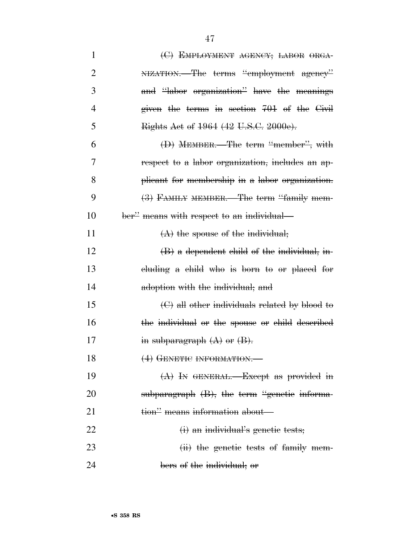| 1              | (C) EMPLOYMENT AGENCY; LABOR ORGA-                           |
|----------------|--------------------------------------------------------------|
| $\overline{2}$ | NIZATION. The terms "employment agency"                      |
| 3              | and "labor organization" have the meanings                   |
| 4              | given the terms in section $701$ of the Civil                |
| 5              | Rights Act of 1964 (42 U.S.C. 2000e).                        |
| 6              | (D) MEMBER.—The term "member", with                          |
| 7              | respect to a labor organization, includes an ap-             |
| 8              | plicant for membership in a labor organization.              |
| 9              | (3) FAMILY MEMBER.—The term "family mem-                     |
| 10             | ber" means with respect to an individual—                    |
| 11             | $(A)$ the spouse of the individual;                          |
| 12             | $\langle B \rangle$ a dependent child of the individual, in- |
| 13             | eluding a child who is born to or placed for                 |
| 14             | adoption with the individual; and                            |
| 15             | $\Theta$ all other individuals related by blood to           |
| 16             | the individual or the spouse or child described              |
| 17             | in subparagraph $(A)$ or $(B)$ .                             |
| 18             | (4) GENETIC INFORMATION.                                     |
| 19             | $(A)$ In GENERAL.—Except as provided in                      |
| 20             | subparagraph $(B)$ , the term "genetic informa-              |
| 21             | tion" means information about—                               |
| 22             | $(i)$ an individual's genetic tests;                         |
| 23             | (ii) the genetic tests of family mem-                        |
| 24             | bers of the individual; or                                   |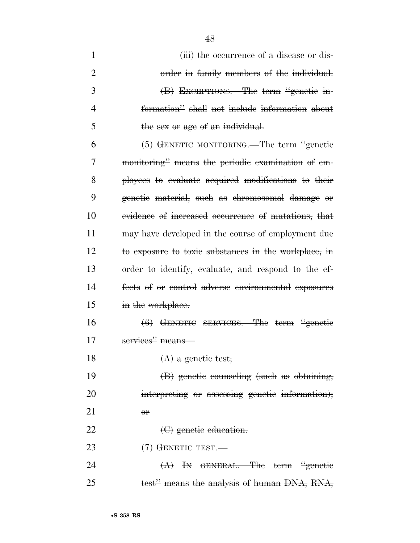1 (iii) the occurrence of a disease or dis- order in family members of the individual. (B) EXCEPTIONS.—The term ''genetic in- formation'' shall not include information about 5 the sex or age of an individual.  $(5)$  GENETIC MONITORING. The term "genetic monitoring'' means the periodic examination of em- ployees to evaluate acquired modifications to their genetic material, such as chromosomal damage or evidence of increased occurrence of mutations, that may have developed in the course of employment due to exposure to toxic substances in the workplace, in order to identify, evaluate, and respond to the ef- fects of or control adverse environmental exposures 15 in the workplace. (6) GENETIC SERVICES.—The term ''genetic services'' means—  $(A)$  a genetic test; (B) genetic counseling (such as obtaining, interpreting or assessing genetic information); 21  $\theta$ r 22 <del>(C)</del> genetic education.  $(7)$  GENETIC TEST. 24 (A) In GENERAL.—The term "genetic 25 test" means the analysis of human DNA, RNA,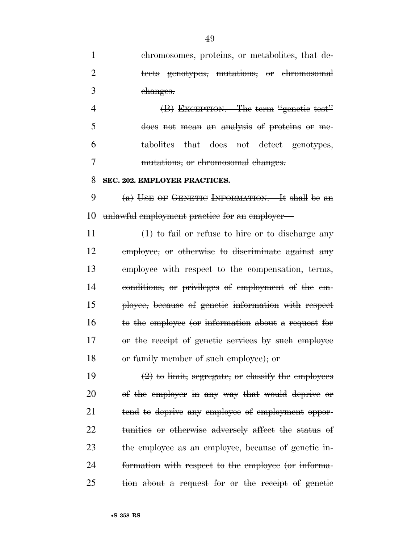chromosomes, proteins, or metabolites, that de- tects genotypes, mutations, or chromosomal changes.

4 (B) EXCEPTION.—The term "genetic test" does not mean an analysis of proteins or me- tabolites that does not detect genotypes, mutations, or chromosomal changes.

#### **SEC. 202. EMPLOYER PRACTICES.**

9  $(a)$  USE OF GENETIC INFORMATION. It shall be an unlawful employment practice for an employer—

 $(1)$  to fail or refuse to hire or to discharge any employee, or otherwise to discriminate against any employee with respect to the compensation, terms, conditions, or privileges of employment of the em- ployee, because of genetic information with respect to the employee (or information about a request for or the receipt of genetic services by such employee or family member of such employee); or

 $\left(2\right)$  to limit, segregate, or classify the employees of the employer in any way that would deprive or 21 tend to deprive any employee of employment oppor- tunities or otherwise adversely affect the status of the employee as an employee, because of genetic in- formation with respect to the employee (or informa-tion about a request for or the receipt of genetic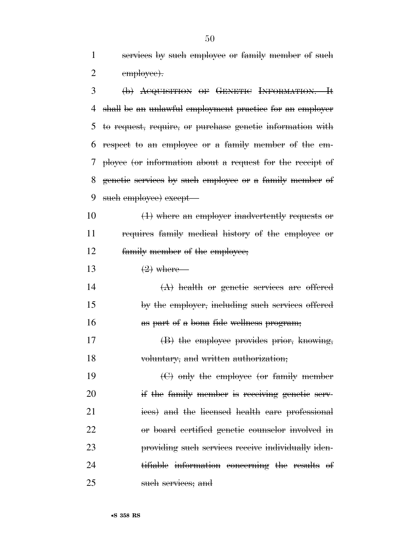services by such employee or family member of such 2 employee).

 (b) ACQUISITION OF GENETIC INFORMATION.—It shall be an unlawful employment practice for an employer to request, require, or purchase genetic information with respect to an employee or a family member of the em- ployee (or information about a request for the receipt of genetic services by such employee or a family member of 9 such employee) except—

10 (1) where an employer inadvertently requests or requires family medical history of the employee or family member of the employee;

13  $(2)$  where—

 $(A)$  health or genetic services are offered by the employer, including such services offered as part of a bona fide wellness program;

 (B) the employee provides prior, knowing, voluntary, and written authorization;

 (C) only the employee (or family member 20 if the family member is receiving genetic serv- ices) and the licensed health care professional or board certified genetic counselor involved in providing such services receive individually iden- tifiable information concerning the results of such services; and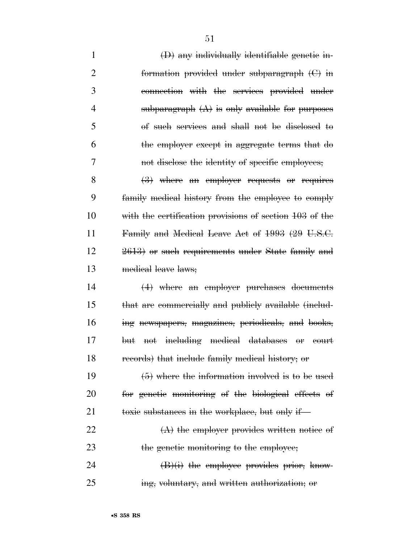| $\mathbf{1}$   | $(D)$ any individually identifiable genetic in-                   |
|----------------|-------------------------------------------------------------------|
| $\overline{2}$ | formation provided under subparagraph $(C)$ in                    |
| 3              | connection with the services provided under                       |
| 4              | subparagraph $(A)$ is only available for purposes                 |
| 5              | of such services and shall not be disclosed to                    |
| 6              | the employer except in aggregate terms that do                    |
| 7              | not disclose the identity of specific employees;                  |
| 8              | $\left(\frac{3}{2}\right)$ where an employer requests or requires |
| 9              | family medical history from the employee to comply                |
| 10             | with the certification provisions of section 103 of the           |
| 11             | Family and Medical Leave Act of 1993 (29 U.S.C.                   |
| 12             | 2613) or such requirements under State family and                 |
| 13             | medical leave laws;                                               |
| 14             | $(4)$ where an employer purchases documents                       |
| 15             | that are commercially and publicly available (includ-             |
| 16             | ing newspapers, magazines, periodicals, and books,                |
| 17             | not including medical databases or court<br><del>but</del>        |
| 18             | records) that include family medical history; or                  |
| 19             | $(5)$ where the information involved is to be used                |
| 20             | for genetic monitoring of the biological effects of               |
| 21             | toxic substances in the workplace, but only if—                   |
| 22             | $(A)$ the employer provides written notice of                     |
| 23             | the genetic monitoring to the employee;                           |
| 24             | $(B)(i)$ the employee provides prior, know-                       |
| 25             | ing, voluntary, and written authorization; or                     |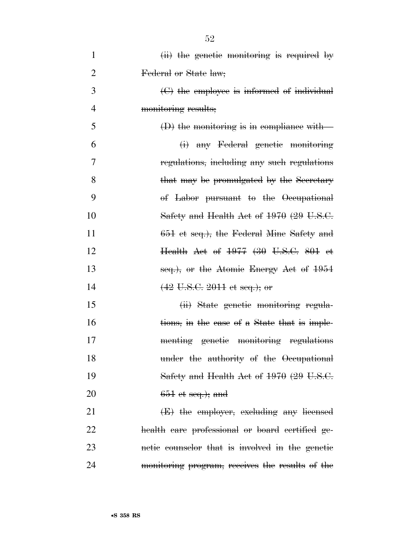| $\mathbf{1}$   | (ii) the genetic monitoring is required by               |
|----------------|----------------------------------------------------------|
| $\overline{2}$ | Federal or State law;                                    |
| 3              | $\Theta$ the employee is informed of individual          |
| $\overline{4}$ | monitoring results;                                      |
| 5              | $(D)$ the monitoring is in compliance with —             |
| 6              | (i) any Federal genetic monitoring                       |
| 7              | regulations, including any such regulations              |
| 8              | that may be promulgated by the Secretary                 |
| 9              | of Labor pursuant to the Occupational                    |
| 10             | Safety and Health Act of 1970 (29 U.S.C.                 |
| 11             | 651 et seq.), the Federal Mine Safety and                |
| 12             | <del>Health Act of 1977 (30 U.S.C. 801 et</del>          |
| 13             | seq.), or the Atomic Energy Act of 1954                  |
| 14             | $(42 \text{ U.S.C. } 2011 \text{ et seq.}); \text{ or }$ |
| 15             | (ii) State genetic monitoring regula-                    |
| 16             | tions, in the case of a State that is imple-             |
| 17             | menting genetic monitoring regulations                   |
| 18             | under the authority of the Occupational                  |
| 19             | Safety and Health Act of 1970 (29 U.S.C.                 |
| 20             | $651$ et seq.); and                                      |
| 21             | (E) the employer, excluding any licensed                 |
| 22             | health care professional or board certified ge-          |
| 23             | netic counselor that is involved in the genetic          |
| 24             | monitoring program, receives the results of the          |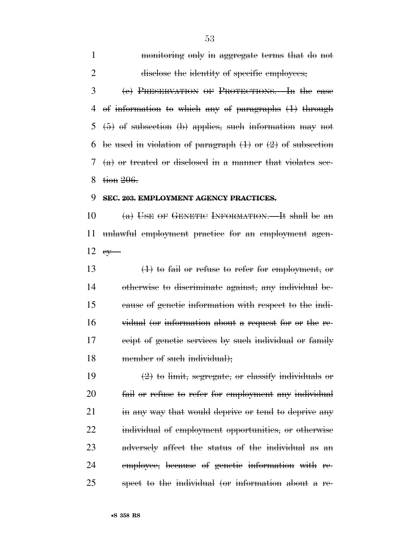monitoring only in aggregate terms that do not 2 disclose the identity of specific employees; (c) PRESERVATION OF PROTECTIONS.—In the case of information to which any of paragraphs (1) through (5) of subsection (b) applies, such information may not 6 be used in violation of paragraph  $(1)$  or  $(2)$  of subsection (a) or treated or disclosed in a manner that violates sec-

tion 206.

#### **SEC. 203. EMPLOYMENT AGENCY PRACTICES.**

10 (a) USE OF GENETIC INFORMATION.—It shall be an unlawful employment practice for an employment agen- $\epsilon y$ 

 (1) to fail or refuse to refer for employment, or otherwise to discriminate against, any individual be- cause of genetic information with respect to the indi- vidual (or information about a request for or the re-17 ceipt of genetic services by such individual or family 18 member of such individual);

 $\left(2\right)$  to limit, segregate, or classify individuals or fail or refuse to refer for employment any individual 21 in any way that would deprive or tend to deprive any individual of employment opportunities, or otherwise adversely affect the status of the individual as an employee, because of genetic information with re-spect to the individual (or information about a re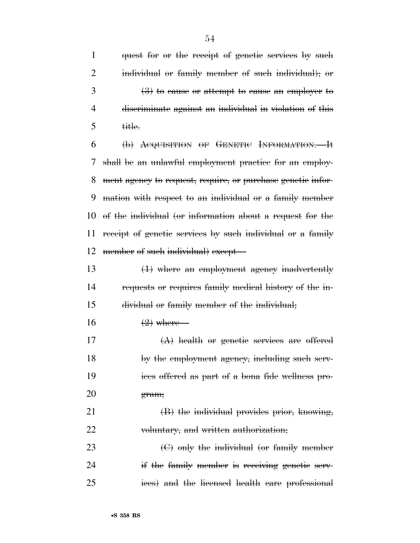1 quest for or the receipt of genetic services by such individual or family member of such individual); or  $3 \left(3\right)$  to cause or attempt to cause an employer to discriminate against an individual in violation of this title.

 (b) ACQUISITION OF GENETIC INFORMATION.—It shall be an unlawful employment practice for an employ- ment agency to request, require, or purchase genetic infor- mation with respect to an individual or a family member of the individual (or information about a request for the receipt of genetic services by such individual or a family 12 member of such individual) except-

 (1) where an employment agency inadvertently requests or requires family medical history of the in-dividual or family member of the individual;

- $16 \t\t (2)$  where—
- 17  $(A)$  health or genetic services are offered 18 by the employment agency, including such serv- ices offered as part of a bona fide wellness pro-gram;

 (B) the individual provides prior, knowing, voluntary, and written authorization;

 (C) only the individual (or family member 24 if the family member is receiving genetic serv-ices) and the licensed health care professional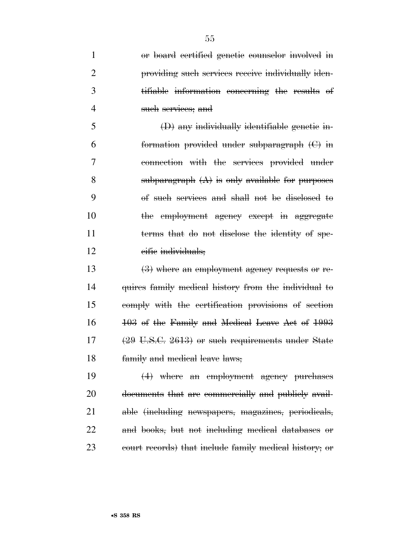| $\mathbf{1}$   | or board certified genetic counselor involved in             |
|----------------|--------------------------------------------------------------|
| $\overline{2}$ | providing such services receive individually iden-           |
| 3              | tifiable information concerning the results of               |
| 4              | such services; and                                           |
| 5              | $(D)$ any individually identifiable genetic in-              |
| 6              | formation provided under subparagraph $(C)$ in               |
| 7              | connection with the services provided under                  |
| 8              | subparagraph $(A)$ is only available for purposes            |
| 9              | of such services and shall not be disclosed to               |
| 10             | the employment agency except in aggregate                    |
| 11             | terms that do not disclose the identity of spe-              |
| 12             | eifie individuals;                                           |
| 13             | $(3)$ where an employment agency requests or re-             |
| 14             | quires family medical history from the individual to         |
| 15             | comply with the certification provisions of section          |
| 16             | 103 of the Family and Medical Leave Act of 1993              |
| 17             | $(29 \text{ U.S.C. } 2613)$ or such requirements under State |
| 18             | family and medical leave laws;                               |
| 19             | $(4)$ where an employment agency purchases                   |
| 20             | documents that are commercially and publicly avail-          |
| 21             | able (including newspapers, magazines, periodicals,          |
| 22             | and books, but not including medical databases or            |
|                |                                                              |

court records) that include family medical history; or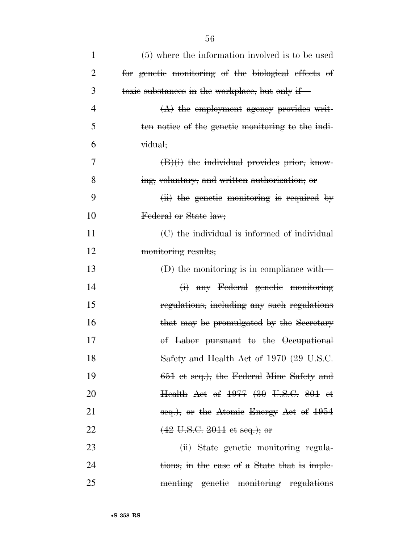| $\mathbf{1}$   | $(5)$ where the information involved is to be used  |
|----------------|-----------------------------------------------------|
| 2              | for genetic monitoring of the biological effects of |
| 3              | toxic substances in the workplace, but only if-     |
| $\overline{4}$ | $(A)$ the employment agency provides writ-          |
| 5              | ten notice of the genetic monitoring to the indi-   |
| 6              | <del>vidual;</del>                                  |
| 7              | $(B)(i)$ the individual provides prior, know-       |
| 8              | ing, voluntary, and written authorization; or       |
| 9              | $(ii)$ the genetic monitoring is required by        |
| 10             | Federal or State law;                               |
| 11             | $\Theta$ the individual is informed of individual   |
| 12             | monitoring results;                                 |
| 13             | $(D)$ the monitoring is in compliance with-         |
| 14             | (i) any Federal genetic monitoring                  |
| 15             | regulations, including any such regulations         |
| 16             | that may be promulgated by the Secretary            |
| 17             | of Labor pursuant to the Occupational               |
| 18             | Safety and Health Act of 1970 (29 U.S.C.            |
| 19             | 651 et seq.), the Federal Mine Safety and           |
| 20             | Health Act of 1977 (30 U.S.C. 801 et                |
| 21             | seq.), or the Atomic Energy Act of $1954$           |
| 22             | $(42 \text{ U.S.C. } 2011 \text{ et seq.});$ or     |
| 23             | (ii) State genetic monitoring regula-               |
| 24             | tions, in the case of a State that is imple-        |
| 25             | menting genetic monitoring regulations              |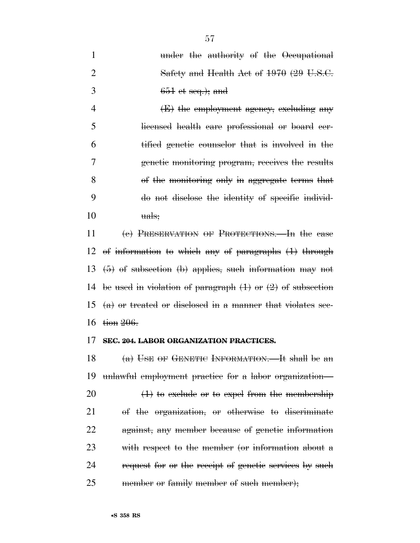| Safety and Health Act of $1970$ (29 U.S.C. |  |
|--------------------------------------------|--|
| -3<br>$651$ et seq.); and                  |  |

4 (E) the employment agency, excluding any licensed health care professional or board cer- tified genetic counselor that is involved in the genetic monitoring program, receives the results of the monitoring only in aggregate terms that do not disclose the identity of specific individ- $10 \qquad \qquad \text{uals:}$ 

 (c) PRESERVATION OF PROTECTIONS.—In the case of information to which any of paragraphs (1) through (5) of subsection (b) applies, such information may not 14 be used in violation of paragraph  $(1)$  or  $(2)$  of subsection 15 (a) or treated or disclosed in a manner that violates sec-tion 206.

#### **SEC. 204. LABOR ORGANIZATION PRACTICES.**

18 (a) USE OF GENETIC INFORMATION.—It shall be an unlawful employment practice for a labor organization—  $(1)$  to exclude or to expel from the membership of the organization, or otherwise to discriminate against, any member because of genetic information with respect to the member (or information about a 24 request for or the receipt of genetic services by such

25 member or family member of such member);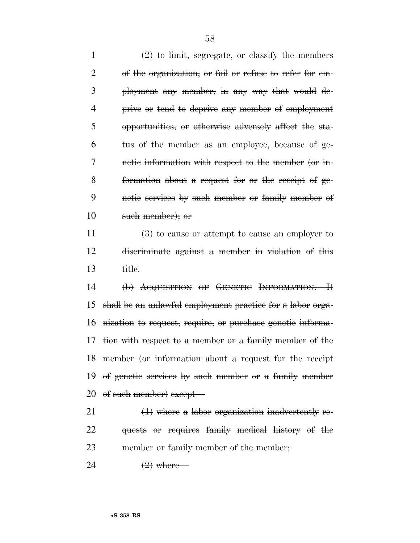$\left(2\right)$  to limit, segregate, or classify the members of the organization, or fail or refuse to refer for em- ployment any member, in any way that would de- prive or tend to deprive any member of employment opportunities, or otherwise adversely affect the sta- tus of the member as an employee, because of ge- netic information with respect to the member (or in- formation about a request for or the receipt of ge- netic services by such member or family member of such member); or

11  $\left(3\right)$  to cause or attempt to cause an employer to discriminate against a member in violation of this title.

 (b) ACQUISITION OF GENETIC INFORMATION.—It shall be an unlawful employment practice for a labor orga- nization to request, require, or purchase genetic informa- tion with respect to a member or a family member of the member (or information about a request for the receipt of genetic services by such member or a family member 20 of such member) except—

21  $\left(1\right)$  where a labor organization inadvertently re- quests or requires family medical history of the member or family member of the member;

24  $\left(2\right)$  where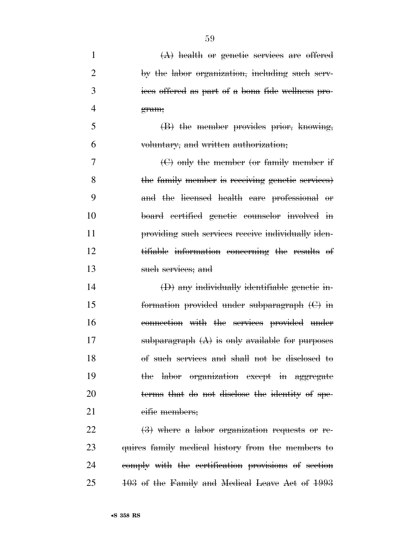| 1              | $(A)$ health or genetic services are offered       |
|----------------|----------------------------------------------------|
| $\overline{2}$ | by the labor organization, including such serv-    |
| 3              | ices offered as part of a bona fide wellness pro-  |
| 4              | gram;                                              |
| 5              | $(B)$ the member provides prior, knowing,          |
| 6              | voluntary, and written authorization;              |
| 7              | $\Theta$ only the member (or family member if      |
| 8              | the family member is receiving genetic services)   |
| 9              | and the licensed health care professional or       |
| 10             | board certified genetic counselor involved in      |
| 11             | providing such services receive individually iden- |
| 12             | tifiable information concerning the results of     |
| 13             | such services; and                                 |
| 14             | $(D)$ any individually identifiable genetic in-    |
| 15             | formation provided under subparagraph $(C)$ in     |
| 16             | connection with the services provided under        |
| 17             | subparagraph $(A)$ is only available for purposes  |
| 18             | of such services and shall not be disclosed to     |
| 19             | the labor organization except in aggregate         |
| 20             | terms that do not disclose the identity of spe-    |
| 21             | eifie members;                                     |
| 22             | $(3)$ where a labor organization requests or re-   |
| 23             | quires family medical history from the members to  |

25 103 of the Family and Medical Leave Act of 1993

24 comply with the certification provisions of section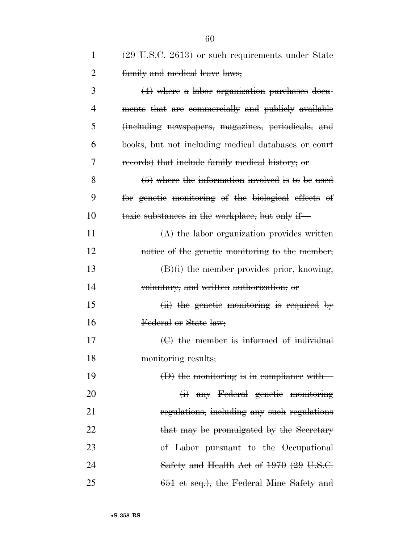| $\mathbf{1}$   | $(29 \text{ U.S.C. } 2613)$ or such requirements under State |
|----------------|--------------------------------------------------------------|
| $\overline{2}$ | family and medical leave laws;                               |
| 3              | $(4)$ where a labor organization purchases docu-             |
| 4              | ments that are commercially and publicly available           |
| 5              | (including newspapers, magazines, periodicals, and           |
| 6              | books, but not including medical databases or court          |
| 7              | records) that include family medical history; or             |
| 8              | $(5)$ where the information involved is to be used           |
| 9              | for genetic monitoring of the biological effects of          |
| 10             | toxic substances in the workplace, but only if               |
| 11             | $(A)$ the labor organization provides written                |
| 12             | notice of the genetic monitoring to the member;              |
| 13             | $(B)(i)$ the member provides prior, knowing,                 |
| 14             | voluntary, and written authorization, or                     |
| 15             | $(ii)$ the genetic monitoring is required by                 |
| 16             | Federal or State law;                                        |
| 17             | $\Theta$ the member is informed of individual                |
| 18             | monitoring results;                                          |
| 19             | $(D)$ the monitoring is in compliance with-                  |
| 20             | (i) any Federal genetic monitoring                           |
| 21             | regulations, including any such regulations                  |
| 22             | that may be promulgated by the Secretary                     |
| 23             | of Labor pursuant to the Occupational                        |
| 24             | Safety and Health Act of 1970 (29 U.S.C.                     |
| 25             | 651 et seq.), the Federal Mine Safety and                    |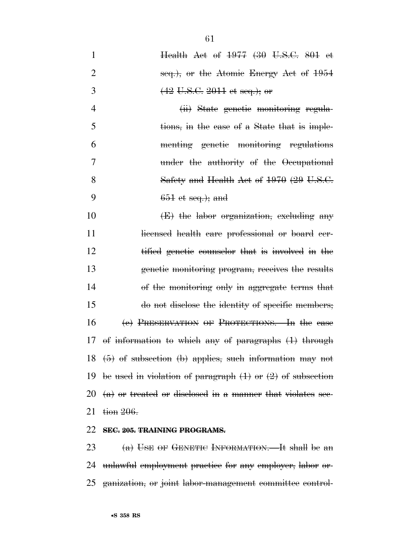Health Act of 1977 (30 U.S.C. 801 et 2 seq.), or the Atomic Energy Act of 1954  $(42 \text{ U.S.C. } 2011 \text{ et seq.}); \text{ or }$  (ii) State genetic monitoring regula- tions, in the case of a State that is imple- menting genetic monitoring regulations under the authority of the Occupational

8 Safety and Health Act of 1970 (29 U.S.C. 9 651 et seq.); and

10 (E) the labor organization, excluding any 11 licensed health care professional or board cer- tified genetic counselor that is involved in the genetic monitoring program, receives the results of the monitoring only in aggregate terms that do not disclose the identity of specific members; (c) PRESERVATION OF PROTECTIONS.—In the case of information to which any of paragraphs (1) through (5) of subsection (b) applies, such information may not 19 be used in violation of paragraph  $(1)$  or  $(2)$  of subsection  $(a)$  or treated or disclosed in a manner that violates sec- $\frac{1}{206}$ .

## 22 **SEC. 205. TRAINING PROGRAMS.**

23 (a) USE OF GENETIC INFORMATION.—It shall be an 24 unlawful employment practice for any employer, labor or-25 ganization, or joint labor-management committee control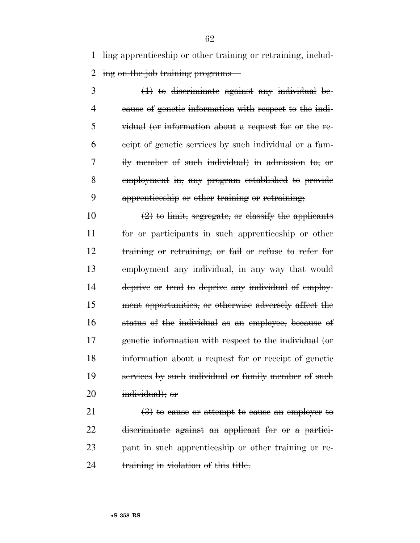ling apprenticeship or other training or retraining, includ-ing on-the-job training programs—

 (1) to discriminate against any individual be- cause of genetic information with respect to the indi- vidual (or information about a request for or the re- ceipt of genetic services by such individual or a fam- ily member of such individual) in admission to, or employment in, any program established to provide apprenticeship or other training or retraining;

 $\left(2\right)$  to limit, segregate, or classify the applicants for or participants in such apprenticeship or other training or retraining, or fail or refuse to refer for employment any individual, in any way that would deprive or tend to deprive any individual of employ- ment opportunities, or otherwise adversely affect the status of the individual as an employee, because of genetic information with respect to the individual (or information about a request for or receipt of genetic services by such individual or family member of such individual); or

 $\left(3\right)$  to cause or attempt to cause an employer to discriminate against an applicant for or a partici- pant in such apprenticeship or other training or re-24 training in violation of this title.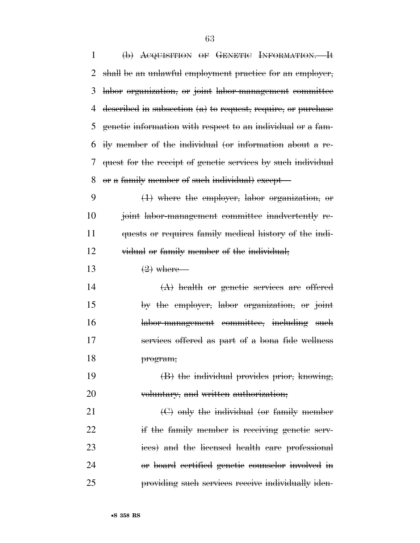(b) ACQUISITION OF GENETIC INFORMATION.—It shall be an unlawful employment practice for an employer, labor organization, or joint labor-management committee described in subsection (a) to request, require, or purchase genetic information with respect to an individual or a fam- ily member of the individual (or information about a re- quest for the receipt of genetic services by such individual or a family member of such individual) except— (1) where the employer, labor organization, or joint labor-management committee inadvertently re- quests or requires family medical history of the indi- vidual or family member of the individual;  $\left(2\right)$  where— (A) health or genetic services are offered by the employer, labor organization, or joint labor-management committee, including such services offered as part of a bona fide wellness program; (B) the individual provides prior, knowing, 20 voluntary, and written authorization; (C) only the individual (or family member 22 if the family member is receiving genetic serv- ices) and the licensed health care professional or board certified genetic counselor involved in providing such services receive individually iden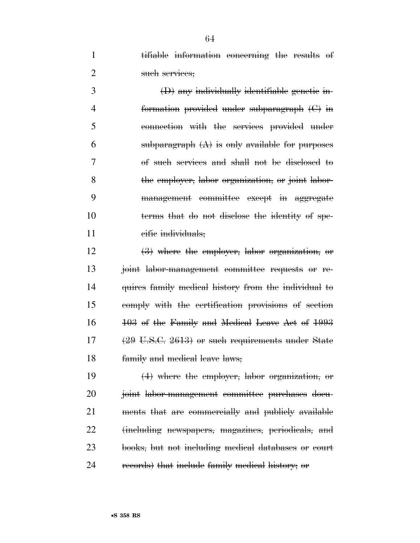tifiable information concerning the results of 2 such services;

 (D) any individually identifiable genetic in- formation provided under subparagraph (C) in connection with the services provided under 6 subparagraph  $(A)$  is only available for purposes of such services and shall not be disclosed to the employer, labor organization, or joint labor- management committee except in aggregate terms that do not disclose the identity of spe-11 eific individuals;

 (3) where the employer, labor organization, or joint labor-management committee requests or re- quires family medical history from the individual to comply with the certification provisions of section 103 of the Family and Medical Leave Act of 1993 (29 U.S.C. 2613) or such requirements under State family and medical leave laws;

 (4) where the employer, labor organization, or joint labor-management committee purchases docu- ments that are commercially and publicly available (including newspapers, magazines, periodicals, and books, but not including medical databases or court records) that include family medical history; or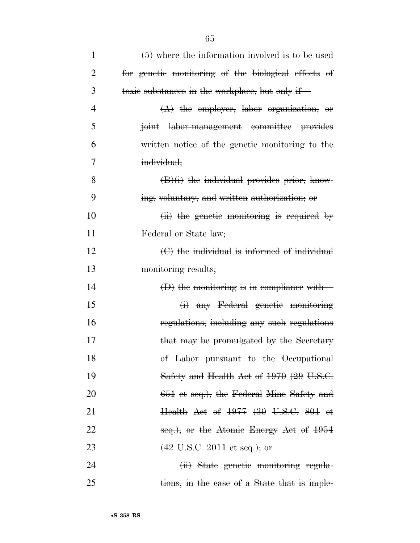| 1              | $(5)$ where the information involved is to be used  |
|----------------|-----------------------------------------------------|
| $\overline{2}$ | for genetic monitoring of the biological effects of |
| 3              | toxic substances in the workplace, but only if—     |
| $\overline{4}$ | $(A)$ the employer, labor organization, or          |
| 5              | joint labor-management committee provides           |
| 6              | written notice of the genetic monitoring to the     |
| 7              | individual;                                         |
| 8              | $(B)(i)$ the individual provides prior, know-       |
| 9              | ing, voluntary, and written authorization; or       |
| 10             | $(ii)$ the genetic monitoring is required by        |
| 11             | Federal or State law;                               |
| 12             | $\Theta$ the individual is informed of individual   |
| 13             | monitoring results;                                 |
| 14             | $(D)$ the monitoring is in compliance with-         |
| 15             | (i) any Federal genetic monitoring                  |
| 16             | regulations, including any such regulations         |
| 17             | that may be promulgated by the Secretary            |
| 18             | of Labor pursuant to the Occupational               |
| 19             | Safety and Health Act of $1970$ (29 U.S.C.          |
| 20             | 651 et seq.), the Federal Mine Safety and           |
| 21             | Health Act of 1977 (30 U.S.C. 801 et                |
| 22             | seq.), or the Atomic Energy Act of 1954             |
| 23             | $(42 \text{ U.S.C. } 2011 \text{ et seq.});$ or     |
| 24             | (ii) State genetic monitoring regula-               |
| 25             | tions, in the case of a State that is imple-        |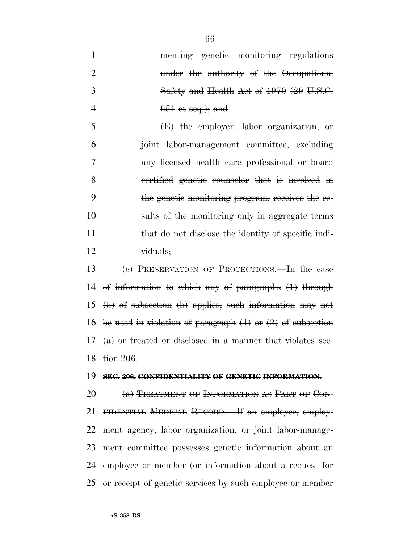|    | menting genetic monitoring regulations   |
|----|------------------------------------------|
|    | under the authority of the Occupational  |
| -3 | Safety and Health Act of 1970 (29 U.S.C. |
|    | $651$ et seq.); and                      |

 (E) the employer, labor organization, or joint labor-management committee, excluding any licensed health care professional or board certified genetic counselor that is involved in the genetic monitoring program, receives the re- sults of the monitoring only in aggregate terms 11 that do not disclose the identity of specific indi-viduals;

 (c) PRESERVATION OF PROTECTIONS.—In the case of information to which any of paragraphs (1) through  $(5)$  of subsection (b) applies, such information may not 16 be used in violation of paragraph  $(1)$  or  $(2)$  of subsection  $(a)$  or treated or disclosed in a manner that violates sec-18 tion 206.

#### **SEC. 206. CONFIDENTIALITY OF GENETIC INFORMATION.**

 $(a)$  TREATMENT OF INFORMATION AS PART OF CON- FIDENTIAL MEDICAL RECORD.—If an employer, employ- ment agency, labor organization, or joint labor-manage- ment committee possesses genetic information about an employee or member (or information about a request for or receipt of genetic services by such employee or member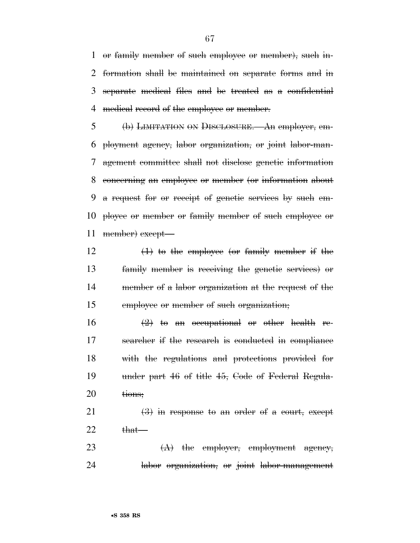or family member of such employee or member), such in- formation shall be maintained on separate forms and in separate medical files and be treated as a confidential medical record of the employee or member.

 (b) LIMITATION ON DISCLOSURE.—An employer, em- ployment agency, labor organization, or joint labor-man- agement committee shall not disclose genetic information concerning an employee or member (or information about a request for or receipt of genetic services by such em- ployee or member or family member of such employee or 11 member) except—

 $\left(1\right)$  to the employee (or family member if the family member is receiving the genetic services) or member of a labor organization at the request of the employee or member of such organization;

 $\left(2\right)$  to an occupational or other health re- searcher if the research is conducted in compliance with the regulations and protections provided for under part 46 of title 45, Code of Federal Regula-20 <del>tions;</del>

21  $\left(3\right)$  in response to an order of a court, except that

23  $(A)$  the employer, employment agency, labor organization, or joint labor-management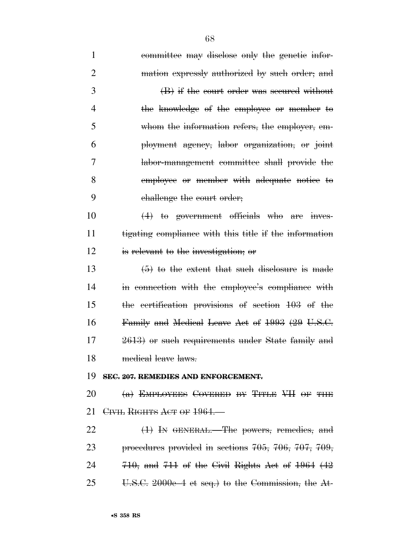| $\mathbf{1}$   | committee may disclose only the genetic infor-                  |
|----------------|-----------------------------------------------------------------|
| $\overline{2}$ | mation expressly authorized by such order; and                  |
| 3              | (B) if the court order was secured without                      |
| $\overline{4}$ | the knowledge of the employee or member to                      |
| 5              | whom the information refers, the employer, em-                  |
| 6              | ployment agency, labor organization, or joint                   |
| 7              | labor-management committee shall provide the                    |
| 8              | employee or member with adequate notice to                      |
| 9              | challenge the court order;                                      |
| 10             | $(4)$ to government officials who are inves-                    |
| 11             | tigating compliance with this title if the information          |
| 12             | is relevant to the investigation; or                            |
| 13             | $(5)$ to the extent that such disclosure is made                |
| 14             | in connection with the employee's compliance with               |
| 15             | the certification provisions of section 103 of the              |
| 16             | Family and Medical Leave Act of 1993 (29 U.S.C.                 |
| 17             | 2613) or such requirements under State family and               |
| 18             | medical leave laws.                                             |
| 19             | SEC. 207. REMEDIES AND ENFORCEMENT.                             |
| 20             | $(a)$ EMPLOYEES COVERED BY TITLE VII OF THE                     |
| 21             | CIVIL RIGHTS ACT OF 1964.                                       |
| 22             | (1) In GENERAL.—The powers, remedies, and                       |
| 23             | procedures provided in sections $705$ , $706$ , $707$ , $709$ , |
| 24             | $710$ , and $711$ of the Civil Rights Act of $1964$ ( $42$ )    |
| 25             | U.S.C. 2000e-4 et seq.) to the Commission, the At-              |
|                |                                                                 |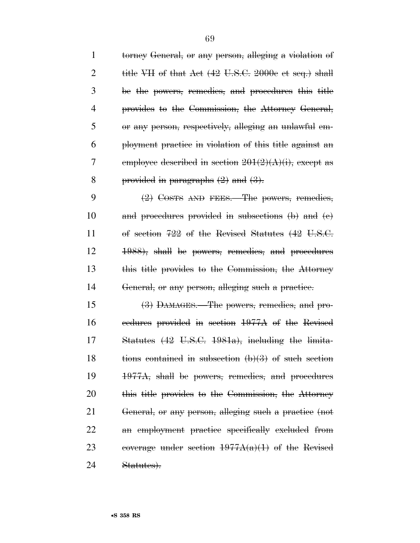torney General, or any person, alleging a violation of 2 title VII of that Act  $(42 \text{ U.S.C. } 2000e \text{ et seq.})$  shall be the powers, remedies, and procedures this title provides to the Commission, the Attorney General, or any person, respectively, alleging an unlawful em- ployment practice in violation of this title against an 7 employee described in section  $201(2)(\mathbf{A})(i)$ , except as 8 provided in paragraphs  $(2)$  and  $(3)$ .

9 (2) COSTS AND FEES.—The powers, remedies, and procedures provided in subsections (b) and (c) of section 722 of the Revised Statutes (42 U.S.C. 1988), shall be powers, remedies, and procedures this title provides to the Commission, the Attorney General, or any person, alleging such a practice.

 (3) DAMAGES.—The powers, remedies, and pro- cedures provided in section 1977A of the Revised Statutes (42 U.S.C. 1981a), including the limita-18 tions contained in subsection  $(b)(3)$  of such section 1977A, shall be powers, remedies, and procedures this title provides to the Commission, the Attorney General, or any person, alleging such a practice (not an employment practice specifically excluded from 23 coverage under section  $1977A(a)(1)$  of the Revised Statutes).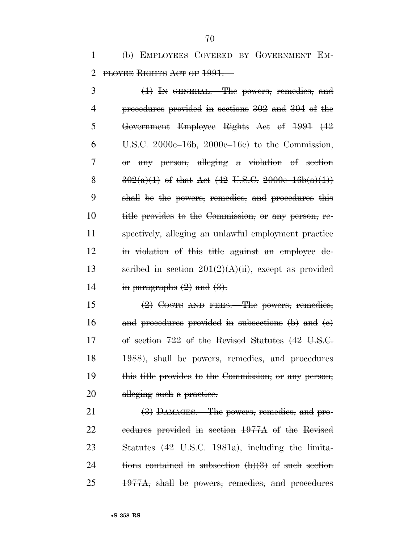(b) EMPLOYEES COVERED BY GOVERNMENT EM-2 PLOYEE RIGHTS ACT OF 1991.

 (1) IN GENERAL.—The powers, remedies, and procedures provided in sections 302 and 304 of the Government Employee Rights Act of 1991 (42  $6 \text{ U.S.C. } 2000e-16b$ ,  $2000e-16e$  to the Commission, or any person, alleging a violation of section  $302(a)(1)$  of that Act  $(42 \text{ U.S.C. } 2000e-16b(a)(1))$  shall be the powers, remedies, and procedures this title provides to the Commission, or any person, re- spectively, alleging an unlawful employment practice in violation of this title against an employee de-13 seribed in section  $201(2)(\text{A})(\text{ii})$ , except as provided 14 in paragraphs  $(2)$  and  $(3)$ .

 (2) COSTS AND FEES.—The powers, remedies, and procedures provided in subsections (b) and (c) of section 722 of the Revised Statutes (42 U.S.C. 1988), shall be powers, remedies, and procedures this title provides to the Commission, or any person, 20 alleging such a practice.

21 (3) DAMAGES. The powers, remedies, and pro- cedures provided in section 1977A of the Revised Statutes (42 U.S.C. 1981a), including the limita-24 tions contained in subsection  $(b)(3)$  of such section 1977A, shall be powers, remedies, and procedures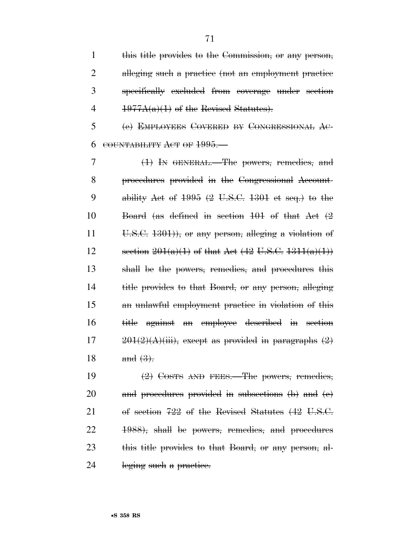this title provides to the Commission, or any person, alleging such a practice (not an employment practice specifically excluded from coverage under section  $1977A(a)(1)$  of the Revised Statutes).

 (c) EMPLOYEES COVERED BY CONGRESSIONAL AC-COUNTABILITY ACT OF 1995.—

 (1) IN GENERAL.—The powers, remedies, and procedures provided in the Congressional Account-9 ability Act of (2 U.S.C. 1301 et seq.) to the Board (as defined in section 101 of that Act (2 11 U.S.C. ), or any person, alleging a violation of 12 section  $201(a)(1)$  of that Act  $(42 \text{ U.S.C. } 1311(a)(1))$  shall be the powers, remedies, and procedures this title provides to that Board, or any person, alleging an unlawful employment practice in violation of this title against an employee described in section  $201(2)(\text{A})(\text{iii})$ , except as provided in paragraphs  $(2)$ 18 and  $(3)$ .

 $\left(2\right)$  Costs AND FEES.—The powers, remedies, and procedures provided in subsections (b) and (c) of section 722 of the Revised Statutes (42 U.S.C. 1988), shall be powers, remedies, and procedures 23 this title provides to that Board, or any person, al-24 leging such a practice.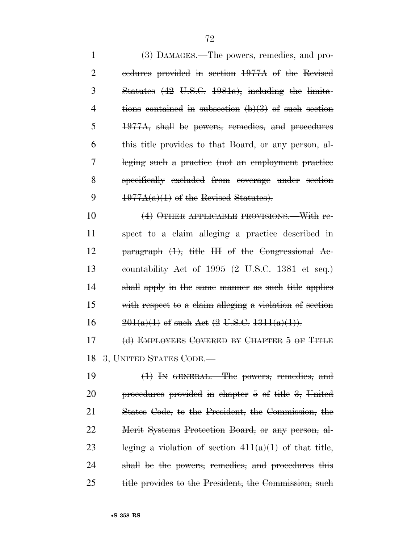(3) DAMAGES.—The powers, remedies, and pro- cedures provided in section 1977A of the Revised Statutes (42 U.S.C. 1981a), including the limita- tions contained in subsection (b)(3) of such section 1977A, shall be powers, remedies, and procedures this title provides to that Board, or any person, al- leging such a practice (not an employment practice specifically excluded from coverage under section  $1977A(a)(1)$  of the Revised Statutes).

 (4) OTHER APPLICABLE PROVISIONS.—With re- spect to a claim alleging a practice described in paragraph (1), title III of the Congressional Ac- countability Act of 1995 (2 U.S.C. 1381 et seq.) shall apply in the same manner as such title applies with respect to a claim alleging a violation of section  $201(a)(1)$  of such Act  $(2 \text{ U.S.C. } 1311(a)(1))$ .

 (d) EMPLOYEES COVERED BY CHAPTER 5 OF TITLE 18 3, UNITED STATES CODE.

 (1) IN GENERAL.—The powers, remedies, and procedures provided in chapter 5 of title 3, United States Code, to the President, the Commission, the Merit Systems Protection Board, or any person, al-23 leging a violation of section  $411(a)(1)$  of that title, shall be the powers, remedies, and procedures this title provides to the President, the Commission, such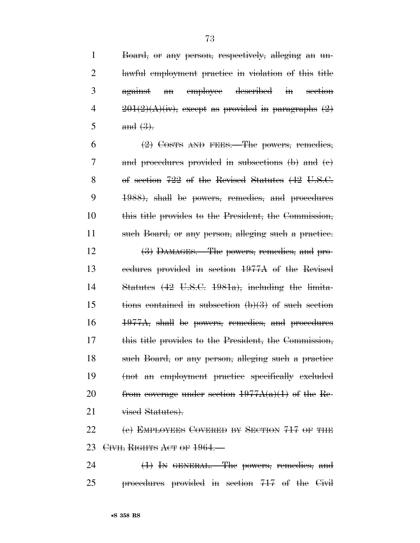Board, or any person, respectively, alleging an un- lawful employment practice in violation of this title against an employee described in section  $201(2)(\text{A})(\text{iv})$ , except as provided in paragraphs  $(2)$  $5 \qquad \text{and } (3).$  $(2)$  Costs AND FEES. The powers, remedies, and procedures provided in subsections (b) and (c) of section 722 of the Revised Statutes (42 U.S.C. 1988), shall be powers, remedies, and procedures this title provides to the President, the Commission, such Board, or any person, alleging such a practice. (3) DAMAGES.—The powers, remedies, and pro- cedures provided in section 1977A of the Revised Statutes (42 U.S.C. 1981a), including the limita-15 tions contained in subsection  $(b)(3)$  of such section 1977A, shall be powers, remedies, and procedures this title provides to the President, the Commission, such Board, or any person, alleging such a practice (not an employment practice specifically excluded 20 from coverage under section  $1977A(a)(1)$  of the Re-21 vised Statutes). 22 (e) EMPLOYEES COVERED BY SECTION 717 OF THE 23 CIVIL RIGHTS ACT OF 1964. 24 (1) In GENERAL.—The powers, remedies, and

procedures provided in section 717 of the Civil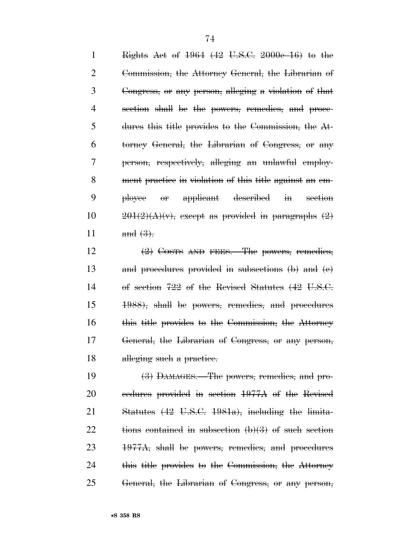Rights Act of 1964 (42 U.S.C. 2000e–16) to the Commission, the Attorney General, the Librarian of Congress, or any person, alleging a violation of that section shall be the powers, remedies, and proce- dures this title provides to the Commission, the At- torney General, the Librarian of Congress, or any person, respectively, alleging an unlawful employ- ment practice in violation of this title against an em- ployee or applicant described in section  $201(2)(A)(v)$ , except as provided in paragraphs  $(2)$ 11 and  $(3)$ .

12 (2) COSTS AND FEES. The powers, remedies, and procedures provided in subsections (b) and (c) of section 722 of the Revised Statutes (42 U.S.C. 1988), shall be powers, remedies, and procedures 16 this title provides to the Commission, the Attorney General, the Librarian of Congress, or any person, 18 alleging such a practice.

 (3) DAMAGES.—The powers, remedies, and pro- cedures provided in section 1977A of the Revised Statutes (42 U.S.C. 1981a), including the limita-22 tions contained in subsection  $(b)(3)$  of such section 1977A, shall be powers, remedies, and procedures this title provides to the Commission, the Attorney General, the Librarian of Congress, or any person,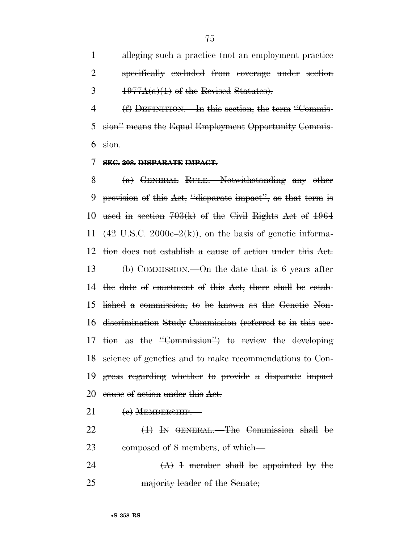alleging such a practice (not an employment practice specifically excluded from coverage under section  $3 \frac{1977A(a)(1)$  of the Revised Statutes).

 (f) DEFINITION.—In this section, the term ''Commis- sion'' means the Equal Employment Opportunity Commis- $6 \sin \theta$ 

## **SEC. 208. DISPARATE IMPACT.**

 (a) GENERAL RULE.—Notwithstanding any other provision of this Act, ''disparate impact'', as that term is used in section 703(k) of the Civil Rights Act of 1964  $(42 \text{ U.S.C. } 2000e-2(k))$ , on the basis of genetic informa- tion does not establish a cause of action under this Act. 13 (b) COMMISSION.—On the date that is 6 years after the date of enactment of this Act, there shall be estab- lished a commission, to be known as the Genetic Non- discrimination Study Commission (referred to in this sec- tion as the ''Commission'') to review the developing science of genetics and to make recommendations to Con- gress regarding whether to provide a disparate impact 20 cause of action under this Act.

- 21 (e) MEMBERSHIP.
- (1) IN GENERAL.—The Commission shall be 23 composed of 8 members, of which—
- 24  $(A)$  1 member shall be appointed by the majority leader of the Senate;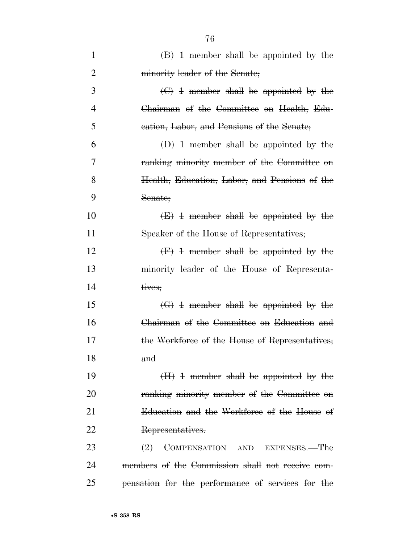| $\mathbf{1}$   | $\langle B \rangle$ 4 member shall be appointed by the        |
|----------------|---------------------------------------------------------------|
| $\overline{2}$ | minority leader of the Senate;                                |
| 3              | $\left(\frac{C}{C}\right)$ 4 member shall be appointed by the |
| 4              | Chairman of the Committee on Health, Edu-                     |
| 5              | eation, Labor, and Pensions of the Senate;                    |
| 6              | $(D)$ 4 member shall be appointed by the                      |
| 7              | ranking minority member of the Committee on                   |
| 8              | Health, Education, Labor, and Pensions of the                 |
| 9              | Senate;                                                       |
| 10             | $(E)$ 4 member shall be appointed by the                      |
| 11             | Speaker of the House of Representatives;                      |
| 12             | $(F)$ 4 member shall be appointed by the                      |
| 13             | minority leader of the House of Representa-                   |
| 14             | tives;                                                        |
| 15             | $\left(\frac{1}{1}\right)$ + member shall be appointed by the |
| 16             | Chairman of the Committee on Education and                    |
| 17             | the Workforce of the House of Representatives;                |
| 18             | and                                                           |
| 19             | $(H)$ 4 member shall be appointed by the                      |
| 20             | ranking minority member of the Committee on                   |
| 21             | Education and the Workforce of the House of                   |
| 22             | Representatives.                                              |
| 23             | $\left(2\right)$ COMPENSATION AND EXPENSES. The               |
| 24             | members of the Commission shall not receive com-              |
| 25             | pensation for the performance of services for the             |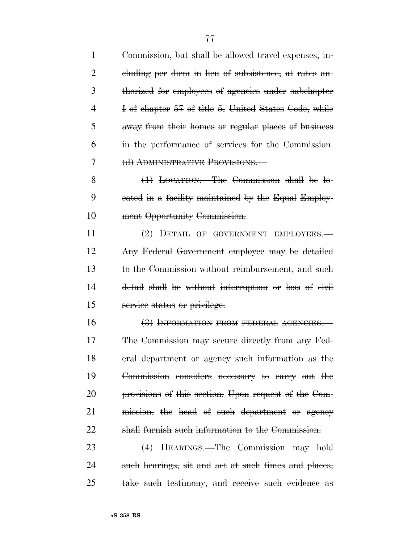| 1              | Commission, but shall be allowed travel expenses, in- |
|----------------|-------------------------------------------------------|
| $\overline{2}$ | eluding per diem in lieu of subsistence, at rates au- |
| 3              | thorized for employees of agencies under subchapter   |
| 4              | I of chapter 57 of title 5, United States Code, while |
| 5              | away from their homes or regular places of business   |
| 6              | in the performance of services for the Commission.    |
| 7              | (d) ADMINISTRATIVE PROVISIONS.                        |
| 8              | $(1)$ LOCATION.—The Commission shall be lo-           |
| 9              | eated in a facility maintained by the Equal Employ-   |
| 10             | ment Opportunity Commission.                          |
| 11             | $(2)$ DETAIL OF GOVERNMENT EMPLOYEES.                 |
| 12             | Any Federal Government employee may be detailed       |
| 13             | to the Commission without reimbursement, and such     |
| 14             | detail shall be without interruption or loss of civil |
| 15             | service status or privilege.                          |
| 16             | (3) INFORMATION FROM FEDERAL AGENCIES.                |
| 17             | The Commission may secure directly from any Fed-      |
| 18             | eral department or agency such information as the     |
| 19             | Commission considers necessary to carry out the       |
| 20             | provisions of this section. Upon request of the Com-  |
| 21             | mission, the head of such department or agency        |
| 22             | shall furnish such information to the Commission.     |
| 23             | (4) HEARINGS.—The Commission may hold                 |
| 24             | such hearings, sit and act at such times and places,  |

take such testimony, and receive such evidence as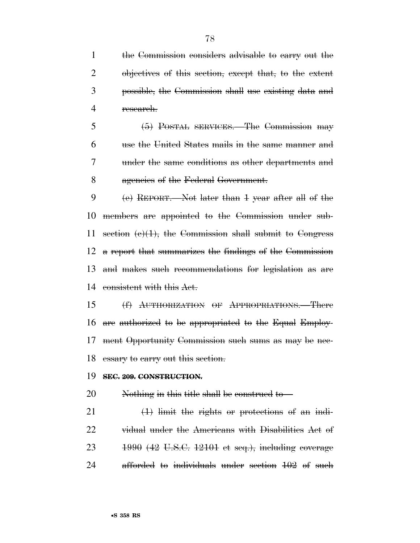the Commission considers advisable to carry out the objectives of this section, except that, to the extent possible, the Commission shall use existing data and research.

 (5) POSTAL SERVICES.—The Commission may use the United States mails in the same manner and under the same conditions as other departments and agencies of the Federal Government.

 (e) REPORT.—Not later than 1 year after all of the members are appointed to the Commission under sub-11 section  $(e)(1)$ , the Commission shall submit to Congress a report that summarizes the findings of the Commission and makes such recommendations for legislation as are consistent with this Act.

 (f) AUTHORIZATION OF APPROPRIATIONS.—There are authorized to be appropriated to the Equal Employ- ment Opportunity Commission such sums as may be nec-18 essary to carry out this section.

### **SEC. 209. CONSTRUCTION.**

Nothing in this title shall be construed to—

 $21 \t\t (1)$  limit the rights or protections of an indi- vidual under the Americans with Disabilities Act of 1990 (42 U.S.C. 12101 et seq.), including coverage afforded to individuals under section 102 of such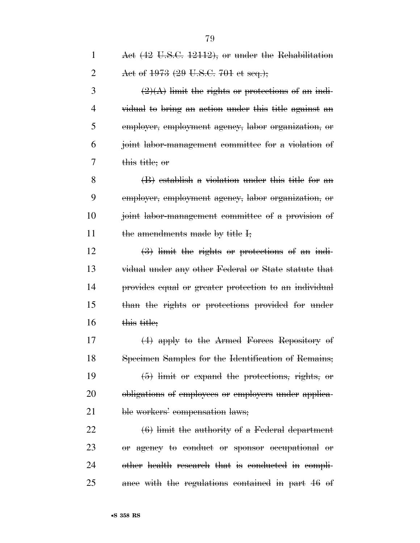| $\mathbf{1}$   | Act (42 U.S.C. 12112), or under the Rehabilitation                     |
|----------------|------------------------------------------------------------------------|
| $\overline{2}$ | Act of 1973 (29 U.S.C. 701 et seq.);                                   |
| 3              | $\left(\frac{2}{A}\right)$ limit the rights or protections of an indi- |
| 4              | vidual to bring an action under this title against an                  |
| 5              | employer, employment agency, labor organization, or                    |
| 6              | joint labor-management committee for a violation of                    |
| 7              | <del>this title; or</del>                                              |
| 8              | $(B)$ establish a violation under this title for an                    |
| 9              | employer, employment agency, labor organization, or                    |
| 10             | joint labor-management committee of a provision of                     |
| 11             | the amendments made by title I;                                        |
| 12             | $\left(\frac{3}{2}\right)$ limit the rights or protections of an indi- |
| 13             | vidual under any other Federal or State statute that                   |
| 14             | provides equal or greater protection to an individual                  |
| 15             | than the rights or protections provided for under                      |
| 16             | this title;                                                            |
| 17             | $(4)$ apply to the Armed Forces Repository of                          |
| 18             | Specimen Samples for the Identification of Remains;                    |
| 19             | $(5)$ limit or expand the protections, rights, or                      |
| 20             | obligations of employees or employers under applica-                   |
| 21             | ble workers' compensation laws;                                        |
|                |                                                                        |

 (6) limit the authority of a Federal department or agency to conduct or sponsor occupational or other health research that is conducted in compli-ance with the regulations contained in part 46 of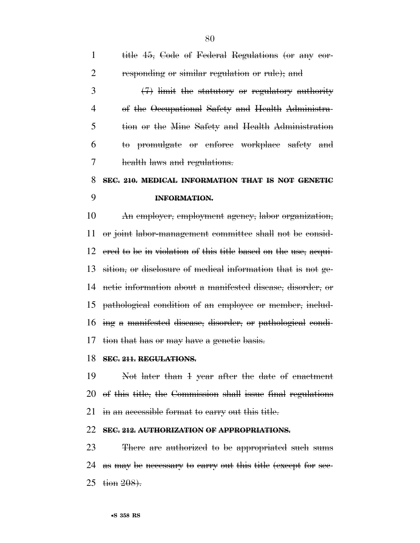| $\mathbf{1}$   | title 45, Gode of Federal Regulations (or any cor-             |
|----------------|----------------------------------------------------------------|
| 2              | responding or similar regulation or rule); and                 |
| 3              | $(7)$ limit the statutory or regulatory authority              |
| $\overline{4}$ | of the Occupational Safety and Health Administra-              |
| 5              | tion or the Mine Safety and Health Administration              |
| 6              | to promulgate or enforce workplace safety and                  |
| 7              | health laws and regulations.                                   |
| 8              | SEC. 210. MEDICAL INFORMATION THAT IS NOT GENETIC              |
| 9              | <b>INFORMATION.</b>                                            |
| 10             | An employer, employment agency, labor organization,            |
| 11             | or joint labor-management committee shall not be consid-       |
| 12             | ered to be in violation of this title based on the use, acqui- |
| 13             | sition, or disclosure of medical information that is not ge-   |
| 14             | netic information about a manifested disease, disorder, or     |
| 15             | pathological condition of an employee or member, includ-       |
| 16             | ing a manifested disease, disorder, or pathological condi-     |
| 17             | tion that has or may have a genetic basis.                     |
|                | 18 SEC. 211. REGULATIONS.                                      |
| 19             | Not later than 1 year after the date of enactment              |
| 20             | of this title, the Commission shall issue final regulations    |
| 21             | in an accessible format to carry out this title.               |
| 22             | SEC. 212. AUTHORIZATION OF APPROPRIATIONS.                     |
| 23             | There are authorized to be appropriated such sums              |

 as may be necessary to carry out this title (except for sec-tion 208).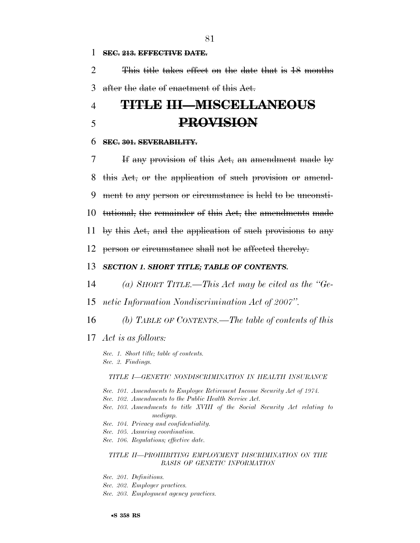#### 1 **SEC. 213. EFFECTIVE DATE.**

2 This title takes effect on the date that is 18 months 3 after the date of enactment of this Act.

# 4 **TITLE III—MISCELLANEOUS**  5 **PROVISION**

#### 6 **SEC. 301. SEVERABILITY.**

 If any provision of this Act, an amendment made by this Act, or the application of such provision or amend- ment to any person or circumstance is held to be unconsti- tutional, the remainder of this Act, the amendments made by this Act, and the application of such provisions to any person or circumstance shall not be affected thereby.

# 13 *SECTION 1. SHORT TITLE; TABLE OF CONTENTS.*

- 14 *(a) SHORT TITLE.—This Act may be cited as the ''Ge-*
- 15 *netic Information Nondiscrimination Act of 2007''.*
- 16 *(b) TABLE OF CONTENTS.—The table of contents of this*
- 17 *Act is as follows:*

*Sec. 1. Short title; table of contents. Sec. 2. Findings.* 

#### *TITLE I—GENETIC NONDISCRIMINATION IN HEALTH INSURANCE*

- *Sec. 101. Amendments to Employee Retirement Income Security Act of 1974.*
- *Sec. 102. Amendments to the Public Health Service Act.*
- *Sec. 103. Amendments to title XVIII of the Social Security Act relating to medigap.*
- *Sec. 104. Privacy and confidentiality.*
- *Sec. 105. Assuring coordination.*
- *Sec. 106. Regulations; effective date.*

#### *TITLE II—PROHIBITING EMPLOYMENT DISCRIMINATION ON THE BASIS OF GENETIC INFORMATION*

- *Sec. 201. Definitions.*
- *Sec. 202. Employer practices.*
- *Sec. 203. Employment agency practices.*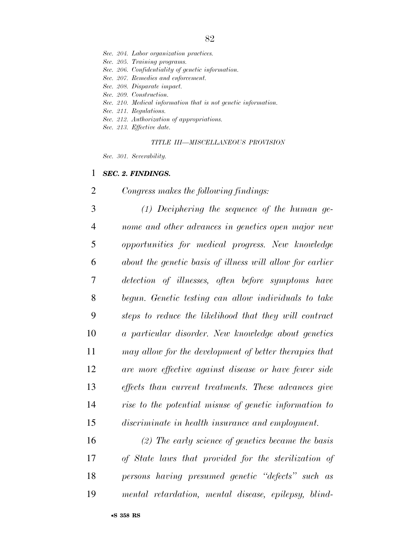*Sec. 204. Labor organization practices.* 

*Sec. 205. Training programs.* 

*Sec. 206. Confidentiality of genetic information.* 

*Sec. 207. Remedies and enforcement.* 

*Sec. 208. Disparate impact.* 

*Sec. 209. Construction.* 

*Sec. 210. Medical information that is not genetic information.* 

*Sec. 211. Regulations.* 

- *Sec. 212. Authorization of appropriations.*
- *Sec. 213. Effective date.*

*TITLE III—MISCELLANEOUS PROVISION* 

*Sec. 301. Severability.* 

## *SEC. 2. FINDINGS.*

*Congress makes the following findings:* 

 *(1) Deciphering the sequence of the human ge- nome and other advances in genetics open major new opportunities for medical progress. New knowledge about the genetic basis of illness will allow for earlier detection of illnesses, often before symptoms have begun. Genetic testing can allow individuals to take steps to reduce the likelihood that they will contract a particular disorder. New knowledge about genetics may allow for the development of better therapies that are more effective against disease or have fewer side effects than current treatments. These advances give rise to the potential misuse of genetic information to discriminate in health insurance and employment.* 

 *(2) The early science of genetics became the basis of State laws that provided for the sterilization of persons having presumed genetic ''defects'' such as mental retardation, mental disease, epilepsy, blind-*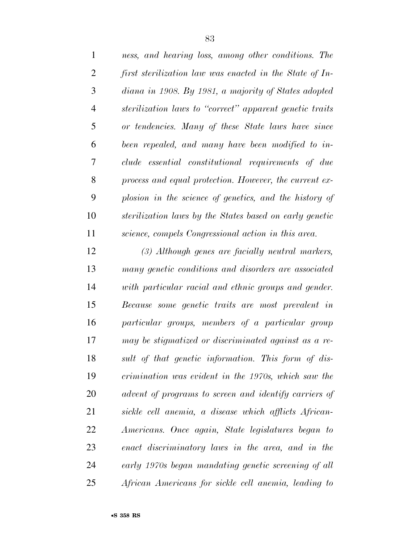| $\mathbf{1}$   | ness, and hearing loss, among other conditions. The     |
|----------------|---------------------------------------------------------|
| $\overline{2}$ | first sterilization law was enacted in the State of In- |
| 3              | diana in 1908. By 1981, a majority of States adopted    |
| $\overline{4}$ | sterilization laws to "correct" apparent genetic traits |
| 5              | or tendencies. Many of these State laws have since      |
| 6              | been repealed, and many have been modified to in-       |
| 7              | clude essential constitutional requirements of due      |
| 8              | process and equal protection. However, the current ex-  |
| 9              | plosion in the science of genetics, and the history of  |
| 10             | sterilization laws by the States based on early genetic |
| 11             | science, compels Congressional action in this area.     |
| 12             | (3) Although genes are facially neutral markers,        |
| 13             | many genetic conditions and disorders are associated    |
| 14             | with particular racial and ethnic groups and gender.    |
| 15             | Because some genetic traits are most prevalent in       |
| 16             | particular groups, members of a particular group        |
| 17             | may be stigmatized or discriminated against as a re-    |
| 18             | sult of that genetic information. This form of dis-     |
| 19             | crimination was evident in the 1970s, which saw the     |
| 20             | advent of programs to screen and identify carriers of   |
| 21             | sickle cell anemia, a disease which afflicts African-   |
| 22             | Americans. Once again, State legislatures began to      |
| 23             | enact discriminatory laws in the area, and in the       |
| 24             | early 1970s began mandating genetic screening of all    |
| 25             | African Americans for sickle cell anemia, leading to    |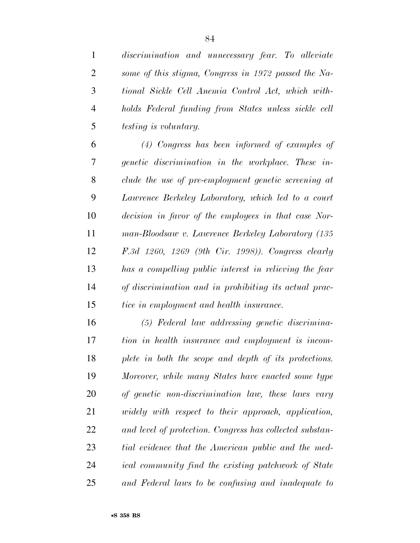*discrimination and unnecessary fear. To alleviate some of this stigma, Congress in 1972 passed the Na- tional Sickle Cell Anemia Control Act, which with- holds Federal funding from States unless sickle cell testing is voluntary.* 

 *(4) Congress has been informed of examples of genetic discrimination in the workplace. These in- clude the use of pre-employment genetic screening at Lawrence Berkeley Laboratory, which led to a court decision in favor of the employees in that case Nor- man-Bloodsaw v. Lawrence Berkeley Laboratory (135 F.3d 1260, 1269 (9th Cir. 1998)). Congress clearly has a compelling public interest in relieving the fear of discrimination and in prohibiting its actual prac-tice in employment and health insurance.* 

 *(5) Federal law addressing genetic discrimina- tion in health insurance and employment is incom- plete in both the scope and depth of its protections. Moreover, while many States have enacted some type of genetic non-discrimination law, these laws vary widely with respect to their approach, application, and level of protection. Congress has collected substan- tial evidence that the American public and the med- ical community find the existing patchwork of State and Federal laws to be confusing and inadequate to*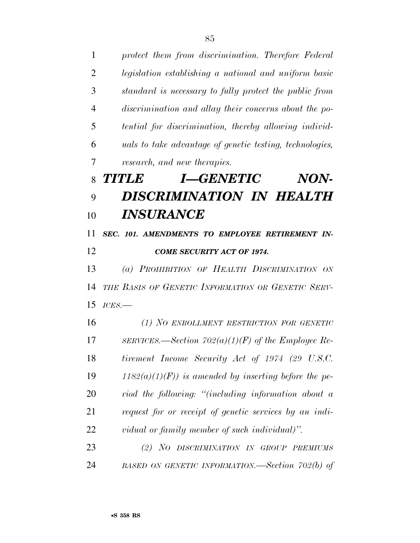*protect them from discrimination. Therefore Federal legislation establishing a national and uniform basic standard is necessary to fully protect the public from discrimination and allay their concerns about the po- tential for discrimination, thereby allowing individ- uals to take advantage of genetic testing, technologies, research, and new therapies. TITLE I—GENETIC NON- DISCRIMINATION IN HEALTH INSURANCE SEC. 101. AMENDMENTS TO EMPLOYEE RETIREMENT IN- COME SECURITY ACT OF 1974. (a) PROHIBITION OF HEALTH DISCRIMINATION ON THE BASIS OF GENETIC INFORMATION OR GENETIC SERV- ICES.— (1) NO ENROLLMENT RESTRICTION FOR GENETIC SERVICES.—Section 702(a)(1)(F) of the Employee Re- tirement Income Security Act of 1974 (29 U.S.C. 1182(a)(1)(F)) is amended by inserting before the pe- riod the following: ''(including information about a request for or receipt of genetic services by an indi- vidual or family member of such individual)''. (2) NO DISCRIMINATION IN GROUP PREMIUMS BASED ON GENETIC INFORMATION.—Section 702(b) of*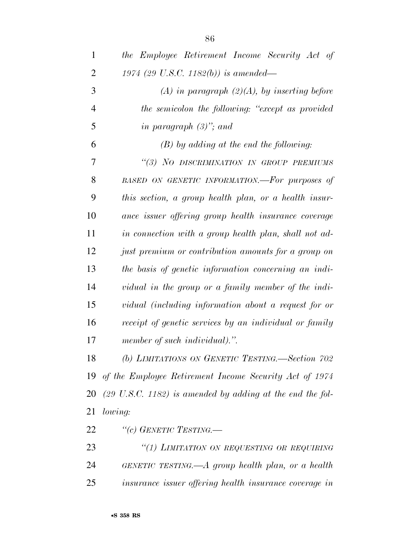| $\mathbf{1}$   | the Employee Retirement Income Security Act of                       |
|----------------|----------------------------------------------------------------------|
| 2              | 1974 (29 U.S.C. 1182(b)) is amended—                                 |
| 3              | $(A)$ in paragraph $(2)(A)$ , by inserting before                    |
| $\overline{4}$ | the semicolon the following: "except as provided                     |
| 5              | in paragraph $(3)$ "; and                                            |
| 6              | $(B)$ by adding at the end the following:                            |
| 7              | "(3) NO DISCRIMINATION IN GROUP PREMIUMS                             |
| 8              | BASED ON GENETIC INFORMATION.-For purposes of                        |
| 9              | this section, a group health plan, or a health insur-                |
| 10             | ance issuer offering group health insurance coverage                 |
| 11             | in connection with a group health plan, shall not ad-                |
| 12             | just premium or contribution amounts for a group on                  |
| 13             | the basis of genetic information concerning an indi-                 |
| 14             | vidual in the group or a family member of the indi-                  |
| 15             | vidual (including information about a request for or                 |
| 16             | receipt of genetic services by an individual or family               |
| 17             | member of such individual).".                                        |
| 18             | (b) LIMITATIONS ON GENETIC TESTING.-Section 702                      |
| 19             | of the Employee Retirement Income Security Act of 1974               |
| 20             | $(29 \text{ U.S.C. } 1182)$ is amended by adding at the end the fol- |
| 21             | lowing:                                                              |
| 22             | "(c) GENETIC TESTING.—                                               |
| 23             | "(1) LIMITATION ON REQUESTING OR REQUIRING                           |
| 24             | GENETIC TESTING.— $A$ group health plan, or a health                 |
| 25             | insurance issuer offering health insurance coverage in               |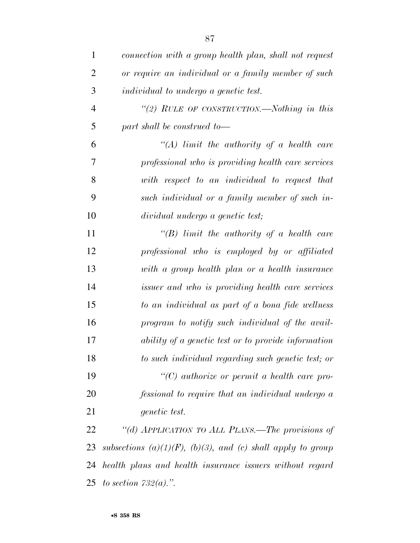| $\mathbf{1}$   | connection with a group health plan, shall not request      |
|----------------|-------------------------------------------------------------|
| $\overline{2}$ | or require an individual or a family member of such         |
| 3              | <i>individual to undergo a genetic test.</i>                |
| $\overline{4}$ | "(2) RULE OF CONSTRUCTION.—Nothing in this                  |
| 5              | part shall be construed to-                                 |
| 6              | "(A) limit the authority of a health care                   |
| 7              | professional who is providing health care services          |
| 8              | with respect to an individual to request that               |
| 9              | such individual or a family member of such in-              |
| 10             | dividual undergo a genetic test;                            |
| 11             | "(B) limit the authority of a health care                   |
| 12             | professional who is employed by or affiliated               |
| 13             | with a group health plan or a health insurance              |
| 14             | <i>issuer and who is providing health care services</i>     |
| 15             | to an individual as part of a bona fide wellness            |
| 16             | program to notify such individual of the avail-             |
| 17             | ability of a genetic test or to provide information         |
| 18             | to such individual regarding such genetic test; or          |
| 19             | $\lq\lq C$ authorize or permit a health care pro-           |
| 20             | fessional to require that an individual undergo a           |
| 21             | genetic test.                                               |
| 22             | "(d) APPLICATION TO ALL PLANS.—The provisions of            |
| 23             | subsections (a)(1)(F), (b)(3), and (c) shall apply to group |
| 24             | health plans and health insurance issuers without regard    |
|                | 25 to section $732(a)$ .".                                  |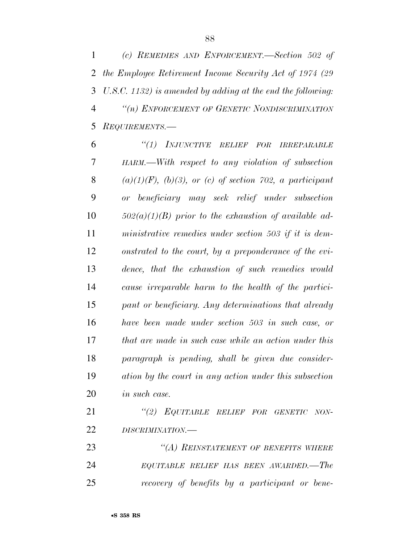*(c) REMEDIES AND ENFORCEMENT.—Section 502 of the Employee Retirement Income Security Act of 1974 (29 U.S.C. 1132) is amended by adding at the end the following: ''(n) ENFORCEMENT OF GENETIC NONDISCRIMINATION REQUIREMENTS.—* 

 *''(1) INJUNCTIVE RELIEF FOR IRREPARABLE HARM.—With respect to any violation of subsection (a)(1)(F), (b)(3), or (c) of section 702, a participant or beneficiary may seek relief under subsection 502(a)(1)(B) prior to the exhaustion of available ad- ministrative remedies under section 503 if it is dem- onstrated to the court, by a preponderance of the evi- dence, that the exhaustion of such remedies would cause irreparable harm to the health of the partici- pant or beneficiary. Any determinations that already have been made under section 503 in such case, or that are made in such case while an action under this paragraph is pending, shall be given due consider- ation by the court in any action under this subsection in such case.* 

 *''(2) EQUITABLE RELIEF FOR GENETIC NON-DISCRIMINATION.—* 

 *''(A) REINSTATEMENT OF BENEFITS WHERE EQUITABLE RELIEF HAS BEEN AWARDED.—The recovery of benefits by a participant or bene-*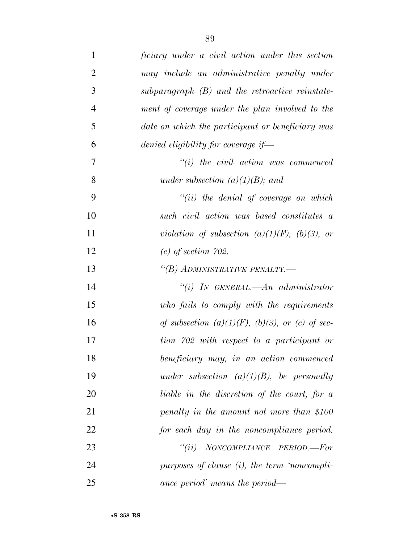| $\mathbf{1}$   | ficiary under a civil action under this section       |
|----------------|-------------------------------------------------------|
| $\overline{2}$ | may include an administrative penalty under           |
| 3              | subparagraph $(B)$ and the retroactive reinstate-     |
| $\overline{4}$ | ment of coverage under the plan involved to the       |
| 5              | date on which the participant or beneficiary was      |
| 6              | denied eligibility for coverage if—                   |
| 7              | $``(i)$ the civil action was commenced                |
| 8              | under subsection $(a)(1)(B)$ ; and                    |
| 9              | $``(ii)$ the denial of coverage on which              |
| 10             | such civil action was based constitutes a             |
| 11             | violation of subsection $(a)(1)(F)$ , $(b)(3)$ , or   |
| 12             | $(c)$ of section 702.                                 |
| 13             | "(B) ADMINISTRATIVE PENALTY.-                         |
| 14             | "(i) IN GENERAL.— $An$ administrator                  |
| 15             | who fails to comply with the requirements             |
| 16             | of subsection $(a)(1)(F)$ , $(b)(3)$ , or (c) of sec- |
| 17             | tion 702 with respect to a participant or             |
| 18             | beneficiary may, in an action commenced               |
| 19             | under subsection $(a)(1)(B)$ , be personally          |
| 20             | liable in the discretion of the court, for a          |
| 21             | penalty in the amount not more than \$100             |
| 22             | for each day in the noncompliance period.             |
| 23             | "(ii) NONCOMPLIANCE PERIOD.—For                       |
| 24             | purposes of clause $(i)$ , the term 'noncompli-       |
| 25             | ance period' means the period—                        |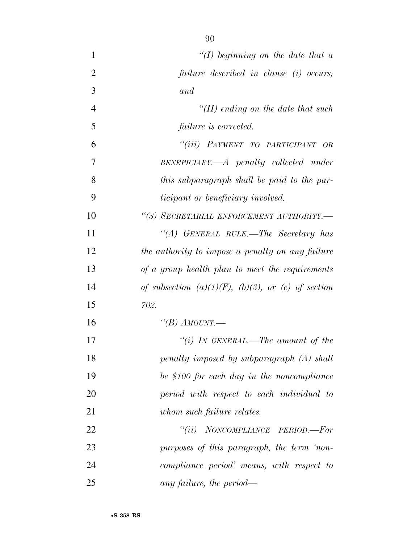| $\mathbf{1}$   | "(I) beginning on the date that $a$                        |
|----------------|------------------------------------------------------------|
| $\overline{2}$ | failure described in clause (i) occurs;                    |
| 3              | and                                                        |
| $\overline{4}$ | "(II) ending on the date that such                         |
| 5              | failure is corrected.                                      |
| 6              | "(iii) PAYMENT TO PARTICIPANT OR                           |
| 7              | BENEFICIARY.—A penalty collected under                     |
| 8              | this subparagraph shall be paid to the par-                |
| 9              | <i>ticipant or beneficiary involved.</i>                   |
| 10             | "(3) SECRETARIAL ENFORCEMENT AUTHORITY.-                   |
| 11             | "(A) GENERAL RULE.—The Secretary has                       |
| 12             | the authority to impose a penalty on any failure           |
| 13             | of a group health plan to meet the requirements            |
| 14             | of subsection $(a)(1)(F)$ , $(b)(3)$ , or $(c)$ of section |
| 15             | 702.                                                       |
| 16             | "(B) AMOUNT.                                               |
| 17             | "(i) IN GENERAL.—The amount of the                         |
| 18             | penalty imposed by subparagraph (A) shall                  |
| 19             | be \$100 for each day in the noncompliance                 |
| 20             | period with respect to each individual to                  |
| 21             | whom such failure relates.                                 |
| 22             | "(ii) NONCOMPLIANCE PERIOD.—For                            |
| 23             | purposes of this paragraph, the term 'non-                 |
| 24             | compliance period' means, with respect to                  |
| 25             | any failure, the period—                                   |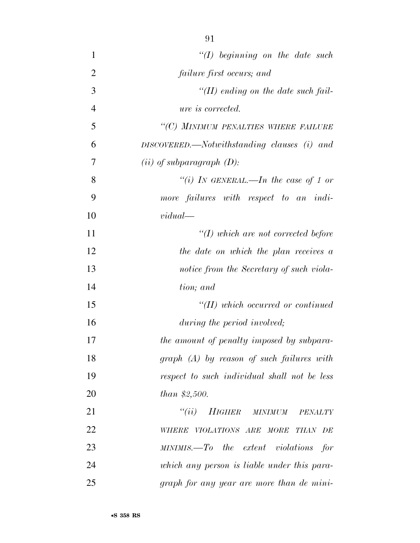| $\mathbf{1}$   | $\lq (I)$ beginning on the date such           |
|----------------|------------------------------------------------|
| $\overline{2}$ | failure first occurs; and                      |
| 3              | "(II) ending on the date such fail-            |
| $\overline{4}$ | <i>ure is corrected.</i>                       |
| 5              | "(C) MINIMUM PENALTIES WHERE FAILURE           |
| 6              | $DISCOVERED$ . Notwithstanding clauses (i) and |
| 7              | $(ii)$ of subparagraph $(D)$ :                 |
| 8              | "(i) IN GENERAL.—In the case of 1 or           |
| 9              | more failures with respect to an indi-         |
| 10             | vidual                                         |
| 11             | $H(f)$ which are not corrected before          |
| 12             | the date on which the plan receives $a$        |
| 13             | notice from the Secretary of such viola-       |
| 14             | tion; and                                      |
| 15             | $H(H)$ which occurred or continued             |
| 16             | during the period involved;                    |
| 17             | the amount of penalty imposed by subpara-      |
| 18             | $graph$ $(A)$ by reason of such failures with  |
| 19             | respect to such individual shall not be less   |
| 20             | <i>than</i> $$2,500$ .                         |
| 21             | "(ii) HIGHER MINIMUM<br>PENALTY                |
| 22             | WHERE VIOLATIONS ARE MORE THAN DE              |
| 23             | $MINIMIS. - To$ the extent violations for      |
| 24             | which any person is liable under this para-    |
| 25             | graph for any year are more than de mini-      |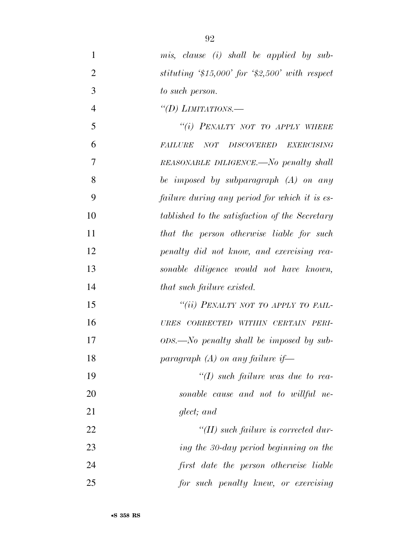| 1              | mis, clause (i) shall be applied by sub-                     |
|----------------|--------------------------------------------------------------|
| $\overline{2}$ | stituting $$15,000$ for $$2,500$ with respect                |
| 3              | to such person.                                              |
| $\overline{4}$ | "(D) LIMITATIONS.—                                           |
| 5              | "(i) PENALTY NOT TO APPLY WHERE                              |
| 6              | <i>NOT DISCOVERED</i><br><b>EXERCISING</b><br><b>FAILURE</b> |
| 7              | REASONABLE DILIGENCE.—No penalty shall                       |
| 8              | be imposed by subparagraph $(A)$ on any                      |
| 9              | failure during any period for which it is es-                |
| 10             | tablished to the satisfaction of the Secretary               |
| 11             | that the person otherwise liable for such                    |
| 12             | penalty did not know, and exercising rea-                    |
| 13             | sonable diligence would not have known,                      |
| 14             | that such failure existed.                                   |
| 15             | "(ii) PENALTY NOT TO APPLY TO FAIL-                          |
| 16             | URES CORRECTED WITHIN CERTAIN PERI-                          |
| 17             | $ODS.$ No penalty shall be imposed by sub-                   |
| 18             | paragraph $(A)$ on any failure if-                           |
| 19             | " $(I)$ such failure was due to rea-                         |
| 20             | sonable cause and not to willful ne-                         |
| 21             | glect; and                                                   |
| 22             | $H(H)$ such failure is corrected dur-                        |
| 23             | ing the 30-day period beginning on the                       |
| 24             | first date the person otherwise liable                       |
| 25             | for such penalty knew, or exercising                         |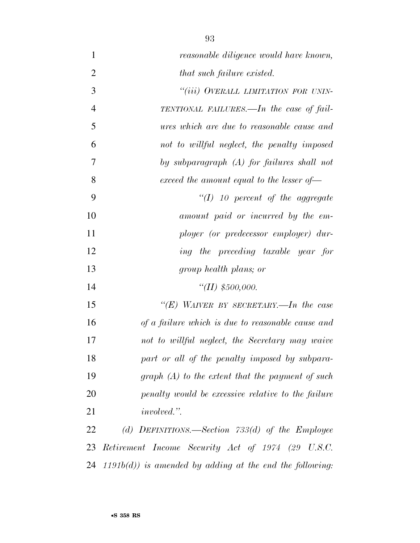| $\mathbf{1}$   | reasonable diligence would have known,                    |
|----------------|-----------------------------------------------------------|
| $\overline{2}$ | that such failure existed.                                |
| 3              | "(iii) OVERALL LIMITATION FOR UNIN-                       |
| $\overline{4}$ | TENTIONAL FAILURES.—In the case of fail-                  |
| 5              | ures which are due to reasonable cause and                |
| 6              | not to willful neglect, the penalty imposed               |
| 7              | by subparagraph $(A)$ for failures shall not              |
| 8              | exceed the amount equal to the lesser of $\equiv$         |
| 9              | $\lq (I)$ 10 percent of the aggregate                     |
| 10             | amount paid or incurred by the em-                        |
| 11             | ployer (or predecessor employer) dur-                     |
| 12             | ing the preceding taxable year for                        |
| 13             | group health plans; or                                    |
| 14             | "(II) $$500,000$ .                                        |
| 15             | "(E) WAIVER BY SECRETARY.—In the case                     |
| 16             | of a failure which is due to reasonable cause and         |
| 17             | not to willful neglect, the Secretary may waive           |
| 18             | part or all of the penalty imposed by subpara-            |
| 19             | $graph(A)$ to the extent that the payment of such         |
| 20             | penalty would be excessive relative to the failure        |
| 21             | <i>involved.</i> ".                                       |
| 22             | (d) DEFINITIONS.—Section $733(d)$ of the Employee         |
| 23             | Retirement Income Security Act of 1974 (29 U.S.C.         |
| 24             | $1191b(d)$ is amended by adding at the end the following: |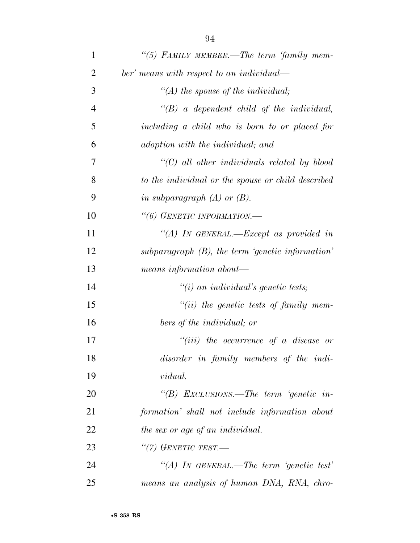| $\mathbf{1}$   | "(5) FAMILY MEMBER.—The term 'family mem-           |
|----------------|-----------------------------------------------------|
| $\overline{2}$ | ber' means with respect to an individual—           |
| 3              | "(A) the spouse of the individual;                  |
| $\overline{4}$ | $\lq\lq B$ a dependent child of the individual,     |
| 5              | including a child who is born to or placed for      |
| 6              | adoption with the individual; and                   |
| 7              | "(C) all other individuals related by blood         |
| 8              | to the individual or the spouse or child described  |
| 9              | in subparagraph $(A)$ or $(B)$ .                    |
| 10             | "(6) GENETIC INFORMATION.-                          |
| 11             | "(A) IN GENERAL.—Except as provided in              |
| 12             | subparagraph $(B)$ , the term 'genetic information' |
| 13             | means information about—                            |
| 14             | $"(i)$ an individual's genetic tests;               |
| 15             | $``(ii)$ the genetic tests of family mem-           |
| 16             | bers of the individual; or                          |
| 17             | $``(iii)$ the occurrence of a disease or            |
| 18             | disorder in family members of the indi-             |
| 19             | <i>vidual.</i>                                      |
| 20             | "(B) EXCLUSIONS.—The term 'genetic in-              |
| 21             | formation' shall not include information about      |
| 22             | the sex or age of an individual.                    |
| 23             | "(7) GENETIC TEST.—                                 |
| 24             | "(A) IN GENERAL.—The term 'genetic test'            |
| 25             | means an analysis of human DNA, RNA, chro-          |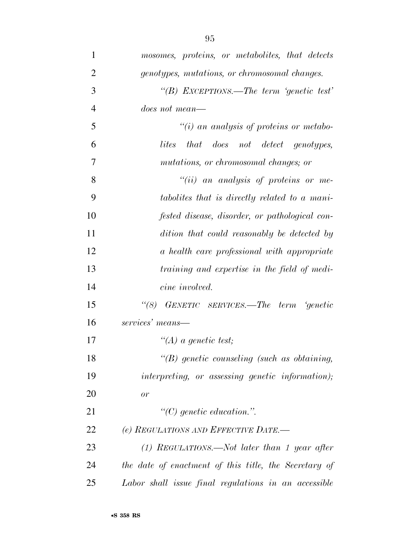| 1              | mosomes, proteins, or metabolites, that detects       |
|----------------|-------------------------------------------------------|
| $\overline{2}$ | genotypes, mutations, or chromosomal changes.         |
| 3              | "(B) EXCEPTIONS.—The term 'genetic test'              |
| $\overline{4}$ | <i>does not mean—</i>                                 |
| 5              | $\lq\lq(i)$ an analysis of proteins or metabo-        |
| 6              | that does not detect genotypes,<br>lites              |
| 7              | mutations, or chromosomal changes; or                 |
| 8              | $``(ii)$ an analysis of proteins or me-               |
| 9              | tabolites that is directly related to a mani-         |
| 10             | fested disease, disorder, or pathological con-        |
| 11             | dition that could reasonably be detected by           |
| 12             | a health care professional with appropriate           |
| 13             | training and expertise in the field of medi-          |
| 14             | cine involved.                                        |
| 15             | GENETIC SERVICES.—The term 'genetic<br>$\lq(8)$       |
| 16             | services' means—                                      |
| 17             | $\lq (A)$ a genetic test;                             |
| 18             | $\lq\lq(B)$ genetic counseling (such as obtaining,    |
| 19             | interpreting, or assessing genetic information);      |
| 20             | or                                                    |
| 21             | $\lq\lq C$ genetic education.".                       |
| 22             | (e) REGULATIONS AND EFFECTIVE DATE.-                  |
| 23             | $(1)$ REGULATIONS.—Not later than 1 year after        |
| 24             | the date of enactment of this title, the Secretary of |
| 25             | Labor shall issue final regulations in an accessible  |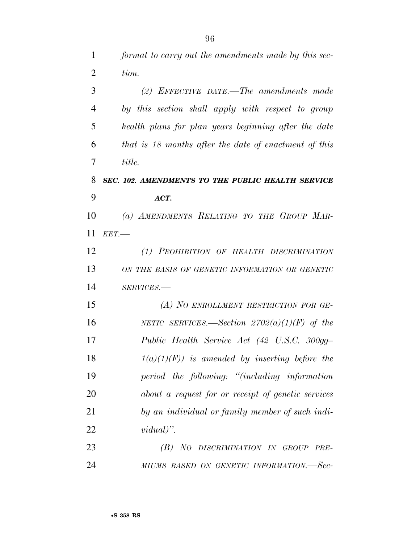*format to carry out the amendments made by this sec-*

| $\overline{2}$ | tion.                                                 |
|----------------|-------------------------------------------------------|
| 3              | (2) EFFECTIVE DATE.—The amendments made               |
| $\overline{4}$ | by this section shall apply with respect to group     |
| 5              | health plans for plan years beginning after the date  |
| 6              | that is 18 months after the date of enactment of this |
| 7              | title.                                                |
| 8              | SEC. 102. AMENDMENTS TO THE PUBLIC HEALTH SERVICE     |
| 9              | ACT.                                                  |
| 10             | (a) AMENDMENTS RELATING TO THE GROUP MAR-             |
| 11             | KET.                                                  |
| 12             | (1) PROHIBITION OF HEALTH DISCRIMINATION              |
| 13             | ON THE BASIS OF GENETIC INFORMATION OR GENETIC        |
| 14             | SERVICES.-                                            |
| 15             | (A) NO ENROLLMENT RESTRICTION FOR GE-                 |
| 16             | NETIC SERVICES.—Section $2702(a)(1)(F)$ of the        |
| 17             | Public Health Service Act (42 U.S.C. 300gg-           |
| 18             | $1(a)(1)(F)$ is amended by inserting before the       |
| 19             | period the following: "(including information         |
| 20             | about a request for or receipt of genetic services    |
| 21             | by an individual or family member of such indi-       |
| 22             | $vidual)$ ".                                          |
| 23             | (B) NO DISCRIMINATION IN GROUP<br>PRE-                |
| 24             | MIUMS BASED ON GENETIC INFORMATION.—Sec-              |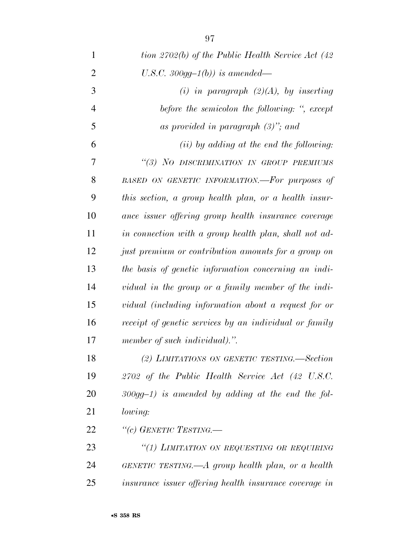| $\mathbf{1}$   | tion 2702(b) of the Public Health Service Act $(42)$   |
|----------------|--------------------------------------------------------|
| $\overline{2}$ | U.S.C. 300gg-1(b)) is amended—                         |
| 3              | (i) in paragraph $(2)(A)$ , by inserting               |
| $\overline{4}$ | before the semicolon the following: ", except          |
| 5              | as provided in paragraph $(3)$ "; and                  |
| 6              | (ii) by adding at the end the following:               |
| 7              | "(3) NO DISCRIMINATION IN GROUP PREMIUMS               |
| 8              | BASED ON GENETIC INFORMATION.-For purposes of          |
| 9              | this section, a group health plan, or a health insur-  |
| 10             | ance issuer offering group health insurance coverage   |
| 11             | in connection with a group health plan, shall not ad-  |
| 12             | just premium or contribution amounts for a group on    |
| 13             | the basis of genetic information concerning an indi-   |
| 14             | vidual in the group or a family member of the indi-    |
| 15             | vidual (including information about a request for or   |
| 16             | receipt of genetic services by an individual or family |
| 17             | member of such individual).".                          |
| 18             | (2) LIMITATIONS ON GENETIC TESTING.-Section            |
| 19             | 2702 of the Public Health Service Act (42 U.S.C.       |
| 20             | $300gg-1$ ) is amended by adding at the end the fol-   |
| 21             | <i>lowing:</i>                                         |
| 22             | "(c) GENETIC TESTING.—                                 |
| 23             | "(1) LIMITATION ON REQUESTING OR REQUIRING             |
| 24             | GENETIC TESTING.— $A$ group health plan, or a health   |
| 25             | insurance issuer offering health insurance coverage in |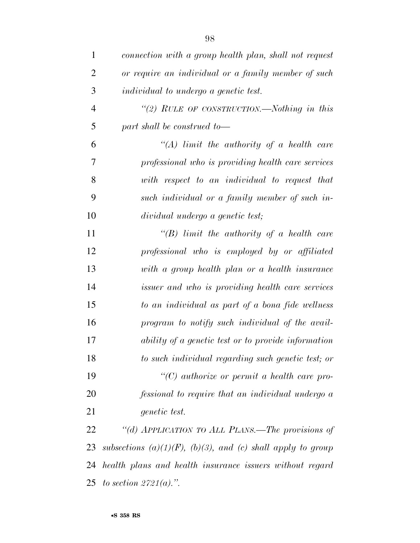| $\mathbf{1}$   | connection with a group health plan, shall not request      |
|----------------|-------------------------------------------------------------|
| $\overline{2}$ | or require an individual or a family member of such         |
| 3              | <i>individual to undergo a genetic test.</i>                |
| $\overline{4}$ | "(2) RULE OF CONSTRUCTION.—Nothing in this                  |
| 5              | part shall be construed to-                                 |
| 6              | "(A) limit the authority of a health care                   |
| 7              | professional who is providing health care services          |
| 8              | with respect to an individual to request that               |
| 9              | such individual or a family member of such in-              |
| 10             | dividual undergo a genetic test;                            |
| 11             | $\lq\lq B$ ) limit the authority of a health care           |
| 12             | professional who is employed by or affiliated               |
| 13             | with a group health plan or a health insurance              |
| 14             | <i>issuer and who is providing health care services</i>     |
| 15             | to an individual as part of a bona fide wellness            |
| 16             | program to notify such individual of the avail-             |
| 17             | ability of a genetic test or to provide information         |
| 18             | to such individual regarding such genetic test; or          |
| 19             | $\lq\lq C$ authorize or permit a health care pro-           |
| 20             | fessional to require that an individual undergo a           |
| 21             | genetic test.                                               |
| 22             | "(d) APPLICATION TO ALL PLANS.—The provisions of            |
| 23             | subsections (a)(1)(F), (b)(3), and (c) shall apply to group |
| 24             | health plans and health insurance issuers without regard    |
|                | 25 to section $2721(a)$ .".                                 |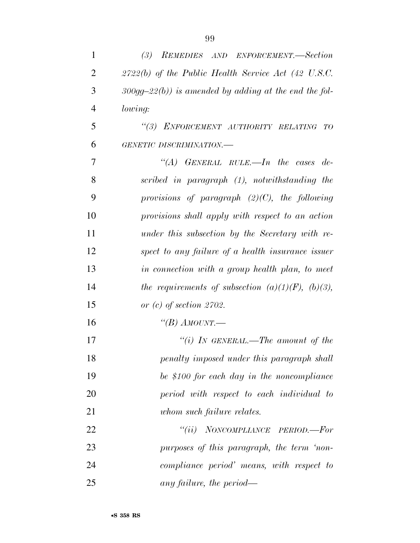| $\mathbf{1}$   | (3)<br>REMEDIES AND ENFORCEMENT.-Section                 |
|----------------|----------------------------------------------------------|
| $\overline{2}$ | $2722(b)$ of the Public Health Service Act (42 U.S.C.    |
| 3              | $300gg-22(b)$ ) is amended by adding at the end the fol- |
| $\overline{4}$ | lowing:                                                  |
| 5              | "(3) ENFORCEMENT AUTHORITY RELATING TO                   |
| 6              | GENETIC DISCRIMINATION.-                                 |
| 7              | "(A) GENERAL RULE.—In the cases de-                      |
| 8              | scribed in paragraph (1), notwithstanding the            |
| 9              | provisions of paragraph $(2)(C)$ , the following         |
| 10             | provisions shall apply with respect to an action         |
| 11             | under this subsection by the Secretary with re-          |
| 12             | spect to any failure of a health insurance issuer        |
| 13             | in connection with a group health plan, to meet          |
| 14             | the requirements of subsection $(a)(1)(F)$ , $(b)(3)$ ,  |
| 15             | or $(c)$ of section 2702.                                |
| 16             | "(B) AMOUNT.—                                            |
| 17             | "(i) IN GENERAL.—The amount of the                       |
| 18             | penalty imposed under this paragraph shall               |
| 19             | be \$100 for each day in the noncompliance               |
| 20             | period with respect to each individual to                |
| 21             | whom such failure relates.                               |
| 22             | "(ii) NONCOMPLIANCE PERIOD.—For                          |
| 23             | purposes of this paragraph, the term 'non-               |
| 24             | compliance period' means, with respect to                |
| 25             | any failure, the period—                                 |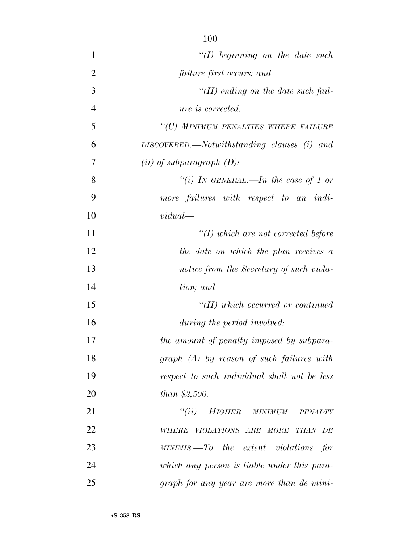| $\mathbf{1}$   | $\lq (I)$ beginning on the date such           |
|----------------|------------------------------------------------|
| $\overline{2}$ | failure first occurs; and                      |
| 3              | $\lq (II)$ ending on the date such fail-       |
| $\overline{4}$ | <i>ure is corrected.</i>                       |
| 5              | "(C) MINIMUM PENALTIES WHERE FAILURE           |
| 6              | $DISCOVERED$ . Notwithstanding clauses (i) and |
| 7              | $(ii)$ of subparagraph $(D)$ :                 |
| 8              | "(i) IN GENERAL.—In the case of 1 or           |
| 9              | more failures with respect to an indi-         |
| 10             | vidual                                         |
| 11             | $H(f)$ which are not corrected before          |
| 12             | the date on which the plan receives a          |
| 13             | notice from the Secretary of such viola-       |
| 14             | tion; and                                      |
| 15             | $H(H)$ which occurred or continued             |
| 16             | during the period involved;                    |
| 17             | the amount of penalty imposed by subpara-      |
| 18             | $graph$ $(A)$ by reason of such failures with  |
| 19             | respect to such individual shall not be less   |
| 20             | <i>than</i> $$2,500$ .                         |
| 21             | "(ii) HIGHER MINIMUM<br>PENALTY                |
| 22             | WHERE VIOLATIONS ARE MORE THAN DE              |
| 23             | $MINIMIS. - To$ the extent violations for      |
| 24             | which any person is liable under this para-    |
| 25             | graph for any year are more than de mini-      |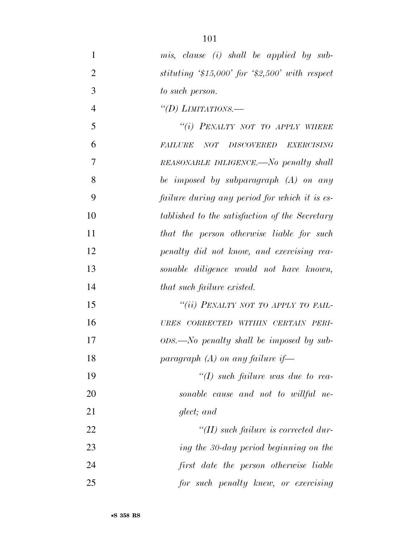| 1              | mis, clause (i) shall be applied by sub-       |
|----------------|------------------------------------------------|
| $\overline{2}$ | stituting $$15,000$ for $$2,500$ with respect  |
| 3              | to such person.                                |
| $\overline{4}$ | "(D) LIMITATIONS.—                             |
| 5              | "(i) PENALTY NOT TO APPLY WHERE                |
| 6              | <b>FAILURE</b><br>NOT DISCOVERED EXERCISING    |
| 7              | REASONABLE DILIGENCE.—No penalty shall         |
| 8              | be imposed by subparagraph $(A)$ on any        |
| 9              | failure during any period for which it is es-  |
| 10             | tablished to the satisfaction of the Secretary |
| 11             | that the person otherwise liable for such      |
| 12             | penalty did not know, and exercising rea-      |
| 13             | sonable diligence would not have known,        |
| 14             | that such failure existed.                     |
| 15             | "(ii) PENALTY NOT TO APPLY TO FAIL-            |
| 16             | URES CORRECTED WITHIN CERTAIN PERI-            |
| 17             | $ODS.$ No penalty shall be imposed by sub-     |
| 18             | paragraph $(A)$ on any failure if-             |
| 19             | $\lq (I)$ such failure was due to rea-         |
| 20             | sonable cause and not to willful ne-           |
| 21             | glect; and                                     |
| 22             | $\lq (II)$ such failure is corrected dur-      |
| 23             | ing the 30-day period beginning on the         |
| 24             | first date the person otherwise liable         |
| 25             | for such penalty knew, or exercising           |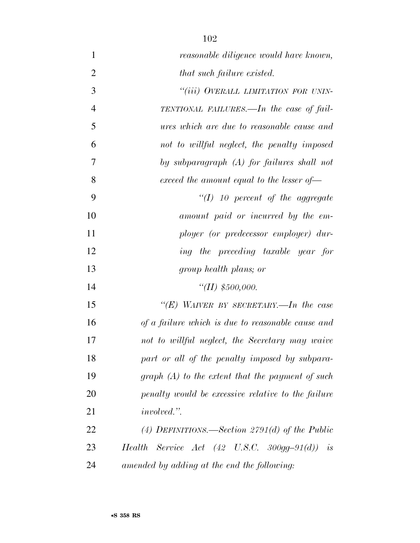| $\mathbf{1}$   | reasonable diligence would have known,                      |
|----------------|-------------------------------------------------------------|
| $\overline{2}$ | that such failure existed.                                  |
| 3              | "(iii) OVERALL LIMITATION FOR UNIN-                         |
| $\overline{4}$ | TENTIONAL FAILURES.—In the case of fail-                    |
| 5              | ures which are due to reasonable cause and                  |
| 6              | not to willful neglect, the penalty imposed                 |
| 7              | by subparagraph $(A)$ for failures shall not                |
| 8              | exceed the amount equal to the lesser of-                   |
| 9              | $\lq (I)$ 10 percent of the aggregate                       |
| 10             | amount paid or incurred by the em-                          |
| 11             | ployer (or predecessor employer) dur-                       |
| 12             | ing the preceding taxable year for                          |
|                |                                                             |
| 13             | group health plans; or                                      |
| 14             | "(II) $$500,000$ .                                          |
| 15             | "(E) WAIVER BY SECRETARY.—In the case                       |
| 16             | of a failure which is due to reasonable cause and           |
| 17             | not to willful neglect, the Secretary may waive             |
| 18             | part or all of the penalty imposed by subpara-              |
| 19             | graph $(A)$ to the extent that the payment of such          |
| 20             | penalty would be excessive relative to the failure          |
| 21             | <i>involved.</i> ".                                         |
| 22             | (4) DEFINITIONS.—Section 2791(d) of the Public              |
| 23             | Health Service Act $(42 \text{ U.S.C. } 300gg-91(d))$<br>is |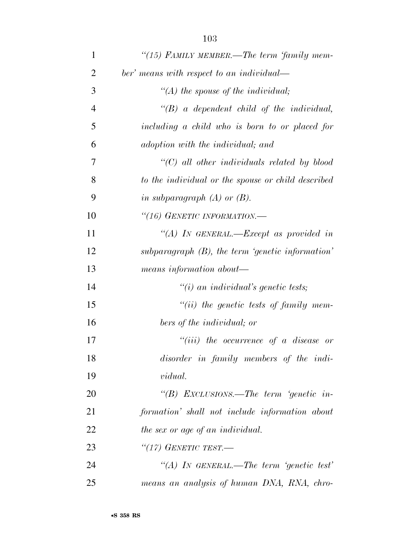| $\mathbf{1}$   | "(15) FAMILY MEMBER.—The term 'family mem-          |
|----------------|-----------------------------------------------------|
| $\overline{2}$ | ber' means with respect to an individual—           |
| 3              | $\lq (A)$ the spouse of the individual;             |
| $\overline{4}$ | $\lq\lq B$ a dependent child of the individual,     |
| 5              | including a child who is born to or placed for      |
| 6              | adoption with the individual; and                   |
| 7              | $\lq\lq C$ ) all other individuals related by blood |
| 8              | to the individual or the spouse or child described  |
| 9              | in subparagraph $(A)$ or $(B)$ .                    |
| 10             | "(16) GENETIC INFORMATION.-                         |
| 11             | "(A) IN GENERAL.—Except as provided in              |
| 12             | subparagraph $(B)$ , the term 'genetic information' |
| 13             | means information about—                            |
| 14             | $\lq\lq(i)$ an individual's genetic tests;          |
| 15             | $``(ii)$ the genetic tests of family mem-           |
| 16             | bers of the individual; or                          |
| 17             | $``(iii)$ the occurrence of a disease or            |
| 18             | disorder in family members of the indi-             |
| 19             | <i>vidual.</i>                                      |
| 20             | "(B) EXCLUSIONS.—The term 'genetic in-              |
| 21             | formation' shall not include information about      |
| 22             | the sex or age of an individual.                    |
| 23             | "(17) GENETIC TEST.—                                |
| 24             | "(A) IN GENERAL.—The term 'genetic test'            |
| 25             | means an analysis of human DNA, RNA, chro-          |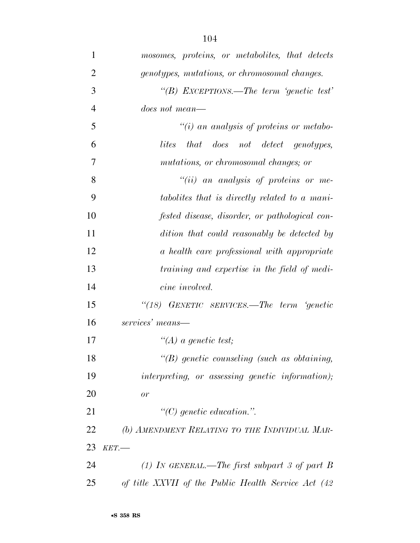| 1              | mosomes, proteins, or metabolites, that detects     |
|----------------|-----------------------------------------------------|
| $\overline{2}$ | genotypes, mutations, or chromosomal changes.       |
| 3              | "(B) EXCEPTIONS.—The term 'genetic test'            |
| 4              | <i>does not mean—</i>                               |
| 5              | $\tilde{f}(i)$ an analysis of proteins or metabo-   |
| 6              | that does not detect genotypes,<br>lites            |
| 7              | mutations, or chromosomal changes; or               |
| 8              | $``(ii)$ an analysis of proteins or me-             |
| 9              | tabolites that is directly related to a mani-       |
| 10             | fested disease, disorder, or pathological con-      |
| 11             | dition that could reasonably be detected by         |
| 12             | a health care professional with appropriate         |
| 13             | training and expertise in the field of medi-        |
| 14             | cine involved.                                      |
| 15             | "(18) GENETIC SERVICES.—The term 'genetic           |
| 16             | services' means—                                    |
| 17             | $\lq (A)$ a genetic test;                           |
| 18             | $\lq\lq B$ genetic counseling (such as obtaining,   |
| 19             | interpreting, or assessing genetic information);    |
| 20             | or                                                  |
| 21             | $\lq\lq C$ genetic education.".                     |
| 22             | (b) AMENDMENT RELATING TO THE INDIVIDUAL MAR-       |
| 23             | KET.                                                |
| 24             | (1) In GENERAL.—The first subpart 3 of part B       |
| 25             | of title XXVII of the Public Health Service Act (42 |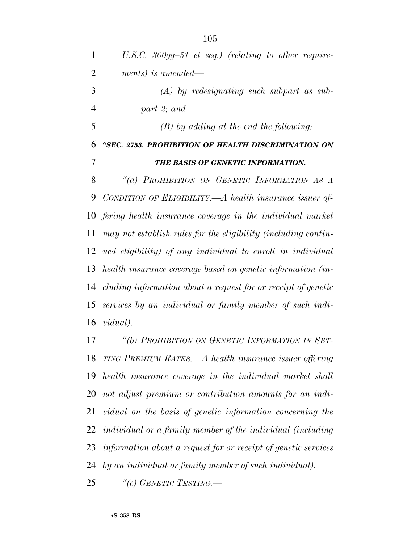| $\mathbf{1}$   | U.S.C. 300gg-51 et seq.) (relating to other require-           |
|----------------|----------------------------------------------------------------|
| $\overline{2}$ | ments) is amended—                                             |
| 3              | $(A)$ by redesignating such subpart as sub-                    |
| $\overline{4}$ | part 2; and                                                    |
| 5              | $(B)$ by adding at the end the following:                      |
| 6              | "SEC. 2753. PROHIBITION OF HEALTH DISCRIMINATION ON            |
| 7              | THE BASIS OF GENETIC INFORMATION.                              |
| 8              | "(a) PROHIBITION ON GENETIC INFORMATION AS A                   |
| 9              | CONDITION OF ELIGIBILITY.—A health insurance issuer of-        |
| 10             | fering health insurance coverage in the individual market      |
| 11             | may not establish rules for the eligibility (including contin- |
| 12             | ued eligibility) of any individual to enroll in individual     |
| 13             | health insurance coverage based on genetic information (in-    |
| 14             | cluding information about a request for or receipt of genetic  |
| 15             | services by an individual or family member of such indi-       |
| 16             | <i>vidual</i> ).                                               |
| 17             | "(b) PROHIBITION ON GENETIC INFORMATION IN SET-                |
| 18             | TING PREMIUM RATES.—A health insurance issuer offering         |
|                |                                                                |

 *TING PREMIUM RATES.—A health insurance issuer offering health insurance coverage in the individual market shall not adjust premium or contribution amounts for an indi- vidual on the basis of genetic information concerning the individual or a family member of the individual (including information about a request for or receipt of genetic services by an individual or family member of such individual).* 

*''(c) GENETIC TESTING.—*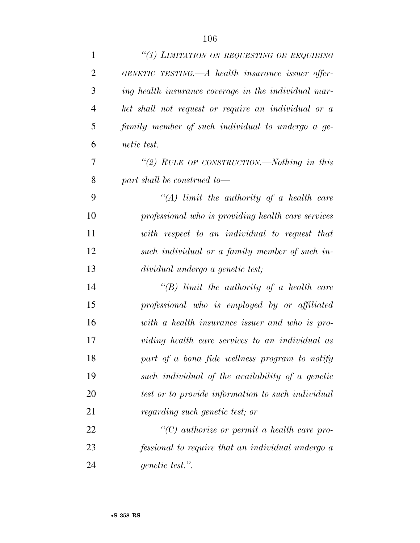| $\mathbf{1}$   | "(1) LIMITATION ON REQUESTING OR REQUIRING           |
|----------------|------------------------------------------------------|
| $\overline{2}$ | GENETIC TESTING.—A health insurance issuer offer-    |
| 3              | ing health insurance coverage in the individual mar- |
| $\overline{4}$ | ket shall not request or require an individual or a  |
| 5              | family member of such individual to undergo a ge-    |
| 6              | <i>netic</i> test.                                   |
| 7              | "(2) RULE OF CONSTRUCTION.—Nothing in this           |
| 8              | part shall be construed to-                          |
| 9              | $\lq (A)$ limit the authority of a health care       |
| 10             | professional who is providing health care services   |
| 11             | with respect to an individual to request that        |
| 12             | such individual or a family member of such in-       |
| 13             | dividual undergo a genetic test;                     |
| 14             | $\lq\lq B$ ) limit the authority of a health care    |
| 15             | professional who is employed by or affiliated        |
| 16             |                                                      |
|                | with a health insurance issuer and who is pro-       |
| 17             | viding health care services to an individual as      |
| 18             | part of a bona fide wellness program to notify       |
| 19             | such individual of the availability of a genetic     |
| 20             | test or to provide information to such individual    |
| 21             | regarding such genetic test; or                      |
| 22             | $\lq\lq C$ authorize or permit a health care pro-    |
| 23             | fessional to require that an individual undergo a    |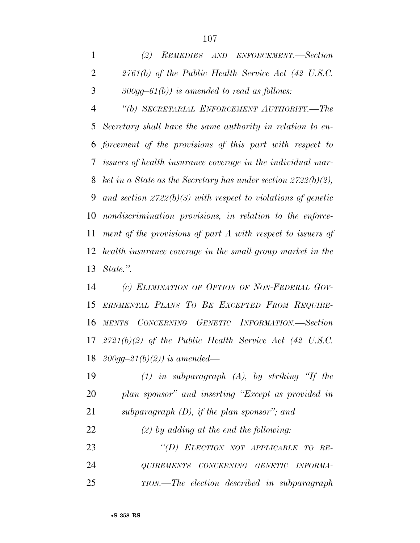*(2) REMEDIES AND ENFORCEMENT.—Section 2761(b) of the Public Health Service Act (42 U.S.C. 300gg–61(b)) is amended to read as follows:* 

 *''(b) SECRETARIAL ENFORCEMENT AUTHORITY.—The Secretary shall have the same authority in relation to en- forcement of the provisions of this part with respect to issuers of health insurance coverage in the individual mar- ket in a State as the Secretary has under section 2722(b)(2), and section 2722(b)(3) with respect to violations of genetic nondiscrimination provisions, in relation to the enforce- ment of the provisions of part A with respect to issuers of health insurance coverage in the small group market in the State.''.* 

 *(c) ELIMINATION OF OPTION OF NON-FEDERAL GOV- ERNMENTAL PLANS TO BE EXCEPTED FROM REQUIRE- MENTS CONCERNING GENETIC INFORMATION.—Section 2721(b)(2) of the Public Health Service Act (42 U.S.C. 300gg–21(b)(2)) is amended—* 

 *(1) in subparagraph (A), by striking ''If the plan sponsor'' and inserting ''Except as provided in subparagraph (D), if the plan sponsor''; and* 

*(2) by adding at the end the following:* 

 *''(D) ELECTION NOT APPLICABLE TO RE- QUIREMENTS CONCERNING GENETIC INFORMA-TION.—The election described in subparagraph*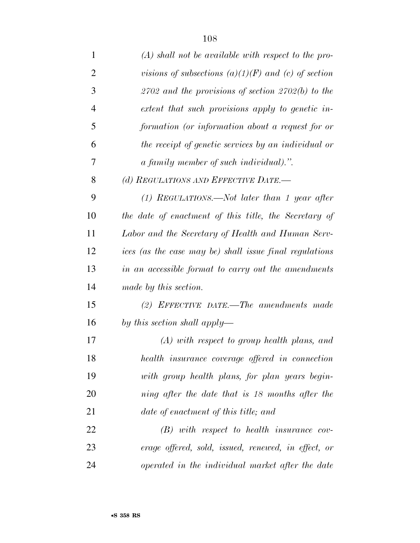| $\mathbf{1}$   | $(A)$ shall not be available with respect to the pro-   |
|----------------|---------------------------------------------------------|
| 2              | visions of subsections $(a)(1)(F)$ and $(c)$ of section |
| 3              | $2702$ and the provisions of section $2702(b)$ to the   |
| $\overline{4}$ | extent that such provisions apply to genetic in-        |
| 5              | formation (or information about a request for or        |
| 6              | the receipt of genetic services by an individual or     |
| 7              | a family member of such individual).".                  |
| 8              | (d) REGULATIONS AND EFFECTIVE DATE.-                    |
| 9              | $(1)$ REGULATIONS.—Not later than 1 year after          |
| 10             | the date of enactment of this title, the Secretary of   |
| 11             | Labor and the Secretary of Health and Human Serv-       |
| 12             | ices (as the case may be) shall issue final regulations |
| 13             | in an accessible format to carry out the amendments     |
| 14             | made by this section.                                   |
| 15             | $(2)$ EFFECTIVE DATE.—The amendments made               |
| 16             | by this section shall apply—                            |
| 17             | $(A)$ with respect to group health plans, and           |
| 18             | health insurance coverage offered in connection         |
| 19             | with group health plans, for plan years begin-          |
| 20             | ning after the date that is 18 months after the         |
| 21             | date of enactment of this title; and                    |
| 22             | $(B)$ with respect to health insurance cov-             |
| 23             | erage offered, sold, issued, renewed, in effect, or     |
| 24             | operated in the individual market after the date        |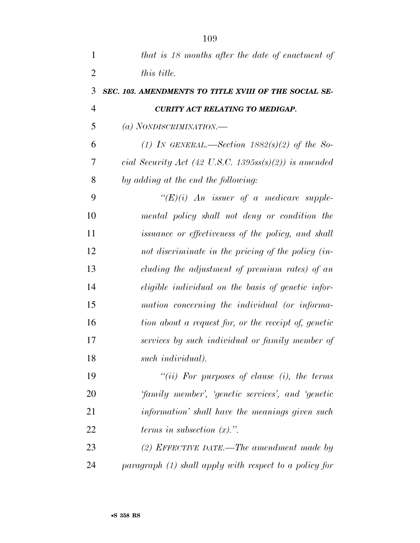| $\mathbf{1}$   | that is 18 months after the date of enactment of         |
|----------------|----------------------------------------------------------|
| $\overline{2}$ | <i>this title.</i>                                       |
| 3              | SEC. 103. AMENDMENTS TO TITLE XVIII OF THE SOCIAL SE-    |
| $\overline{4}$ | <b>CURITY ACT RELATING TO MEDIGAP.</b>                   |
| 5              | (a) NONDISCRIMINATION.—                                  |
| 6              | (1) IN GENERAL.—Section $1882(s)(2)$ of the So-          |
| 7              | cial Security Act (42 U.S.C. 1395ss(s)(2)) is amended    |
| 8              | by adding at the end the following:                      |
| 9              | " $(E)(i)$ An issuer of a medicare supple-               |
| 10             | mental policy shall not deny or condition the            |
| 11             | issuance or effectiveness of the policy, and shall       |
| 12             | not discriminate in the pricing of the policy (in-       |
| 13             | cluding the adjustment of premium rates) of an           |
| 14             | eligible individual on the basis of genetic infor-       |
| 15             | mation concerning the individual (or informa-            |
| 16             | tion about a request for, or the receipt of, genetic     |
| 17             | services by such individual or family member of          |
| 18             | such <i>individual</i> ).                                |
| 19             | "(ii) For purposes of clause (i), the terms              |
| 20             | <i>family member', 'genetic services', and 'genetic'</i> |
| 21             | information' shall have the meanings given such          |
| 22             | terms in subsection $(x)$ .".                            |
| 23             | (2) EFFECTIVE DATE.—The amendment made by                |
| 24             | paragraph (1) shall apply with respect to a policy for   |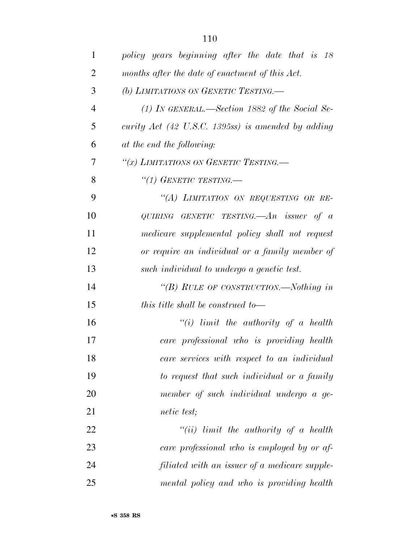| 1              | policy years beginning after the date that is 18                      |
|----------------|-----------------------------------------------------------------------|
| $\overline{2}$ | months after the date of enactment of this Act.                       |
| 3              | (b) LIMITATIONS ON GENETIC TESTING.                                   |
| 4              | (1) IN GENERAL.—Section 1882 of the Social Se-                        |
| 5              | curity Act $(42 \text{ U.S.C. } 1395 \text{ss})$ is amended by adding |
| 6              | at the end the following:                                             |
| 7              | "(x) LIMITATIONS ON GENETIC TESTING.—                                 |
| 8              | "(1) GENETIC TESTING.                                                 |
| 9              | "(A) LIMITATION ON REQUESTING OR RE-                                  |
| 10             | QUIRING GENETIC TESTING.— $An$ issuer of a                            |
| 11             | medicare supplemental policy shall not request                        |
| 12             | or require an individual or a family member of                        |
| 13             | such individual to undergo a genetic test.                            |
| 14             | "(B) RULE OF CONSTRUCTION.—Nothing in                                 |
| 15             | this title shall be construed to—                                     |
| 16             | $``(i)$ limit the authority of a health                               |
| 17             | care professional who is providing health                             |
| 18             | care services with respect to an individual                           |
| 19             | to request that such individual or a family                           |
| 20             | member of such individual undergo a ge-                               |
| 21             | <i>netic</i> test;                                                    |
| 22             | $``(ii)$ limit the authority of a health                              |
| 23             | care professional who is employed by or af-                           |
| 24             | filiated with an issuer of a medicare supple-                         |
| 25             | mental policy and who is providing health                             |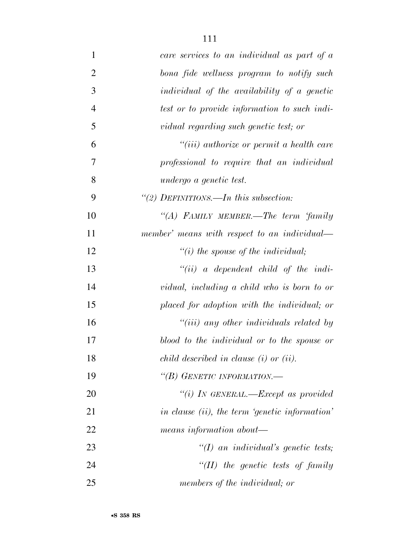| $\mathbf{1}$   | care services to an individual as part of a    |
|----------------|------------------------------------------------|
| $\overline{2}$ | bona fide wellness program to notify such      |
| 3              | individual of the availability of a genetic    |
| $\overline{4}$ | test or to provide information to such indi-   |
| 5              | vidual regarding such genetic test; or         |
| 6              | $``(iii)$ authorize or permit a health care    |
| 7              | professional to require that an individual     |
| 8              | undergo a genetic test.                        |
| 9              | "(2) DEFINITIONS.—In this subsection:          |
| 10             | "(A) FAMILY MEMBER.—The term 'family           |
| 11             | member' means with respect to an individual—   |
| 12             | $\lq\lq(i)$ the spouse of the individual;      |
| 13             | $``(ii)$ a dependent child of the indi-        |
| 14             | vidual, including a child who is born to or    |
| 15             | placed for adoption with the individual; or    |
| 16             | $``(iii)$ any other individuals related by     |
| 17             | blood to the individual or to the spouse or    |
| 18             | child described in clause $(i)$ or $(ii)$ .    |
| 19             | "(B) GENETIC INFORMATION.—                     |
| 20             | "(i) IN GENERAL.—Except as provided            |
| 21             | in clause (ii), the term 'genetic information' |
| 22             | means information about—                       |
| 23             | $\lq (I)$ an individual's genetic tests;       |
| 24             | $``(II)$ the genetic tests of family           |
| 25             | members of the individual; or                  |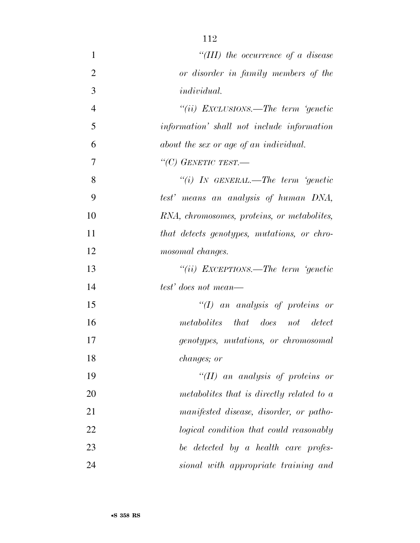| $\mathbf{1}$   | "(III) the occurrence of a disease               |
|----------------|--------------------------------------------------|
| $\overline{2}$ | or disorder in family members of the             |
| 3              | <i>individual.</i>                               |
| $\overline{4}$ | "(ii) EXCLUSIONS.—The term 'genetic              |
| 5              | <i>information</i> shall not include information |
| 6              | about the sex or age of an individual.           |
| 7              | "(C) GENETIC TEST.-                              |
| 8              | "(i) IN GENERAL.—The term 'genetic               |
| 9              | test' means an analysis of human DNA,            |
| 10             | RNA, chromosomes, proteins, or metabolites,      |
| 11             | that detects genotypes, mutations, or chro-      |
| 12             | mosomal changes.                                 |
| 13             | "(ii) EXCEPTIONS.—The term 'genetic              |
| 14             | test' does not mean—                             |
| 15             | " $(I)$ an analysis of proteins or               |
| 16             | metabolites that does not detect                 |
| 17             | genotypes, mutations, or chromosomal             |
| 18             | changes; or                                      |
| 19             | "(II) an analysis of proteins or                 |
| 20             | metabolites that is directly related to a        |
| 21             | manifested disease, disorder, or patho-          |
| 22             | logical condition that could reasonably          |
| 23             | be detected by a health care profes-             |
| 24             | sional with appropriate training and             |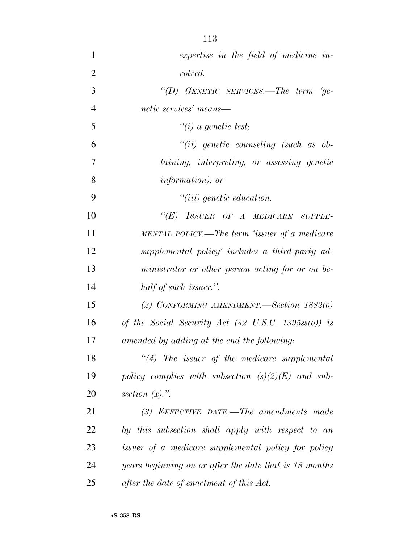*expertise in the field of medicine in- volved. ''(D) GENETIC SERVICES.—The term 'ge- netic services' means— ''(i) a genetic test; ''(ii) genetic counseling (such as ob- taining, interpreting, or assessing genetic information); or ''(iii) genetic education. ''(E) ISSUER OF A MEDICARE SUPPLE- MENTAL POLICY.—The term 'issuer of a medicare supplemental policy' includes a third-party ad- ministrator or other person acting for or on be- half of such issuer.''. (2) CONFORMING AMENDMENT.—Section 1882(o) of the Social Security Act (42 U.S.C. 1395ss(o)) is amended by adding at the end the following: ''(4) The issuer of the medicare supplemental policy complies with subsection (s)(2)(E) and sub- section (x).''. (3) EFFECTIVE DATE.—The amendments made by this subsection shall apply with respect to an issuer of a medicare supplemental policy for policy years beginning on or after the date that is 18 months after the date of enactment of this Act.*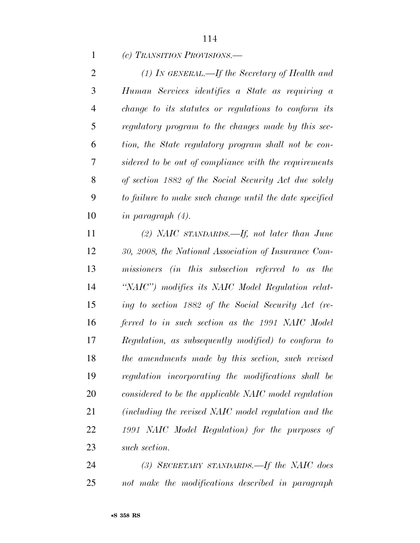*(c) TRANSITION PROVISIONS.—* 

 *(1) IN GENERAL.—If the Secretary of Health and Human Services identifies a State as requiring a change to its statutes or regulations to conform its regulatory program to the changes made by this sec- tion, the State regulatory program shall not be con- sidered to be out of compliance with the requirements of section 1882 of the Social Security Act due solely to failure to make such change until the date specified in paragraph (4).* 

 *(2) NAIC STANDARDS.—If, not later than June 30, 2008, the National Association of Insurance Com- missioners (in this subsection referred to as the ''NAIC'') modifies its NAIC Model Regulation relat- ing to section 1882 of the Social Security Act (re- ferred to in such section as the 1991 NAIC Model Regulation, as subsequently modified) to conform to the amendments made by this section, such revised regulation incorporating the modifications shall be considered to be the applicable NAIC model regulation (including the revised NAIC model regulation and the 1991 NAIC Model Regulation) for the purposes of such section.* 

 *(3) SECRETARY STANDARDS.—If the NAIC does not make the modifications described in paragraph*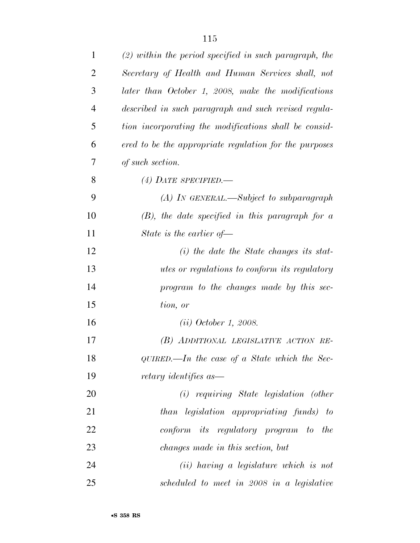| 1              | $(2)$ within the period specified in such paragraph, the |
|----------------|----------------------------------------------------------|
| $\overline{2}$ | Secretary of Health and Human Services shall, not        |
| 3              | later than October 1, 2008, make the modifications       |
| $\overline{4}$ | described in such paragraph and such revised regula-     |
| 5              | tion incorporating the modifications shall be consid-    |
| 6              | ered to be the appropriate regulation for the purposes   |
| 7              | of such section.                                         |
| 8              | (4) DATE SPECIFIED.—                                     |
| 9              | $(A)$ In GENERAL.—Subject to subparagraph                |
| 10             | $(B)$ , the date specified in this paragraph for a       |
| 11             | State is the earlier of $-$                              |
| 12             | $(i)$ the date the State changes its stat-               |
| 13             | <i>utes or regulations to conform its regulatory</i>     |
| 14             | program to the changes made by this sec-                 |
| 15             | tion, or                                                 |
| 16             | (ii) October 1, 2008.                                    |
| 17             | (B) ADDITIONAL LEGISLATIVE ACTION RE-                    |
| 18             | $QUIRED.$ The case of a State which the Sec-             |
| 19             | retary identifies as                                     |
| 20             | (i) requiring State legislation (other                   |
| 21             | than legislation appropriating funds) to                 |
| 22             | conform its regulatory program to the                    |
| 23             | changes made in this section, but                        |
| 24             | (ii) having a legislature which is not                   |
| 25             | scheduled to meet in 2008 in a legislative               |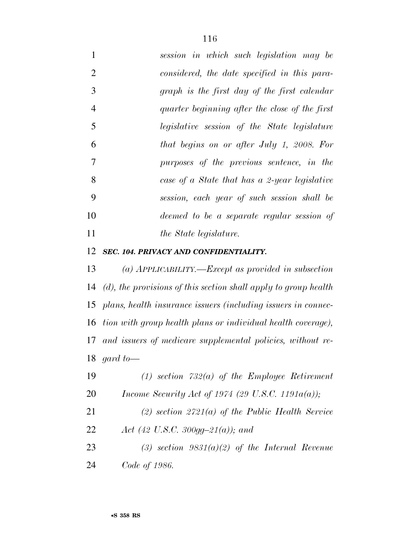*session in which such legislation may be considered, the date specified in this para- graph is the first day of the first calendar quarter beginning after the close of the first legislative session of the State legislature that begins on or after July 1, 2008. For purposes of the previous sentence, in the case of a State that has a 2-year legislative session, each year of such session shall be deemed to be a separate regular session of the State legislature.* 

#### *SEC. 104. PRIVACY AND CONFIDENTIALITY.*

 *(a) APPLICABILITY.—Except as provided in subsection (d), the provisions of this section shall apply to group health plans, health insurance issuers (including issuers in connec- tion with group health plans or individual health coverage), and issuers of medicare supplemental policies, without re-gard to—* 

| 19 | $(1)$ section 732(a) of the Employee Retirement       |
|----|-------------------------------------------------------|
| 20 | Income Security Act of 1974 (29 U.S.C. 1191 $a(a)$ ); |

 *(2) section 2721(a) of the Public Health Service Act (42 U.S.C. 300gg–21(a)); and* 

 *(3) section 9831(a)(2) of the Internal Revenue Code of 1986.*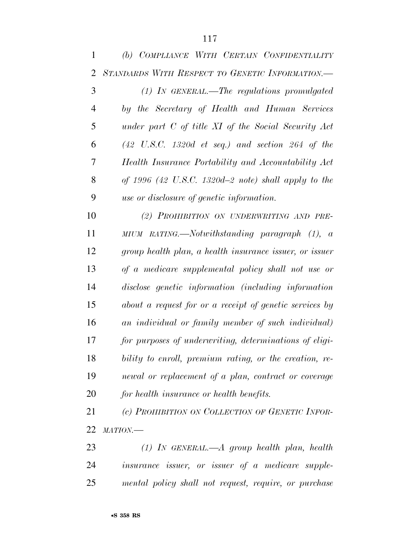| $\mathbf{1}$   | (b) COMPLIANCE WITH CERTAIN CONFIDENTIALITY                         |
|----------------|---------------------------------------------------------------------|
| $\overline{2}$ | STANDARDS WITH RESPECT TO GENETIC INFORMATION.-                     |
| 3              | $(1)$ IN GENERAL.—The regulations promulgated                       |
| $\overline{4}$ | by the Secretary of Health and Human Services                       |
| 5              | under part $C$ of title $XI$ of the Social Security Act             |
| 6              | $(42 \text{ U.S.C. } 1320d \text{ et seq.})$ and section 264 of the |
| 7              | Health Insurance Portability and Accountability Act                 |
| 8              | of 1996 (42 U.S.C. 1320d-2 note) shall apply to the                 |
| 9              | use or disclosure of genetic information.                           |
| 10             | (2) PROHIBITION ON UNDERWRITING AND PRE-                            |
| 11             | MIUM RATING.—Notwithstanding paragraph (1), a                       |
| 12             | group health plan, a health insurance issuer, or issuer             |
| 13             | of a medicare supplemental policy shall not use or                  |
| 14             | disclose genetic information (including information                 |
| 15             | about a request for or a receipt of genetic services by             |
| 16             | an individual or family member of such individual)                  |
| 17             | for purposes of underwriting, determinations of eligi-              |
| 18             | bility to enroll, premium rating, or the creation, re-              |
| 19             | newal or replacement of a plan, contract or coverage                |
| 20             | for health insurance or health benefits.                            |
| 21             | (c) PROHIBITION ON COLLECTION OF GENETIC INFOR-                     |
| 22             | MATION                                                              |

 *(1) IN GENERAL.—A group health plan, health insurance issuer, or issuer of a medicare supple-mental policy shall not request, require, or purchase*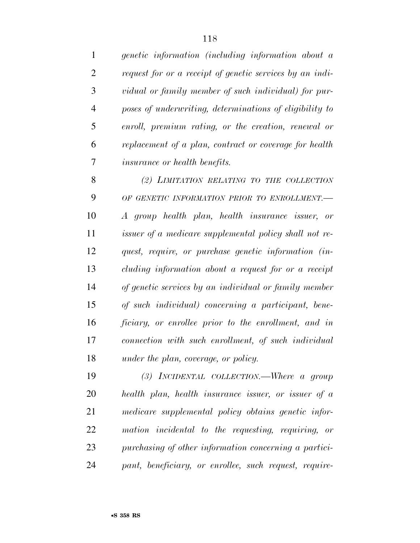*genetic information (including information about a request for or a receipt of genetic services by an indi- vidual or family member of such individual) for pur- poses of underwriting, determinations of eligibility to enroll, premium rating, or the creation, renewal or replacement of a plan, contract or coverage for health insurance or health benefits.* 

 *(2) LIMITATION RELATING TO THE COLLECTION OF GENETIC INFORMATION PRIOR TO ENROLLMENT.— A group health plan, health insurance issuer, or issuer of a medicare supplemental policy shall not re- quest, require, or purchase genetic information (in- cluding information about a request for or a receipt of genetic services by an individual or family member of such individual) concerning a participant, bene- ficiary, or enrollee prior to the enrollment, and in connection with such enrollment, of such individual under the plan, coverage, or policy.* 

 *(3) INCIDENTAL COLLECTION.—Where a group health plan, health insurance issuer, or issuer of a medicare supplemental policy obtains genetic infor- mation incidental to the requesting, requiring, or purchasing of other information concerning a partici-pant, beneficiary, or enrollee, such request, require-*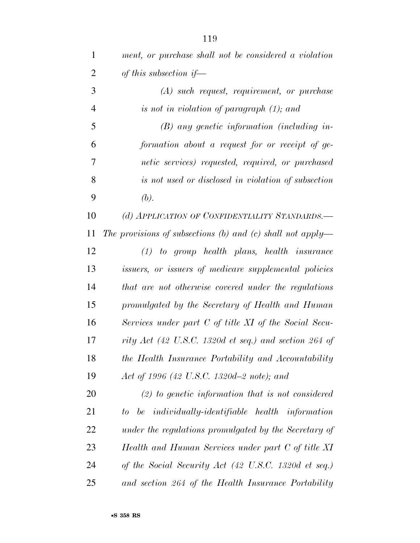| $\mathbf{1}$   | ment, or purchase shall not be considered a violation      |
|----------------|------------------------------------------------------------|
| $\overline{2}$ | of this subsection if—                                     |
| 3              | $(A)$ such request, requirement, or purchase               |
| $\overline{4}$ | is not in violation of paragraph $(1)$ ; and               |
| 5              | $(B)$ any genetic information (including in-               |
| 6              | formation about a request for or receipt of ge-            |
| 7              | netic services) requested, required, or purchased          |
| 8              | is not used or disclosed in violation of subsection        |
| 9              | (b).                                                       |
| 10             | (d) APPLICATION OF CONFIDENTIALITY STANDARDS.—             |
| 11             | The provisions of subsections (b) and (c) shall not apply— |
| 12             | $(1)$ to group health plans, health insurance              |
| 13             | issuers, or issuers of medicare supplemental policies      |
| 14             | that are not otherwise covered under the regulations       |
| 15             | promulgated by the Secretary of Health and Human           |
| 16             | Services under part C of title XI of the Social Secu-      |
| 17             | rity Act (42 U.S.C. 1320d et seq.) and section 264 of      |
| 18             | the Health Insurance Portability and Accountability        |
| 19             | Act of 1996 (42 U.S.C. 1320d–2 note); and                  |
| 20             | $(2)$ to genetic information that is not considered        |
| 21             | to be individually-identifiable health information         |
| 22             | under the regulations promulgated by the Secretary of      |
| 23             | Health and Human Services under part C of title XI         |
| 24             | of the Social Security Act (42 U.S.C. 1320d et seq.)       |
| 25             | and section 264 of the Health Insurance Portability        |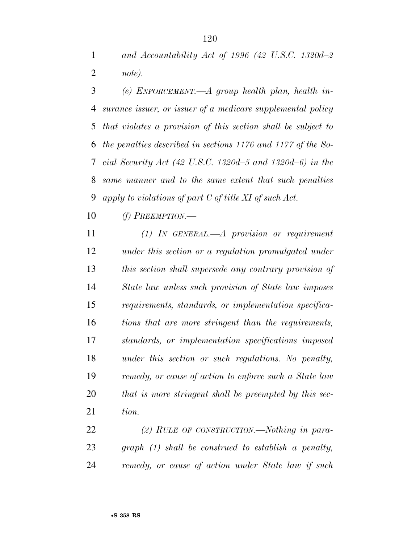*and Accountability Act of 1996 (42 U.S.C. 1320d–2 note).* 

 *(e) ENFORCEMENT.—A group health plan, health in- surance issuer, or issuer of a medicare supplemental policy that violates a provision of this section shall be subject to the penalties described in sections 1176 and 1177 of the So- cial Security Act (42 U.S.C. 1320d–5 and 1320d–6) in the same manner and to the same extent that such penalties apply to violations of part C of title XI of such Act.* 

*(f) PREEMPTION.—* 

 *(1) IN GENERAL.—A provision or requirement under this section or a regulation promulgated under this section shall supersede any contrary provision of State law unless such provision of State law imposes requirements, standards, or implementation specifica- tions that are more stringent than the requirements, standards, or implementation specifications imposed under this section or such regulations. No penalty, remedy, or cause of action to enforce such a State law that is more stringent shall be preempted by this sec-tion.* 

 *(2) RULE OF CONSTRUCTION.—Nothing in para- graph (1) shall be construed to establish a penalty, remedy, or cause of action under State law if such*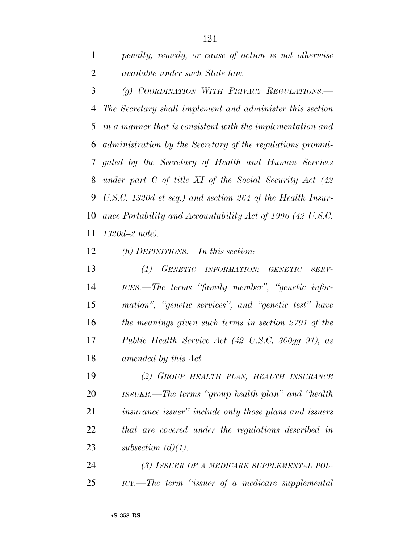*penalty, remedy, or cause of action is not otherwise available under such State law.* 

 *(g) COORDINATION WITH PRIVACY REGULATIONS.— The Secretary shall implement and administer this section in a manner that is consistent with the implementation and administration by the Secretary of the regulations promul- gated by the Secretary of Health and Human Services under part C of title XI of the Social Security Act (42 U.S.C. 1320d et seq.) and section 264 of the Health Insur- ance Portability and Accountability Act of 1996 (42 U.S.C. 1320d–2 note).* 

*(h) DEFINITIONS.—In this section:* 

 *(1) GENETIC INFORMATION; GENETIC SERV- ICES.—The terms ''family member'', ''genetic infor- mation'', ''genetic services'', and ''genetic test'' have the meanings given such terms in section 2791 of the Public Health Service Act (42 U.S.C. 300gg–91), as amended by this Act.* 

 *(2) GROUP HEALTH PLAN; HEALTH INSURANCE ISSUER.—The terms ''group health plan'' and ''health insurance issuer'' include only those plans and issuers that are covered under the regulations described in subsection (d)(1).* 

 *(3) ISSUER OF A MEDICARE SUPPLEMENTAL POL-ICY.—The term ''issuer of a medicare supplemental*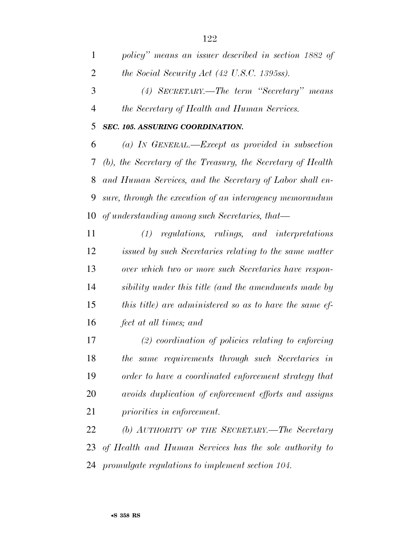|          | policy" means an issuer described in section 1882 of |
|----------|------------------------------------------------------|
| 2        | the Social Security Act (42 U.S.C. 1395ss).          |
| 3        | (4) SECRETARY.—The term "Secretary" means            |
| 4        | <i>the Secretary of Health and Human Services.</i>   |
| 5        | SEC. 105. ASSURING COORDINATION.                     |
| $\sigma$ | (a) IN GENERAL.—Except as provided in subsection     |

IN GENERAL.—Except as provided in subsection *(b), the Secretary of the Treasury, the Secretary of Health and Human Services, and the Secretary of Labor shall en- sure, through the execution of an interagency memorandum of understanding among such Secretaries, that—* 

 *(1) regulations, rulings, and interpretations issued by such Secretaries relating to the same matter over which two or more such Secretaries have respon- sibility under this title (and the amendments made by this title) are administered so as to have the same ef-fect at all times; and* 

 *(2) coordination of policies relating to enforcing the same requirements through such Secretaries in order to have a coordinated enforcement strategy that avoids duplication of enforcement efforts and assigns priorities in enforcement.* 

 *(b) AUTHORITY OF THE SECRETARY.—The Secretary of Health and Human Services has the sole authority to promulgate regulations to implement section 104.*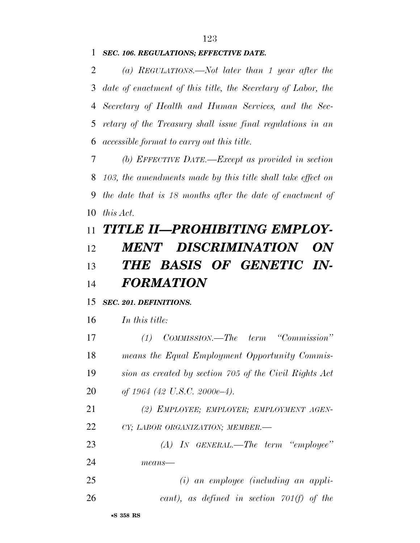### *SEC. 106. REGULATIONS; EFFECTIVE DATE.*

 *(a) REGULATIONS.—Not later than 1 year after the date of enactment of this title, the Secretary of Labor, the Secretary of Health and Human Services, and the Sec- retary of the Treasury shall issue final regulations in an accessible format to carry out this title.* 

 *(b) EFFECTIVE DATE.—Except as provided in section 103, the amendments made by this title shall take effect on the date that is 18 months after the date of enactment of this Act.* 

# *TITLE II—PROHIBITING EMPLOY- MENT DISCRIMINATION ON THE BASIS OF GENETIC IN-FORMATION*

### *SEC. 201. DEFINITIONS.*

*In this title:* 

 *(1) COMMISSION.—The term ''Commission'' means the Equal Employment Opportunity Commis- sion as created by section 705 of the Civil Rights Act of 1964 (42 U.S.C. 2000e–4).* 

 *(2) EMPLOYEE; EMPLOYER; EMPLOYMENT AGEN-CY; LABOR ORGANIZATION; MEMBER.—* 

 *(A) IN GENERAL.—The term ''employee'' means—* 

 *(i) an employee (including an appli-cant), as defined in section 701(f) of the*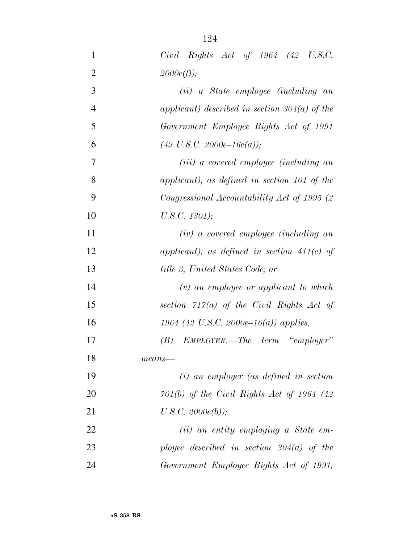| $\mathbf{1}$   | $Civil$ Rights $Act$ of 1964 (42 U.S.C.                 |
|----------------|---------------------------------------------------------|
| $\overline{2}$ | 2000e(f);                                               |
| 3              | (ii) a State employee (including an                     |
| $\overline{4}$ | applicant) described in section $304(a)$ of the         |
| 5              | Government Employee Rights Act of 1991                  |
| 6              | $(42 \text{ U.S.C. } 2000e-16c(a));$                    |
| 7              | ( <i>iii</i> ) a covered employee ( <i>including an</i> |
| 8              | applicant), as defined in section 101 of the            |
| 9              | Congressional Accountability Act of 1995 (2)            |
| 10             | U.S.C. 1301);                                           |
| 11             | $(iv)$ a covered employee (including an                 |
| 12             | applicant), as defined in section $411(c)$ of           |
| 13             | title 3, United States Code; or                         |
| 14             | $(v)$ an employee or applicant to which                 |
| 15             | section $717(a)$ of the Civil Rights Act of             |
| 16             | 1964 (42 U.S.C. 2000e–16(a)) applies.                   |
| 17             | $(B)$ EMPLOYER.—The term "employer"                     |
| 18             | $means$ —                                               |
| 19             | $(i)$ an employer (as defined in section                |
| 20             | $701(b)$ of the Civil Rights Act of 1964 (42)           |
| 21             | U.S.C. 2000e(b));                                       |
| 22             | $(ii)$ an entity employing a State em-                  |
| 23             | ployee described in section $304(a)$ of the             |
| 24             | Government Employee Rights Act of 1991;                 |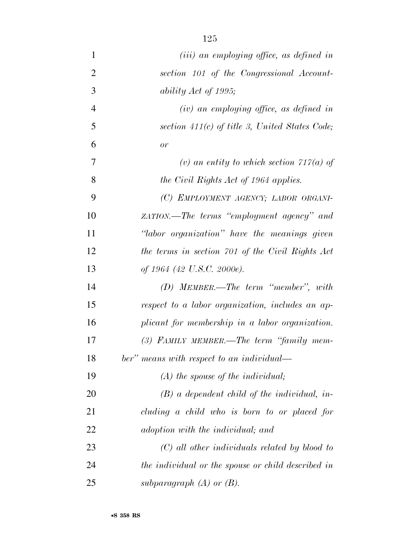| $\mathbf{1}$   | $(iii)$ an employing office, as defined in         |
|----------------|----------------------------------------------------|
| $\overline{2}$ | section 101 of the Congressional Account-          |
| 3              | ability Act of 1995;                               |
| $\overline{4}$ | $(iv)$ an employing office, as defined in          |
| 5              | section $411(c)$ of title 3, United States Code;   |
| 6              | or                                                 |
| 7              | (v) an entity to which section $717(a)$ of         |
| 8              | the Civil Rights Act of 1964 applies.              |
| 9              | (C) EMPLOYMENT AGENCY; LABOR ORGANI-               |
| 10             | zATION.—The terms "employment agency" and          |
| 11             | "labor organization" have the meanings given       |
| 12             | the terms in section 701 of the Civil Rights Act   |
| 13             | of 1964 (42 U.S.C. 2000e).                         |
| 14             | $(D)$ MEMBER.—The term "member", with              |
| 15             | respect to a labor organization, includes an ap-   |
| 16             | plicant for membership in a labor organization.    |
| 17             | $(3)$ FAMILY MEMBER.—The term "family mem-         |
| 18             | ber" means with respect to an individual—          |
| 19             | $(A)$ the spouse of the individual;                |
| 20             | $(B)$ a dependent child of the individual, in-     |
| 21             | cluding a child who is born to or placed for       |
| 22             | adoption with the individual; and                  |
| 23             | $(C)$ all other individuals related by blood to    |
| 24             | the individual or the spouse or child described in |
| 25             | subparagraph $(A)$ or $(B)$ .                      |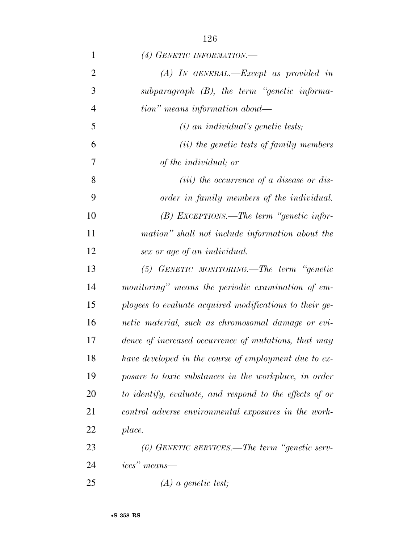| $\mathbf{1}$   | (4) GENETIC INFORMATION.—                               |
|----------------|---------------------------------------------------------|
| $\overline{2}$ | $(A)$ IN GENERAL.—Except as provided in                 |
| 3              | subparagraph $(B)$ , the term "genetic informa-         |
| $\overline{4}$ | $tion"$ means information about—                        |
| 5              | $(i)$ an individual's genetic tests;                    |
| 6              | ( <i>ii</i> ) the genetic tests of family members       |
| 7              | of the <i>individual</i> ; or                           |
| 8              | ( <i>iii</i> ) the occurrence of a disease or dis-      |
| 9              | order in family members of the individual.              |
| 10             | $(B)$ EXCEPTIONS.—The term "genetic infor-              |
| 11             | mation" shall not include information about the         |
| 12             | sex or age of an individual.                            |
| 13             | $(5)$ GENETIC MONITORING.—The term "genetic             |
| 14             | monitoring" means the periodic examination of em-       |
| 15             | ployees to evaluate acquired modifications to their ge- |
| 16             | netic material, such as chromosomal damage or evi-      |
| 17             | dence of increased occurrence of mutations, that may    |
| 18             | have developed in the course of employment due to ex-   |
| 19             | posure to toxic substances in the workplace, in order   |
| 20             | to identify, evaluate, and respond to the effects of or |
| 21             | control adverse environmental exposures in the work-    |
| 22             | place.                                                  |
| 23             | $(6)$ GENETIC SERVICES.—The term "genetic serv-         |
| 24             | ices" means—                                            |
| 25             | $(A)$ a genetic test;                                   |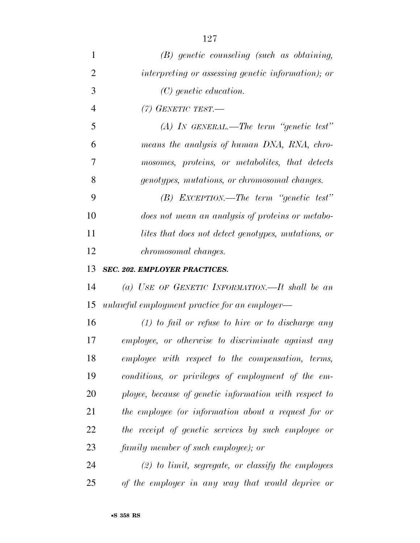| 1              | $(B)$ genetic counseling (such as obtaining,           |
|----------------|--------------------------------------------------------|
| $\overline{2}$ | interpreting or assessing genetic information); or     |
| 3              | $(C)$ genetic education.                               |
| $\overline{4}$ | $(7)$ GENETIC TEST.                                    |
| 5              | $(A)$ IN GENERAL.—The term "genetic test"              |
| 6              | means the analysis of human DNA, RNA, chro-            |
| 7              | mosomes, proteins, or metabolites, that detects        |
| 8              | genotypes, mutations, or chromosomal changes.          |
| 9              | $(B)$ EXCEPTION.—The term "genetic test"               |
| 10             | does not mean an analysis of proteins or metabo-       |
| 11             | lites that does not detect genotypes, mutations, or    |
| 12             | <i>chromosomal changes.</i>                            |
| 13             | <b>SEC. 202. EMPLOYER PRACTICES.</b>                   |
| 14             | (a) USE OF GENETIC INFORMATION.—It shall be an         |
| 15             | unlawful employment practice for an employer—          |
| 16             | $(1)$ to fail or refuse to hire or to discharge any    |
| 17             | employee, or otherwise to discriminate against any     |
| 18             | employee with respect to the compensation, terms,      |
| 19             | conditions, or privileges of employment of the em-     |
| 20             | ployee, because of genetic information with respect to |
| 21             | the employee (or information about a request for or    |
| 22             | the receipt of genetic services by such employee or    |
| 23             | family member of such employee); or                    |
| 24             | $(2)$ to limit, segregate, or classify the employees   |
| 25             | of the employer in any way that would deprive or       |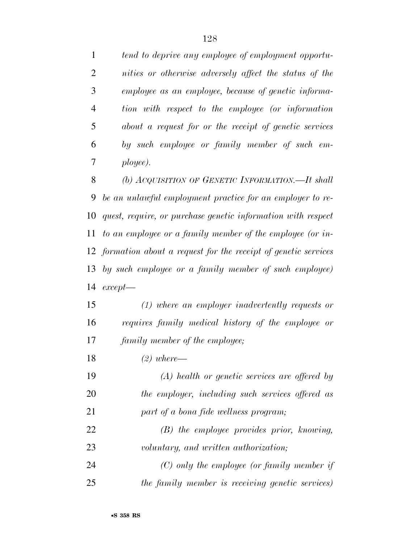*tend to deprive any employee of employment opportu- nities or otherwise adversely affect the status of the employee as an employee, because of genetic informa- tion with respect to the employee (or information about a request for or the receipt of genetic services by such employee or family member of such em-ployee).* 

 *(b) ACQUISITION OF GENETIC INFORMATION.—It shall be an unlawful employment practice for an employer to re- quest, require, or purchase genetic information with respect to an employee or a family member of the employee (or in- formation about a request for the receipt of genetic services by such employee or a family member of such employee) except—* 

 *(1) where an employer inadvertently requests or requires family medical history of the employee or family member of the employee;* 

*(2) where—* 

 *(A) health or genetic services are offered by the employer, including such services offered as part of a bona fide wellness program; (B) the employee provides prior, knowing,* 

*voluntary, and written authorization;* 

 *(C) only the employee (or family member if the family member is receiving genetic services)*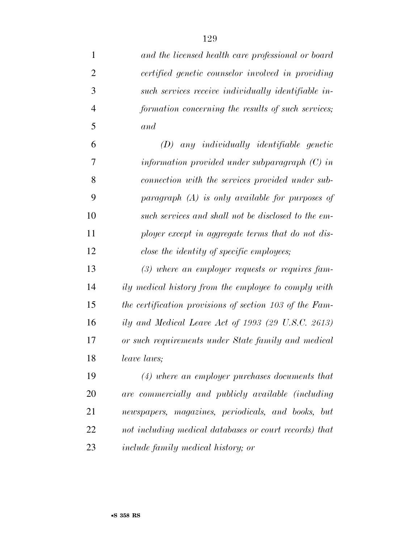| $\mathbf{1}$   | and the licensed health care professional or board      |
|----------------|---------------------------------------------------------|
| $\overline{2}$ | certified genetic counselor involved in providing       |
| 3              | such services receive individually identifiable in-     |
| $\overline{4}$ | formation concerning the results of such services;      |
| 5              | and                                                     |
| 6              | $(D)$ any individually identifiable genetic             |
| 7              | information provided under subparagraph $(C)$ in        |
| 8              | connection with the services provided under sub-        |
| 9              | paragraph $(A)$ is only available for purposes of       |
| 10             | such services and shall not be disclosed to the em-     |
| 11             | ployer except in aggregate terms that do not dis-       |
| 12             | close the identity of specific employees;               |
| 13             | $(3)$ where an employer requests or requires fam-       |
| 14             | ily medical history from the employee to comply with    |
| 15             | the certification provisions of section 103 of the Fam- |
| 16             | ily and Medical Leave Act of 1993 (29 U.S.C. 2613)      |
| 17             | or such requirements under State family and medical     |
| 18             | leave laws;                                             |
| 19             | $(4)$ where an employer purchases documents that        |
| 20             | are commercially and publicly available (including      |
| 21             | newspapers, magazines, periodicals, and books, but      |
| 22             | not including medical databases or court records) that  |
| 23             | <i>include family medical history; or</i>               |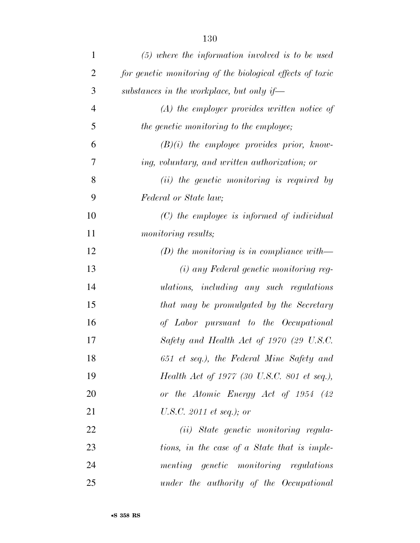| $\mathbf{1}$   | $(5)$ where the information involved is to be used        |
|----------------|-----------------------------------------------------------|
| $\overline{2}$ | for genetic monitoring of the biological effects of toxic |
| 3              | substances in the workplace, but only if—                 |
| $\overline{4}$ | $(A)$ the employer provides written notice of             |
| 5              | the genetic monitoring to the employee;                   |
| 6              | $(B)(i)$ the employee provides prior, know-               |
| 7              | ing, voluntary, and written authorization; or             |
| 8              | (ii) the genetic monitoring is required by                |
| 9              | Federal or State law;                                     |
| 10             | $(C)$ the employee is informed of individual              |
| 11             | <i>monitoring results;</i>                                |
| 12             | (D) the monitoring is in compliance with $-$              |
| 13             | (i) any Federal genetic monitoring reg-                   |
| 14             | $ulations,$ including any such regulations                |
| 15             | that may be promulgated by the Secretary                  |
| 16             | of Labor pursuant to the Occupational                     |
| 17             | Safety and Health Act of 1970 (29 U.S.C.                  |
| 18             | 651 et seq.), the Federal Mine Safety and                 |
| 19             | Health Act of 1977 (30 U.S.C. 801 et seq.),               |
| 20             | or the Atomic Energy Act of 1954 (42)                     |
| 21             | U.S.C. 2011 et seq.); or                                  |
| 22             | (ii) State genetic monitoring regula-                     |
| 23             | tions, in the case of a State that is imple-              |
| 24             | menting genetic monitoring regulations                    |
| 25             | under the authority of the Occupational                   |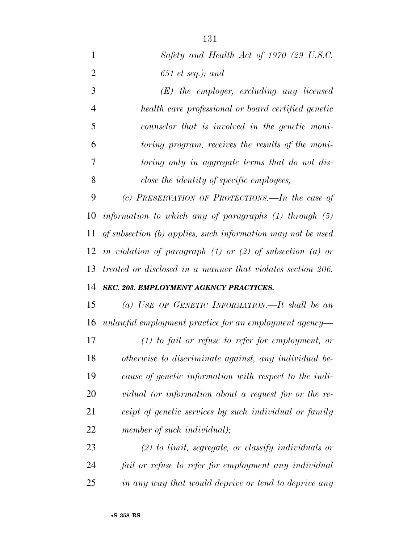| $\mathbf{1}$   | Safety and Health Act of 1970 (29 U.S.C.                        |
|----------------|-----------------------------------------------------------------|
| $\overline{2}$ | $651$ et seq.); and                                             |
| 3              | $(E)$ the employer, excluding any licensed                      |
| $\overline{4}$ | health care professional or board certified genetic             |
| 5              | counselor that is involved in the genetic moni-                 |
| 6              | toring program, receives the results of the moni-               |
| 7              | toring only in aggregate terms that do not dis-                 |
| 8              | close the identity of specific employees;                       |
| 9              | (c) PRESERVATION OF PROTECTIONS.—In the case of                 |
| 10             | information to which any of paragraphs $(1)$ through $(5)$      |
| 11             | of subsection (b) applies, such information may not be used     |
| 12             | in violation of paragraph $(1)$ or $(2)$ of subsection $(a)$ or |
| 13             | treated or disclosed in a manner that violates section 206.     |
| 14             | <b>SEC. 203. EMPLOYMENT AGENCY PRACTICES.</b>                   |
| 15             | (a) USE OF GENETIC INFORMATION.—It shall be an                  |
| 16             | unlawful employment practice for an employment agency—          |
| 17             | $(1)$ to fail or refuse to refer for employment, or             |
| 18             | otherwise to discriminate against, any individual be-           |
| 19             | cause of genetic information with respect to the indi-          |
| 20             | vidual (or information about a request for or the re-           |
| 21             | ceipt of genetic services by such individual or family          |
| 22             | member of such individual);                                     |
| 23             | $(2)$ to limit, segregate, or classify individuals or           |
| 24             | fail or refuse to refer for employment any individual           |
| 25             | in any way that would deprive or tend to deprive any            |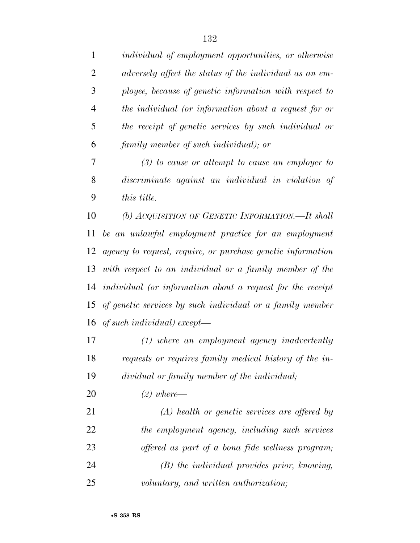| 1              | <i>individual of employment opportunities, or otherwise</i>  |
|----------------|--------------------------------------------------------------|
| $\overline{2}$ | adversely affect the status of the individual as an em-      |
| 3              | ployee, because of genetic information with respect to       |
| 4              | the individual (or information about a request for or        |
| 5              | the receipt of genetic services by such individual or        |
| 6              | family member of such individual); or                        |
| 7              | $(3)$ to cause or attempt to cause an employer to            |
| 8              | discriminate against an individual in violation of           |
| 9              | this title.                                                  |
| 10             | (b) ACQUISITION OF GENETIC INFORMATION.—It shall             |
| 11             | be an unlawful employment practice for an employment         |
| 12             | agency to request, require, or purchase genetic information  |
| 13             | with respect to an individual or a family member of the      |
| 14             | individual (or information about a request for the receipt   |
|                | 15 of genetic services by such individual or a family member |
|                | 16 of such individual) except—                               |
| 17             | $(1)$ where an employment agency inadvertently               |
| 18             | requests or requires family medical history of the in-       |
| 19             | dividual or family member of the individual;                 |
| 20             | $(2)$ where —                                                |
| 21             | $(A)$ health or genetic services are offered by              |
| 22             | the employment agency, including such services               |
| 23             | offered as part of a bona fide wellness program;             |
|                |                                                              |

 *(B) the individual provides prior, knowing, voluntary, and written authorization;*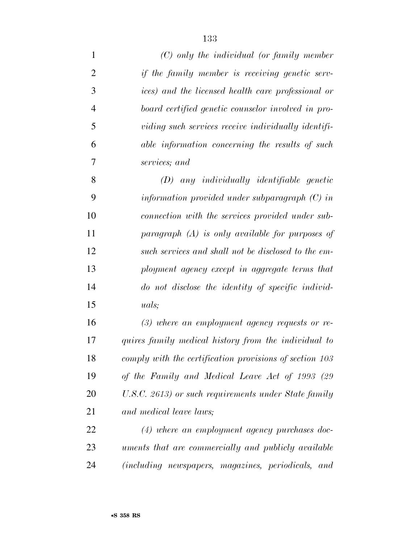| $\mathbf{1}$   | $(C)$ only the individual (or family member             |
|----------------|---------------------------------------------------------|
| $\overline{2}$ | if the family member is receiving genetic serv-         |
| 3              | ices) and the licensed health care professional or      |
| $\overline{4}$ | board certified genetic counselor involved in pro-      |
| 5              | viding such services receive individually identifi-     |
| 6              | able information concerning the results of such         |
| 7              | services; and                                           |
| 8              | $(D)$ any individually identifiable genetic             |
| 9              | information provided under subparagraph $(C)$ in        |
| 10             | connection with the services provided under sub-        |
| 11             | paragraph $(A)$ is only available for purposes of       |
| 12             | such services and shall not be disclosed to the em-     |
| 13             | ployment agency except in aggregate terms that          |
| 14             | do not disclose the identity of specific individ-       |
| 15             | <i>uals</i> ;                                           |
| 16             | $(3)$ where an employment agency requests or re-        |
| 17             | quires family medical history from the individual to    |
| 18             | comply with the certification provisions of section 103 |
| 19             | of the Family and Medical Leave Act of 1993 (29         |
| 20             | U.S.C. 2613) or such requirements under State family    |
| 21             | and medical leave laws;                                 |
| 22             | $(4)$ where an employment agency purchases doc-         |
| 23             | uments that are commercially and publicly available     |
| 24             | (including newspapers, magazines, periodicals,<br>and   |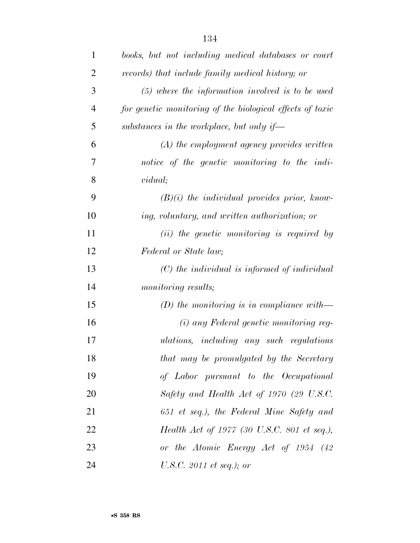| $\mathbf{1}$   | books, but not including medical databases or court       |
|----------------|-----------------------------------------------------------|
| $\overline{2}$ | records) that include family medical history; or          |
| 3              | $(5)$ where the information involved is to be used        |
| $\overline{4}$ | for genetic monitoring of the biological effects of toxic |
| 5              | substances in the workplace, but only if—                 |
| 6              | $(A)$ the employment agency provides written              |
| 7              | notice of the genetic monitoring to the indi-             |
| 8              | <i>vidual</i> ;                                           |
| 9              | $(B)(i)$ the individual provides prior, know-             |
| 10             | ing, voluntary, and written authorization; or             |
| 11             | (ii) the genetic monitoring is required by                |
| 12             | Federal or State law;                                     |
| 13             | $(C)$ the individual is informed of individual            |
| 14             | <i>monitoring results;</i>                                |
| 15             | (D) the monitoring is in compliance with—                 |
| 16             | (i) any Federal genetic monitoring reg-                   |
| 17             | ulations, including any such regulations                  |
| 18             | that may be promulgated by the Secretary                  |
| 19             | of Labor pursuant to the Occupational                     |
| 20             | Safety and Health Act of 1970 (29 U.S.C.                  |
| 21             | 651 et seq.), the Federal Mine Safety and                 |
| 22             | Health Act of 1977 (30 U.S.C. 801 et seq.),               |
| 23             | or the Atomic Energy Act of 1954 (42                      |
| 24             | U.S.C. 2011 et seq.); or                                  |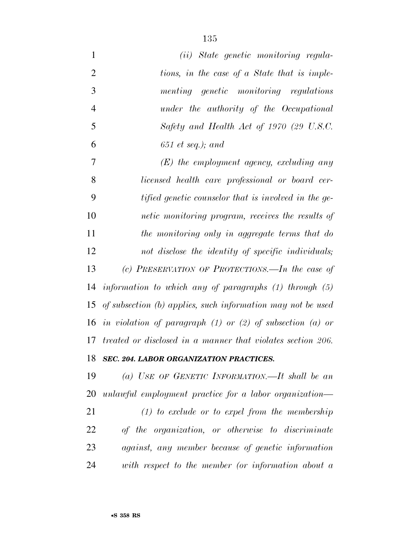| $\mathbf{1}$   | (ii) State genetic monitoring regula-                           |
|----------------|-----------------------------------------------------------------|
| $\overline{2}$ | tions, in the case of a State that is imple-                    |
| 3              | menting genetic monitoring regulations                          |
| $\overline{4}$ | under the authority of the Occupational                         |
| 5              | Safety and Health Act of 1970 (29 U.S.C.                        |
| 6              | $651$ et seq.); and                                             |
| $\overline{7}$ | $(E)$ the employment agency, excluding any                      |
| 8              | licensed health care professional or board cer-                 |
| 9              | tified genetic counselor that is involved in the ge-            |
| 10             | netic monitoring program, receives the results of               |
| 11             | the monitoring only in aggregate terms that do                  |
| 12             | not disclose the identity of specific individuals;              |
| 13             | (c) PRESERVATION OF PROTECTIONS.—In the case of                 |
| 14             | information to which any of paragraphs $(1)$ through $(5)$      |
| 15             | of subsection (b) applies, such information may not be used     |
| 16             | in violation of paragraph $(1)$ or $(2)$ of subsection $(a)$ or |
| 17             | treated or disclosed in a manner that violates section 206.     |
| 18             | SEC. 204. LABOR ORGANIZATION PRACTICES.                         |
| 19             | (a) USE OF GENETIC INFORMATION.—It shall be an                  |
| 20             | unlawful employment practice for a labor organization—          |
| 21             | $(1)$ to exclude or to expel from the membership                |
| 22             | of the organization, or otherwise to discriminate               |
| 23             | <i>against, any member because of genetic information</i>       |
| 24             | with respect to the member (or information about a              |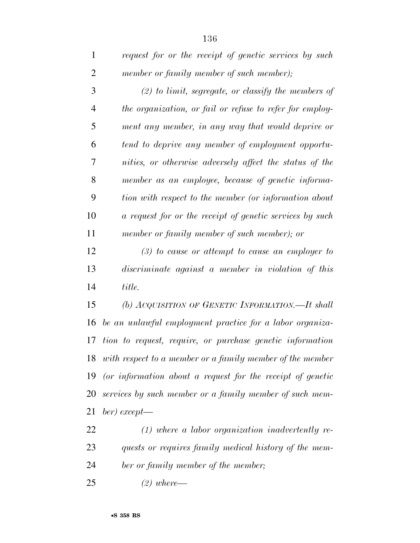| $\mathbf{1}$   | request for or the receipt of genetic services by such       |
|----------------|--------------------------------------------------------------|
| $\overline{2}$ | member or family member of such member);                     |
| 3              | $(2)$ to limit, segregate, or classify the members of        |
| $\overline{4}$ | the organization, or fail or refuse to refer for employ-     |
| 5              | ment any member, in any way that would deprive or            |
| 6              | tend to deprive any member of employment opportu-            |
| 7              | nities, or otherwise adversely affect the status of the      |
| 8              | member as an employee, because of genetic informa-           |
| 9              | tion with respect to the member (or information about        |
| 10             | a request for or the receipt of genetic services by such     |
| 11             | member or family member of such member); or                  |
| 12             | $(3)$ to cause or attempt to cause an employer to            |
| 13             | discriminate against a member in violation of this           |
| 14             | title.                                                       |
| 15             | (b) ACQUISITION OF GENETIC INFORMATION.—It shall             |
| 16             | be an unlawful employment practice for a labor organiza-     |
| 17             | tion to request, require, or purchase genetic information    |
|                | 18 with respect to a member or a family member of the member |
| 19             | (or information about a request for the receipt of genetic   |
| 20             | services by such member or a family member of such mem-      |
| 21             | $ber)$ except—                                               |
| 22             | $(1)$ where a labor organization inadvertently re-           |
| 23             | quests or requires family medical history of the mem-        |
| 24             | ber or family member of the member;                          |

*(2) where—*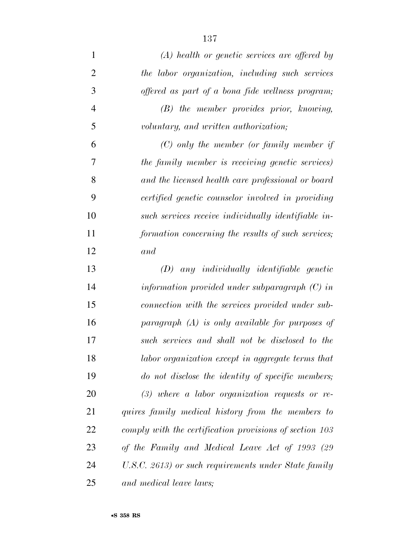| $\mathbf{1}$   | $(A)$ health or genetic services are offered by         |
|----------------|---------------------------------------------------------|
| $\overline{2}$ | the labor organization, including such services         |
| 3              | offered as part of a bona fide wellness program;        |
| $\overline{4}$ | $(B)$ the member provides prior, knowing,               |
| 5              | voluntary, and written authorization;                   |
| 6              | $(C)$ only the member (or family member if              |
| 7              | the family member is receiving genetic services)        |
| 8              | and the licensed health care professional or board      |
| 9              | certified genetic counselor involved in providing       |
| 10             | such services receive individually identifiable in-     |
| 11             | formation concerning the results of such services;      |
| 12             | and                                                     |
| 13             | $(D)$ any individually identifiable genetic             |
| 14             | information provided under subparagraph $(C)$ in        |
| 15             | connection with the services provided under sub-        |
| 16             | paragraph $(A)$ is only available for purposes of       |
| 17             | such services and shall not be disclosed to the         |
| 18             | labor organization except in aggregate terms that       |
| 19             | do not disclose the identity of specific members;       |
| 20             | $(3)$ where a labor organization requests or re-        |
| 21             | quires family medical history from the members to       |
| 22             | comply with the certification provisions of section 103 |
| 23             | of the Family and Medical Leave Act of 1993 (29         |
| 24             | U.S.C. 2613) or such requirements under State family    |
| 25             | and medical leave laws;                                 |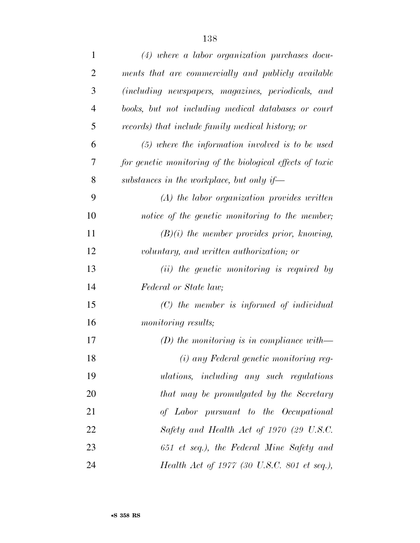| $\mathbf{1}$   | $(4)$ where a labor organization purchases docu-          |
|----------------|-----------------------------------------------------------|
| $\overline{2}$ | ments that are commercially and publicly available        |
| 3              | (including newspapers, magazines, periodicals, and        |
| $\overline{4}$ | books, but not including medical databases or court       |
| 5              | records) that include family medical history; or          |
| 6              | $(5)$ where the information involved is to be used        |
| 7              | for genetic monitoring of the biological effects of toxic |
| 8              | substances in the workplace, but only if-                 |
| 9              | $(A)$ the labor organization provides written             |
| 10             | notice of the genetic monitoring to the member;           |
| 11             | $(B)(i)$ the member provides prior, knowing,              |
| 12             | voluntary, and written authorization; or                  |
| 13             | (ii) the genetic monitoring is required by                |
| 14             | Federal or State law;                                     |
| 15             | $(C)$ the member is informed of individual                |
| 16             | monitoring results;                                       |
| 17             | (D) the monitoring is in compliance with-                 |
| 18             | (i) any Federal genetic monitoring reg-                   |
| 19             | ulations, including any such regulations                  |
| 20             | that may be promulgated by the Secretary                  |
| 21             | of Labor pursuant to the Occupational                     |
| 22             | Safety and Health Act of 1970 (29 U.S.C.                  |
| 23             | 651 et seq.), the Federal Mine Safety and                 |
| 24             | Health Act of 1977 (30 U.S.C. 801 et seq.),               |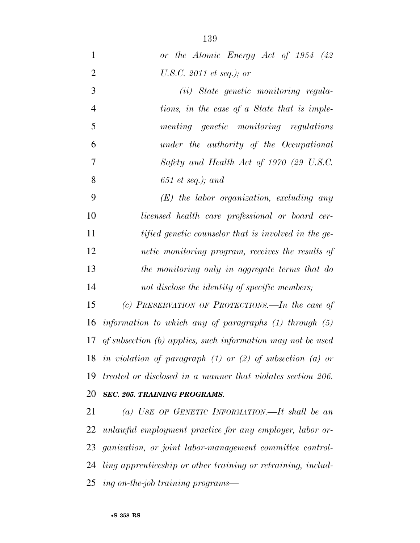| $\mathbf{1}$   | or the Atomic Energy Act of 1954 (42)                           |
|----------------|-----------------------------------------------------------------|
| $\overline{2}$ | U.S.C. 2011 et seq.); or                                        |
| 3              | (ii) State genetic monitoring regula-                           |
| $\overline{4}$ | tions, in the case of a State that is imple-                    |
| 5              | menting genetic monitoring regulations                          |
| 6              | under the authority of the Occupational                         |
| $\overline{7}$ | Safety and Health Act of 1970 (29 U.S.C.                        |
| 8              | $651$ et seq.); and                                             |
| 9              | $(E)$ the labor organization, excluding any                     |
| 10             | licensed health care professional or board cer-                 |
| 11             | tified genetic counselor that is involved in the ge-            |
| 12             | netic monitoring program, receives the results of               |
| 13             | the monitoring only in aggregate terms that do                  |
| 14             | not disclose the identity of specific members;                  |
| 15             | (c) PRESERVATION OF PROTECTIONS.—In the case of                 |
| 16             | information to which any of paragraphs $(1)$ through $(5)$      |
|                | 17 of subsection (b) applies, such information may not be used  |
| 18             | in violation of paragraph $(1)$ or $(2)$ of subsection $(a)$ or |
| 19             | treated or disclosed in a manner that violates section 206.     |
| 20             | <b>SEC. 205. TRAINING PROGRAMS.</b>                             |
| 21             | (a) USE OF GENETIC INFORMATION.—It shall be an                  |
| 22             | unlawful employment practice for any employer, labor or-        |
|                | 23 ganization, or joint labor-management committee control-     |
| 24             | ling apprenticeship or other training or retraining, includ-    |
|                | 25 ing on-the-job training programs—                            |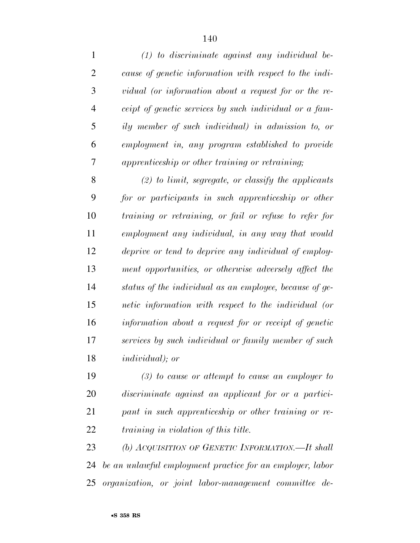| $\mathbf{1}$   | $(1)$ to discriminate against any individual be-        |
|----------------|---------------------------------------------------------|
| $\overline{2}$ | cause of genetic information with respect to the indi-  |
| 3              | vidual (or information about a request for or the re-   |
| 4              | ceipt of genetic services by such individual or a fam-  |
| 5              | ily member of such individual) in admission to, or      |
| 6              | employment in, any program established to provide       |
| 7              | apprenticeship or other training or retraining;         |
| 8              | $(2)$ to limit, segregate, or classify the applicants   |
| 9              | for or participants in such apprenticeship or other     |
| 10             | training or retraining, or fail or refuse to refer for  |
| 11             | employment any individual, in any way that would        |
| 12             | deprive or tend to deprive any individual of employ-    |
| 13             | ment opportunities, or otherwise adversely affect the   |
| 14             | status of the individual as an employee, because of ge- |
| 15             | netic information with respect to the individual (or    |
| 16             | information about a request for or receipt of genetic   |
| 17             | services by such individual or family member of such    |
| 18             | <i>individual</i> ); or                                 |
| 19             | $(3)$ to cause or attempt to cause an employer to       |
| 20             | discriminate against an applicant for or a partici-     |
| 21             | pant in such apprenticeship or other training or re-    |
| 22             | <i>training in violation of this title.</i>             |

 *(b) ACQUISITION OF GENETIC INFORMATION.—It shall be an unlawful employment practice for an employer, labor organization, or joint labor-management committee de-*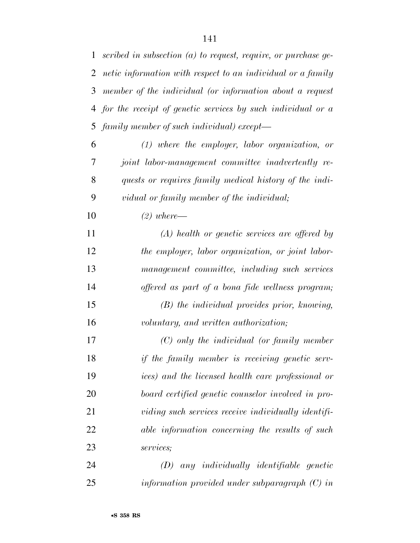| $\mathbf{1}$ | scribed in subsection $(a)$ to request, require, or purchase ge- |
|--------------|------------------------------------------------------------------|
| 2            | netic information with respect to an individual or a family      |
| 3            | member of the individual (or information about a request         |
|              | 4 for the receipt of genetic services by such individual or a    |
|              | 5 family member of such individual) except—                      |
| 6            | $(1)$ where the employer, labor organization, or                 |
| 7            | joint labor-management committee inadvertently re-               |
| 8            | quests or requires family medical history of the indi-           |
| 9            | vidual or family member of the individual;                       |
| 10           | $(2)$ where —                                                    |
| 11           | $(A)$ health or genetic services are offered by                  |
| 12           | the employer, labor organization, or joint labor-                |
| 13           | management committee, including such services                    |
| 14           | offered as part of a bona fide wellness program;                 |
| 15           | $(B)$ the individual provides prior, knowing,                    |
| 16           | voluntary, and written authorization;                            |
| 17           | $(C)$ only the individual (or family member                      |
| 18           | if the family member is receiving genetic serv-                  |
| 19           | ices) and the licensed health care professional or               |
| 20           | board certified genetic counselor involved in pro-               |
| 21           | viding such services receive individually identifi-              |
| 22           | able information concerning the results of such                  |
| 23           | services;                                                        |
| 24           | any individually identifiable genetic<br>(D)                     |
| 25           | information provided under subparagraph $(C)$ in                 |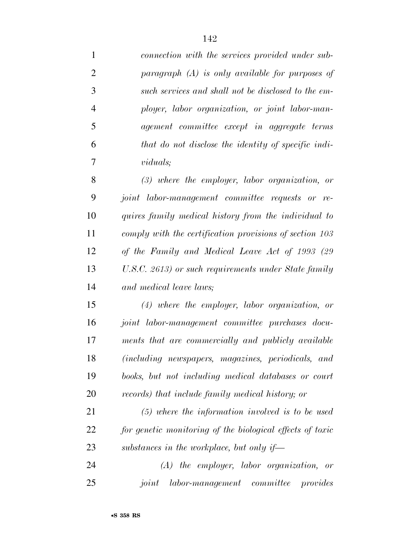| $\mathbf{1}$   | connection with the services provided under sub-          |
|----------------|-----------------------------------------------------------|
| $\overline{2}$ | paragraph $(A)$ is only available for purposes of         |
| 3              | such services and shall not be disclosed to the em-       |
| $\overline{4}$ | ployer, labor organization, or joint labor-man-           |
| 5              | agement committee except in aggregate terms               |
| 6              | that do not disclose the identity of specific indi-       |
| $\overline{7}$ | <i>viduals</i> ;                                          |
| 8              | $(3)$ where the employer, labor organization, or          |
| 9              | joint labor-management committee requests or re-          |
| 10             | quires family medical history from the individual to      |
| 11             | comply with the certification provisions of section 103   |
| 12             | of the Family and Medical Leave Act of 1993 (29           |
| 13             | U.S.C. 2613) or such requirements under State family      |
| 14             | and medical leave laws;                                   |
| 15             | $(4)$ where the employer, labor organization, or          |
| 16             | joint labor-management committee purchases docu-          |
| 17             | ments that are commercially and publicly available        |
| 18             | (including newspapers, magazines, periodicals, and        |
| 19             | books, but not including medical databases or court       |
| 20             | records) that include family medical history; or          |
| 21             | $(5)$ where the information involved is to be used        |
| 22             | for genetic monitoring of the biological effects of toxic |
| 23             | substances in the workplace, but only if—                 |
| 24             | $(A)$ the employer, labor organization,<br>or             |
| 25             | labor-management committee provides<br>joint              |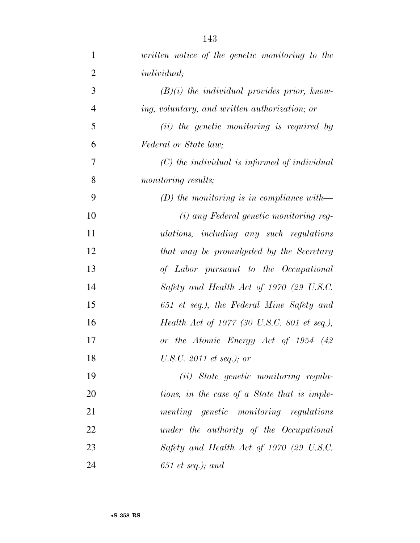| $\mathbf{1}$   | written notice of the genetic monitoring to the |
|----------------|-------------------------------------------------|
| $\overline{2}$ | <i>individual</i> ;                             |
| 3              | $(B)(i)$ the individual provides prior, know-   |
| $\overline{4}$ | ing, voluntary, and written authorization; or   |
| 5              | (ii) the genetic monitoring is required by      |
| 6              | Federal or State law;                           |
| 7              | $(C)$ the individual is informed of individual  |
| 8              | monitoring results;                             |
| 9              | (D) the monitoring is in compliance with—       |
| 10             | (i) any Federal genetic monitoring reg-         |
| 11             | ulations, including any such regulations        |
| 12             | that may be promulgated by the Secretary        |
| 13             | of Labor pursuant to the Occupational           |
| 14             | Safety and Health Act of 1970 (29 U.S.C.        |
| 15             | 651 et seq.), the Federal Mine Safety and       |
| 16             | Health Act of 1977 (30 U.S.C. 801 et seq.),     |
| 17             | or the Atomic Energy Act of 1954 (42)           |
| 18             | U.S.C. 2011 et seq.); or                        |
| 19             | (ii) State genetic monitoring regula-           |
| 20             | tions, in the case of a State that is imple-    |
| 21             | menting genetic monitoring regulations          |
| 22             | under the authority of the Occupational         |
| 23             | Safety and Health Act of 1970 (29 U.S.C.        |
| 24             | $651$ et seq.); and                             |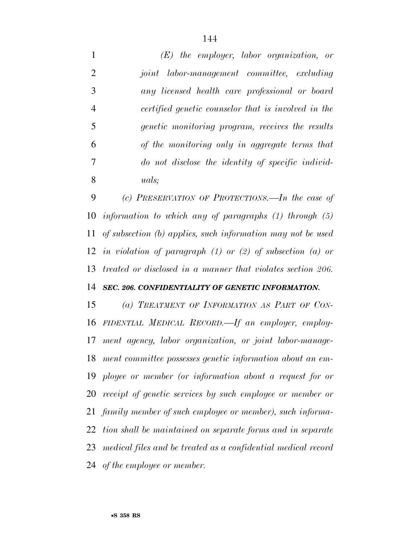*(E) the employer, labor organization, or joint labor-management committee, excluding any licensed health care professional or board certified genetic counselor that is involved in the genetic monitoring program, receives the results of the monitoring only in aggregate terms that do not disclose the identity of specific individ-uals;* 

 *(c) PRESERVATION OF PROTECTIONS.—In the case of information to which any of paragraphs (1) through (5) of subsection (b) applies, such information may not be used in violation of paragraph (1) or (2) of subsection (a) or treated or disclosed in a manner that violates section 206.* 

## *SEC. 206. CONFIDENTIALITY OF GENETIC INFORMATION.*

 *(a) TREATMENT OF INFORMATION AS PART OF CON- FIDENTIAL MEDICAL RECORD.—If an employer, employ- ment agency, labor organization, or joint labor-manage- ment committee possesses genetic information about an em- ployee or member (or information about a request for or receipt of genetic services by such employee or member or family member of such employee or member), such informa- tion shall be maintained on separate forms and in separate medical files and be treated as a confidential medical record of the employee or member.*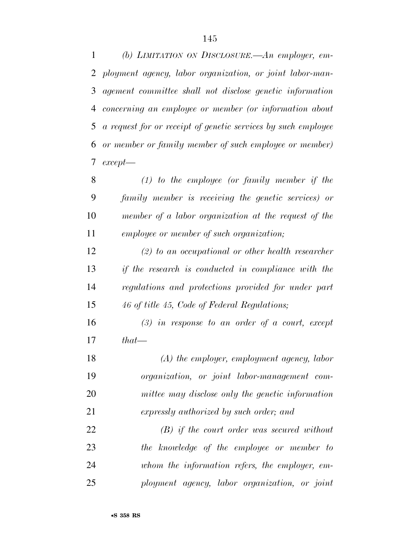*(b) LIMITATION ON DISCLOSURE.—An employer, em- ployment agency, labor organization, or joint labor-man- agement committee shall not disclose genetic information concerning an employee or member (or information about a request for or receipt of genetic services by such employee or member or family member of such employee or member) except—* 

 *(1) to the employee (or family member if the family member is receiving the genetic services) or member of a labor organization at the request of the employee or member of such organization;* 

 *(2) to an occupational or other health researcher if the research is conducted in compliance with the regulations and protections provided for under part 46 of title 45, Code of Federal Regulations;* 

 *(3) in response to an order of a court, except that—* 

 *(A) the employer, employment agency, labor organization, or joint labor-management com- mittee may disclose only the genetic information expressly authorized by such order; and* 

 *(B) if the court order was secured without the knowledge of the employee or member to whom the information refers, the employer, em-ployment agency, labor organization, or joint*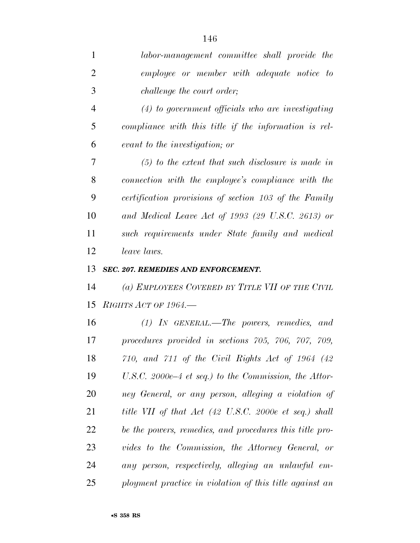| $\mathbf{1}$   | labor-management committee shall provide the            |
|----------------|---------------------------------------------------------|
| $\overline{2}$ | employee or member with adequate notice to              |
| 3              | <i>challenge the court order;</i>                       |
| $\overline{4}$ | $(4)$ to government officials who are investigating     |
| 5              | compliance with this title if the information is rel-   |
| 6              | evant to the investigation; or                          |
| 7              | $(5)$ to the extent that such disclosure is made in     |
| 8              | connection with the employee's compliance with the      |
| 9              | certification provisions of section 103 of the Family   |
| 10             | and Medical Leave Act of 1993 (29 U.S.C. 2613) or       |
| 11             | such requirements under State family and medical        |
| 12             | <i>leave laws.</i>                                      |
| 13             | SEC. 207. REMEDIES AND ENFORCEMENT.                     |
| 14             | (a) EMPLOYEES COVERED BY TITLE VII OF THE CIVIL         |
| 15             | RIGHTS ACT OF 1964.                                     |
| 16             | $(1)$ IN GENERAL.—The powers, remedies, and             |
| 17             | procedures provided in sections 705, 706, 707, 709,     |
| 18             | $710$ , and $711$ of the Civil Rights Act of 1964 (42)  |
| 19             | U.S.C. 2000e–4 et seq.) to the Commission, the Attor-   |
| 20             | ney General, or any person, alleging a violation of     |
| 21             | title VII of that Act (42 U.S.C. 2000e et seq.) shall   |
| 22             | be the powers, remedies, and procedures this title pro- |
| 23             | vides to the Commission, the Attorney General, or       |
| 24             | any person, respectively, alleging an unlawful em-      |
| 25             | ployment practice in violation of this title against an |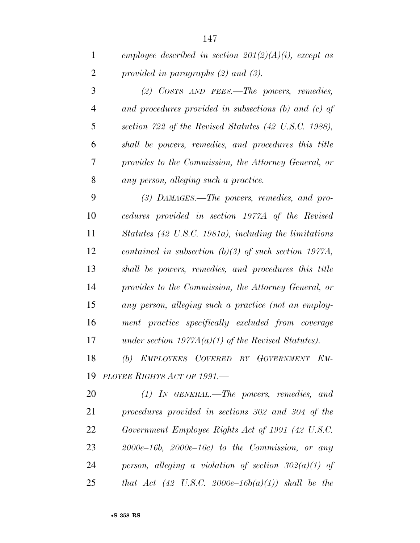|   | employee described in section $201(2)(A)(i)$ , except as |  |
|---|----------------------------------------------------------|--|
| 2 | provided in paragraphs $(2)$ and $(3)$ .                 |  |

 *(2) COSTS AND FEES.—The powers, remedies, and procedures provided in subsections (b) and (c) of section 722 of the Revised Statutes (42 U.S.C. 1988), shall be powers, remedies, and procedures this title provides to the Commission, the Attorney General, or any person, alleging such a practice.* 

 *(3) DAMAGES.—The powers, remedies, and pro- cedures provided in section 1977A of the Revised Statutes (42 U.S.C. 1981a), including the limitations contained in subsection (b)(3) of such section 1977A, shall be powers, remedies, and procedures this title provides to the Commission, the Attorney General, or any person, alleging such a practice (not an employ- ment practice specifically excluded from coverage under section 1977A(a)(1) of the Revised Statutes).* 

 *(b) EMPLOYEES COVERED BY GOVERNMENT EM-PLOYEE RIGHTS ACT OF 1991.—* 

 *(1) IN GENERAL.—The powers, remedies, and procedures provided in sections 302 and 304 of the Government Employee Rights Act of 1991 (42 U.S.C. 2000e–16b, 2000e–16c) to the Commission, or any person, alleging a violation of section 302(a)(1) of that Act (42 U.S.C. 2000e–16b(a)(1)) shall be the*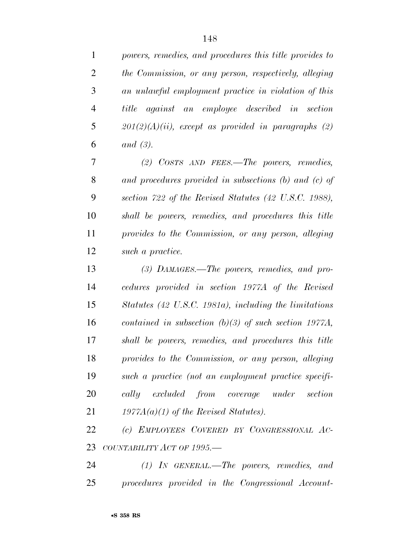*powers, remedies, and procedures this title provides to the Commission, or any person, respectively, alleging an unlawful employment practice in violation of this title against an employee described in section 201(2)(A)(ii), except as provided in paragraphs (2) and (3).* 

 *(2) COSTS AND FEES.—The powers, remedies, and procedures provided in subsections (b) and (c) of section 722 of the Revised Statutes (42 U.S.C. 1988), shall be powers, remedies, and procedures this title provides to the Commission, or any person, alleging such a practice.* 

 *(3) DAMAGES.—The powers, remedies, and pro- cedures provided in section 1977A of the Revised Statutes (42 U.S.C. 1981a), including the limitations contained in subsection (b)(3) of such section 1977A, shall be powers, remedies, and procedures this title provides to the Commission, or any person, alleging such a practice (not an employment practice specifi- cally excluded from coverage under section 1977A(a)(1) of the Revised Statutes).* 

 *(c) EMPLOYEES COVERED BY CONGRESSIONAL AC-COUNTABILITY ACT OF 1995.—* 

 *(1) IN GENERAL.—The powers, remedies, and procedures provided in the Congressional Account-*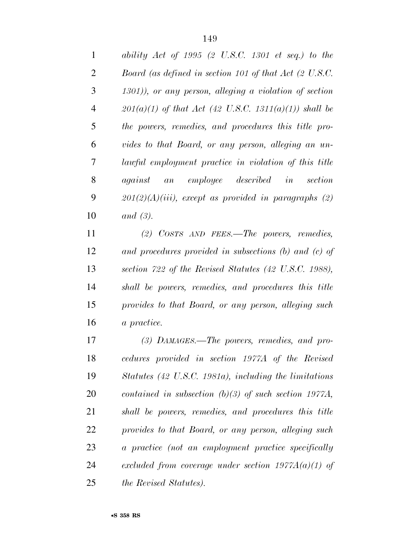*ability Act of 1995 (2 U.S.C. 1301 et seq.) to the Board (as defined in section 101 of that Act (2 U.S.C. 1301)), or any person, alleging a violation of section 201(a)(1) of that Act (42 U.S.C. 1311(a)(1)) shall be the powers, remedies, and procedures this title pro- vides to that Board, or any person, alleging an un- lawful employment practice in violation of this title against an employee described in section 201(2)(A)(iii), except as provided in paragraphs (2) and (3).* 

 *(2) COSTS AND FEES.—The powers, remedies, and procedures provided in subsections (b) and (c) of section 722 of the Revised Statutes (42 U.S.C. 1988), shall be powers, remedies, and procedures this title provides to that Board, or any person, alleging such a practice.* 

 *(3) DAMAGES.—The powers, remedies, and pro- cedures provided in section 1977A of the Revised Statutes (42 U.S.C. 1981a), including the limitations contained in subsection (b)(3) of such section 1977A, shall be powers, remedies, and procedures this title provides to that Board, or any person, alleging such a practice (not an employment practice specifically excluded from coverage under section 1977A(a)(1) of the Revised Statutes).*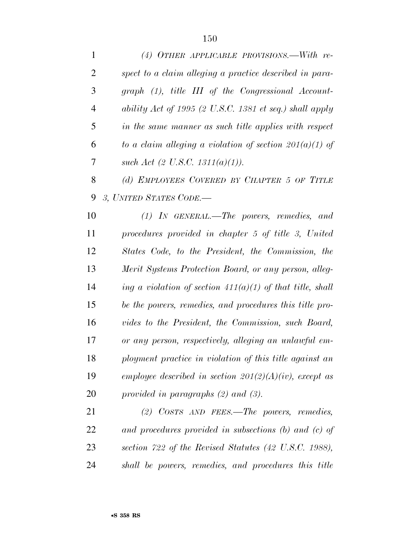| 1              | (4) OTHER APPLICABLE PROVISIONS.—With re-                   |
|----------------|-------------------------------------------------------------|
| $\overline{2}$ | spect to a claim alleging a practice described in para-     |
| 3              | $graph (1)$ , title III of the Congressional Account-       |
| $\overline{4}$ | ability Act of 1995 (2 U.S.C. 1381 et seq.) shall apply     |
| 5              | in the same manner as such title applies with respect       |
| 6              | to a claim alleging a violation of section $201(a)(1)$ of   |
| 7              | such Act $(2 \text{ U.S.C. } 1311(a)(1)).$                  |
| 8              | (d) EMPLOYEES COVERED BY CHAPTER 5 OF TITLE                 |
| 9              | 3, UNITED STATES CODE.-                                     |
| 10             | $(1)$ IN GENERAL.—The powers, remedies, and                 |
| 11             | procedures provided in chapter 5 of title 3, United         |
| 12             | States Code, to the President, the Commission, the          |
| 13             | Merit Systems Protection Board, or any person, alleg-       |
| 14             | ing a violation of section $411(a)(1)$ of that title, shall |
| 15             | be the powers, remedies, and procedures this title pro-     |
| 16             | vides to the President, the Commission, such Board,         |
| 17             | or any person, respectively, alleging an unlawful em-       |
| 18             | ployment practice in violation of this title against an     |
| 19             | employee described in section $201(2)(A)(iv)$ , except as   |
| 20             | provided in paragraphs $(2)$ and $(3)$ .                    |
| 21             | $(2)$ COSTS AND FEES.—The powers, remedies,                 |
| 22             | and procedures provided in subsections $(b)$ and $(c)$ of   |
| 23             | section 722 of the Revised Statutes (42 U.S.C. 1988),       |
| 24             | shall be powers, remedies, and procedures this title        |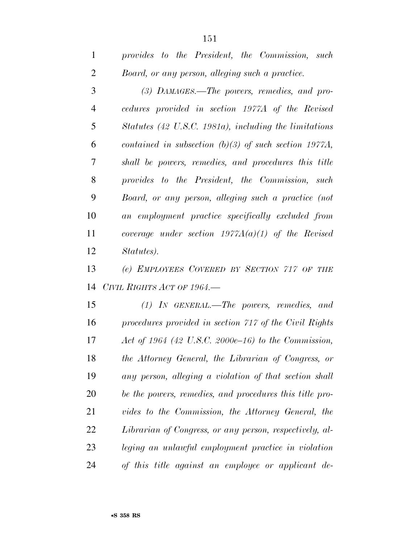| $\mathbf{1}$   | provides to the President, the Commission, such         |
|----------------|---------------------------------------------------------|
| $\overline{2}$ | Board, or any person, alleging such a practice.         |
| 3              | $(3)$ DAMAGES.—The powers, remedies, and pro-           |
| $\overline{4}$ | cedures provided in section 1977A of the Revised        |
| 5              | Statutes (42 U.S.C. 1981a), including the limitations   |
| 6              | contained in subsection $(b)(3)$ of such section 1977A, |
| 7              | shall be powers, remedies, and procedures this title    |
| 8              | provides to the President, the Commission, such         |
| 9              | Board, or any person, alleging such a practice (not     |
| 10             | an employment practice specifically excluded from       |
| 11             | coverage under section $1977A(a)(1)$ of the Revised     |
| 12             | Statutes).                                              |

 *(e) EMPLOYEES COVERED BY SECTION 717 OF THE CIVIL RIGHTS ACT OF 1964.—* 

 *(1) IN GENERAL.—The powers, remedies, and procedures provided in section 717 of the Civil Rights Act of 1964 (42 U.S.C. 2000e–16) to the Commission, the Attorney General, the Librarian of Congress, or any person, alleging a violation of that section shall be the powers, remedies, and procedures this title pro- vides to the Commission, the Attorney General, the Librarian of Congress, or any person, respectively, al- leging an unlawful employment practice in violation of this title against an employee or applicant de-*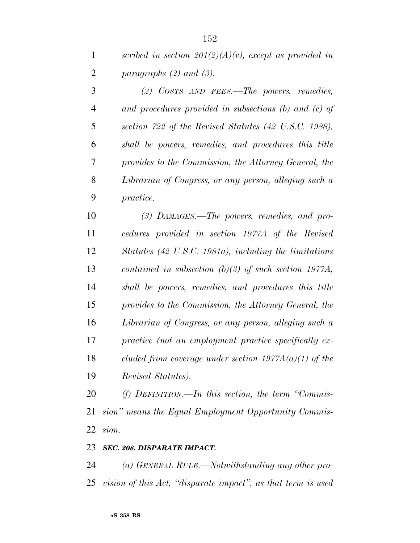*(2) COSTS AND FEES.—The powers, remedies, and procedures provided in subsections (b) and (c) of section 722 of the Revised Statutes (42 U.S.C. 1988), shall be powers, remedies, and procedures this title provides to the Commission, the Attorney General, the Librarian of Congress, or any person, alleging such a practice.* 

 *(3) DAMAGES.—The powers, remedies, and pro- cedures provided in section 1977A of the Revised Statutes (42 U.S.C. 1981a), including the limitations contained in subsection (b)(3) of such section 1977A, shall be powers, remedies, and procedures this title provides to the Commission, the Attorney General, the Librarian of Congress, or any person, alleging such a practice (not an employment practice specifically ex- cluded from coverage under section 1977A(a)(1) of the Revised Statutes).* 

 *(f) DEFINITION.—In this section, the term ''Commis- sion'' means the Equal Employment Opportunity Commis-sion.* 

#### *SEC. 208. DISPARATE IMPACT.*

 *(a) GENERAL RULE.—Notwithstanding any other pro-vision of this Act, ''disparate impact'', as that term is used*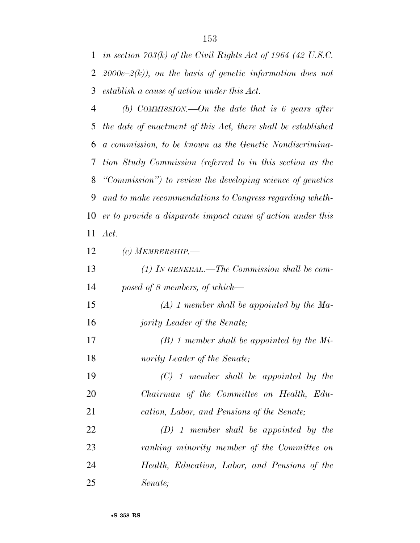*in section 703(k) of the Civil Rights Act of 1964 (42 U.S.C. 2000e–2(k)), on the basis of genetic information does not establish a cause of action under this Act.* 

 *(b) COMMISSION.—On the date that is 6 years after the date of enactment of this Act, there shall be established a commission, to be known as the Genetic Nondiscrimina- tion Study Commission (referred to in this section as the ''Commission'') to review the developing science of genetics and to make recommendations to Congress regarding wheth- er to provide a disparate impact cause of action under this Act.* 

 *(c) MEMBERSHIP.— (1) IN GENERAL.—The Commission shall be com- posed of 8 members, of which— (A) 1 member shall be appointed by the Ma- jority Leader of the Senate; (B) 1 member shall be appointed by the Mi- nority Leader of the Senate; (C) 1 member shall be appointed by the Chairman of the Committee on Health, Edu- cation, Labor, and Pensions of the Senate; (D) 1 member shall be appointed by the ranking minority member of the Committee on Health, Education, Labor, and Pensions of the Senate;*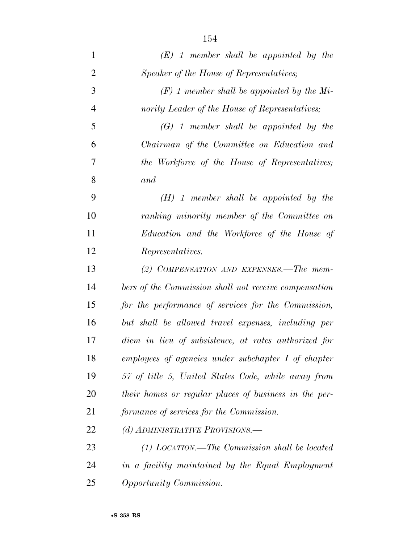| $\mathbf{1}$   | $(E)$ 1 member shall be appointed by the              |
|----------------|-------------------------------------------------------|
| $\overline{2}$ | Speaker of the House of Representatives;              |
| 3              | $(F)$ 1 member shall be appointed by the Mi-          |
| $\overline{4}$ | nority Leader of the House of Representatives;        |
| 5              | $(G)$ 1 member shall be appointed by the              |
| 6              | Chairman of the Committee on Education and            |
| 7              | the Workforce of the House of Representatives;        |
| 8              | and                                                   |
| 9              | $(H)$ 1 member shall be appointed by the              |
| 10             | ranking minority member of the Committee on           |
| 11             | Education and the Workforce of the House of           |
| 12             | Representatives.                                      |
| 13             | (2) COMPENSATION AND EXPENSES.—The mem-               |
| 14             | bers of the Commission shall not receive compensation |
| 15             | for the performance of services for the Commission,   |
| 16             | but shall be allowed travel expenses, including per   |
| 17             | diem in lieu of subsistence, at rates authorized for  |
| 18             | employees of agencies under subchapter $I$ of chapter |
| 19             | 57 of title 5, United States Code, while away from    |
| 20             | their homes or regular places of business in the per- |
| 21             | formance of services for the Commission.              |
| 22             | (d) ADMINISTRATIVE PROVISIONS.-                       |
| 23             | $(1)$ LOCATION.—The Commission shall be located       |
| 24             | in a facility maintained by the Equal Employment      |
| 25             | Opportunity Commission.                               |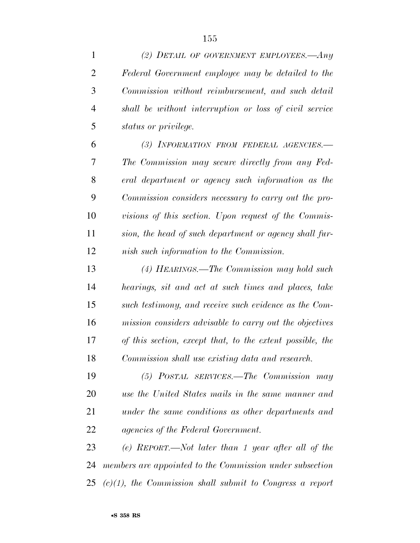| $\mathbf{1}$   | (2) DETAIL OF GOVERNMENT EMPLOYEES.—Any                     |
|----------------|-------------------------------------------------------------|
| $\overline{2}$ | Federal Government employee may be detailed to the          |
| 3              | Commission without reimbursement, and such detail           |
| $\overline{4}$ | shall be without interruption or loss of civil service      |
| 5              | status or privilege.                                        |
| 6              | (3) INFORMATION FROM FEDERAL AGENCIES.-                     |
| 7              | The Commission may secure directly from any Fed-            |
| 8              | eral department or agency such information as the           |
| 9              | Commission considers necessary to carry out the pro-        |
| 10             | visions of this section. Upon request of the Commis-        |
| 11             | sion, the head of such department or agency shall fur-      |
| 12             | nish such information to the Commission.                    |
| 13             | (4) HEARINGS.—The Commission may hold such                  |
| 14             | hearings, sit and act at such times and places, take        |
| 15             | such testimony, and receive such evidence as the Com-       |
| 16             | mission considers advisable to carry out the objectives     |
| 17             | of this section, except that, to the extent possible, the   |
| 18             | Commission shall use existing data and research.            |
| 19             | (5) POSTAL SERVICES.—The Commission may                     |
| 20             | use the United States mails in the same manner and          |
| 21             | under the same conditions as other departments and          |
| 22             | <i>agencies of the Federal Government.</i>                  |
| 23             | $(e)$ REPORT.—Not later than 1 year after all of the        |
| 24             | members are appointed to the Commission under subsection    |
| 25             | $(c)(1)$ , the Commission shall submit to Congress a report |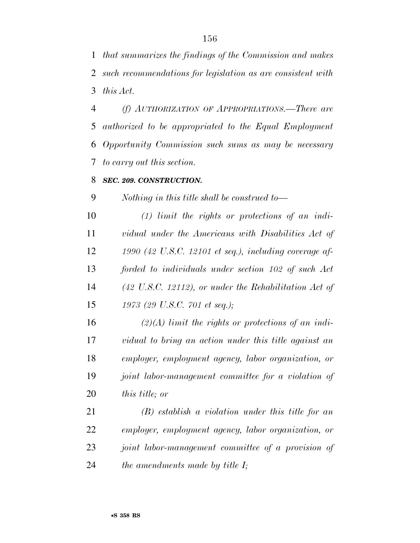*that summarizes the findings of the Commission and makes such recommendations for legislation as are consistent with this Act.* 

 *(f) AUTHORIZATION OF APPROPRIATIONS.—There are authorized to be appropriated to the Equal Employment Opportunity Commission such sums as may be necessary to carry out this section.* 

#### *SEC. 209. CONSTRUCTION.*

*Nothing in this title shall be construed to—* 

 *(1) limit the rights or protections of an indi- vidual under the Americans with Disabilities Act of 1990 (42 U.S.C. 12101 et seq.), including coverage af- forded to individuals under section 102 of such Act (42 U.S.C. 12112), or under the Rehabilitation Act of 1973 (29 U.S.C. 701 et seq.);* 

 *(2)(A) limit the rights or protections of an indi- vidual to bring an action under this title against an employer, employment agency, labor organization, or joint labor-management committee for a violation of this title; or* 

 *(B) establish a violation under this title for an employer, employment agency, labor organization, or joint labor-management committee of a provision of the amendments made by title I;*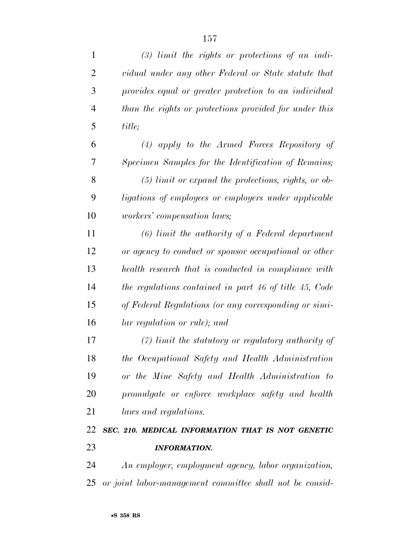| 1              | $(3)$ limit the rights or protections of an indi-        |
|----------------|----------------------------------------------------------|
| $\overline{2}$ | vidual under any other Federal or State statute that     |
| 3              | provides equal or greater protection to an individual    |
| $\overline{4}$ | than the rights or protections provided for under this   |
| 5              | title;                                                   |
| 6              | $(4)$ apply to the Armed Forces Repository of            |
| 7              | Specimen Samples for the Identification of Remains;      |
| 8              | $(5)$ limit or expand the protections, rights, or ob-    |
| 9              | ligations of employees or employers under applicable     |
| 10             | <i>workers' compensation laws;</i>                       |
| 11             | $(6)$ limit the authority of a Federal department        |
| 12             | or agency to conduct or sponsor occupational or other    |
| 13             | health research that is conducted in compliance with     |
| 14             | the regulations contained in part 46 of title 45, Code   |
| 15             | of Federal Regulations (or any corresponding or simi-    |
| 16             | lar regulation or rule); and                             |
| 17             | $(7)$ limit the statutory or regulatory authority of     |
| 18             | the Occupational Safety and Health Administration        |
| 19             | or the Mine Safety and Health Administration to          |
| 20             | promulgate or enforce workplace safety and health        |
| 21             | laws and regulations.                                    |
| 22             | SEC. 210. MEDICAL INFORMATION THAT IS NOT GENETIC        |
| 23             | <b>INFORMATION.</b>                                      |
| 24             | An employer, employment agency, labor organization,      |
| 25             | or joint labor-management committee shall not be consid- |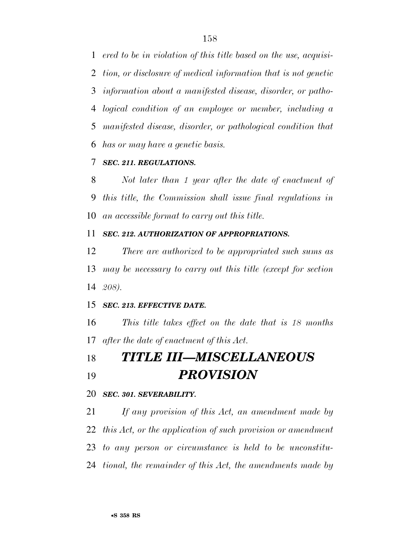*ered to be in violation of this title based on the use, acquisi- tion, or disclosure of medical information that is not genetic information about a manifested disease, disorder, or patho- logical condition of an employee or member, including a manifested disease, disorder, or pathological condition that has or may have a genetic basis.* 

## *SEC. 211. REGULATIONS.*

 *Not later than 1 year after the date of enactment of this title, the Commission shall issue final regulations in an accessible format to carry out this title.* 

#### *SEC. 212. AUTHORIZATION OF APPROPRIATIONS.*

 *There are authorized to be appropriated such sums as may be necessary to carry out this title (except for section 208).* 

## *SEC. 213. EFFECTIVE DATE.*

 *This title takes effect on the date that is 18 months after the date of enactment of this Act.* 

# *TITLE III—MISCELLANEOUS PROVISION*

#### *SEC. 301. SEVERABILITY.*

 *If any provision of this Act, an amendment made by this Act, or the application of such provision or amendment to any person or circumstance is held to be unconstitu-tional, the remainder of this Act, the amendments made by*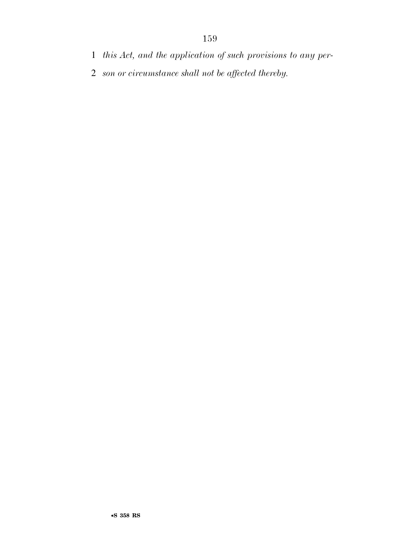- *this Act, and the application of such provisions to any per-*
- *son or circumstance shall not be affected thereby.*